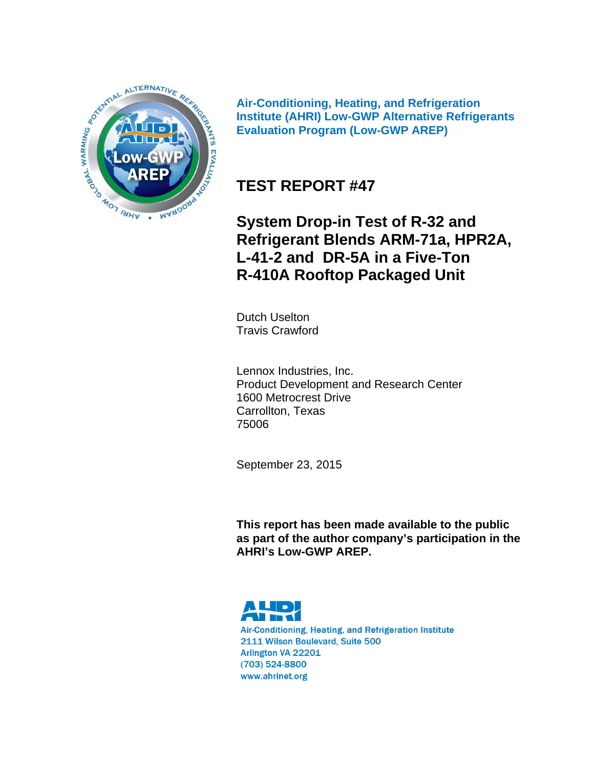

**Air-Conditioning, Heating, and Refrigeration Institute (AHRI) Low-GWP Alternative Refrigerants Evaluation Program (Low-GWP AREP)** 

# **TEST REPORT #47**

**System Drop-in Test of R-32 and Refrigerant Blends ARM-71a, HPR2A, L-41-2 and DR-5A in a Five-Ton R-410A Rooftop Packaged Unit**

Dutch Uselton Travis Crawford

Lennox Industries, Inc. Product Development and Research Center 1600 Metrocrest Drive Carrollton, Texas 75006

September 23, 2015

**This report has been made available to the public as part of the author company's participation in the AHRI's Low-GWP AREP.** 



Air-Conditioning, Heating, and Refrigeration Institute 2111 Wilson Boulevard, Suite 500 Arlington VA 22201  $(703)$  524-8800 www.ahrinet.org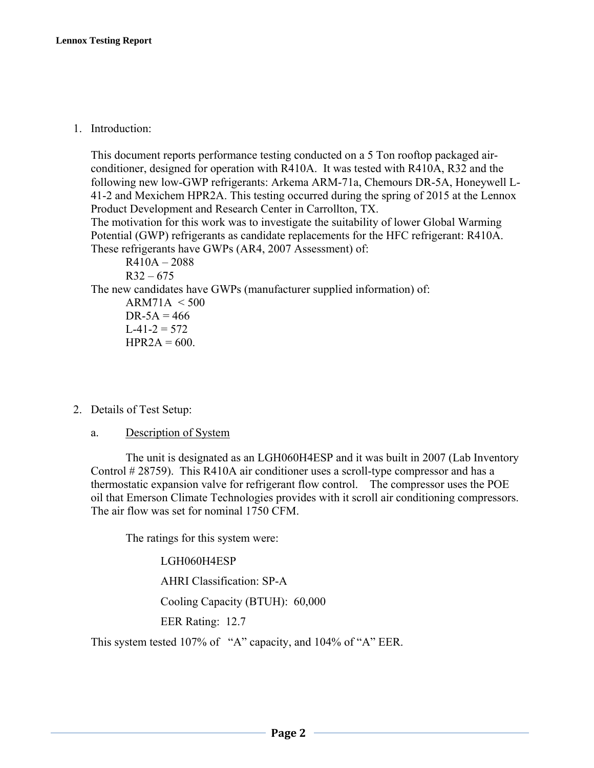1. Introduction:

This document reports performance testing conducted on a 5 Ton rooftop packaged airconditioner, designed for operation with R410A. It was tested with R410A, R32 and the following new low-GWP refrigerants: Arkema ARM-71a, Chemours DR-5A, Honeywell L-41-2 and Mexichem HPR2A. This testing occurred during the spring of 2015 at the Lennox Product Development and Research Center in Carrollton, TX. The motivation for this work was to investigate the suitability of lower Global Warming

Potential (GWP) refrigerants as candidate replacements for the HFC refrigerant: R410A. These refrigerants have GWPs (AR4, 2007 Assessment) of:

 R410A – 2088  $R32 - 675$ The new candidates have GWPs (manufacturer supplied information) of:  $ARM71A < 500$  $DR-5A = 466$  $L-41-2 = 572$  $HPR2A = 600.$ 

- 2. Details of Test Setup:
	- a. Description of System

The unit is designated as an LGH060H4ESP and it was built in 2007 (Lab Inventory Control # 28759). This R410A air conditioner uses a scroll-type compressor and has a thermostatic expansion valve for refrigerant flow control. The compressor uses the POE oil that Emerson Climate Technologies provides with it scroll air conditioning compressors. The air flow was set for nominal 1750 CFM.

The ratings for this system were:

LGH060H4ESP

AHRI Classification: SP-A

Cooling Capacity (BTUH): 60,000

EER Rating: 12.7

This system tested 107% of "A" capacity, and 104% of "A" EER.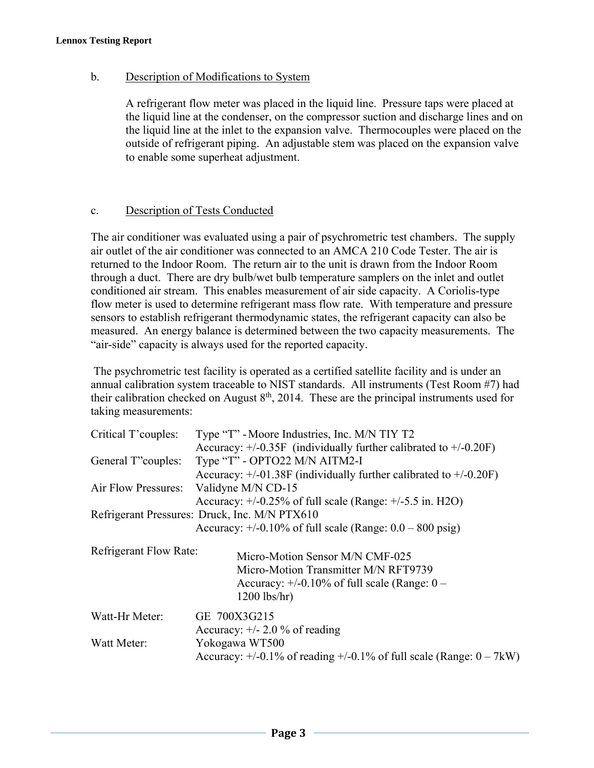#### b. Description of Modifications to System

A refrigerant flow meter was placed in the liquid line. Pressure taps were placed at the liquid line at the condenser, on the compressor suction and discharge lines and on the liquid line at the inlet to the expansion valve. Thermocouples were placed on the outside of refrigerant piping. An adjustable stem was placed on the expansion valve to enable some superheat adjustment.

#### c. Description of Tests Conducted

The air conditioner was evaluated using a pair of psychrometric test chambers. The supply air outlet of the air conditioner was connected to an AMCA 210 Code Tester. The air is returned to the Indoor Room. The return air to the unit is drawn from the Indoor Room through a duct. There are dry bulb/wet bulb temperature samplers on the inlet and outlet conditioned air stream. This enables measurement of air side capacity. A Coriolis-type flow meter is used to determine refrigerant mass flow rate. With temperature and pressure sensors to establish refrigerant thermodynamic states, the refrigerant capacity can also be measured. An energy balance is determined between the two capacity measurements. The "air-side" capacity is always used for the reported capacity.

 The psychrometric test facility is operated as a certified satellite facility and is under an annual calibration system traceable to NIST standards. All instruments (Test Room #7) had their calibration checked on August  $8<sup>th</sup>$ , 2014. These are the principal instruments used for taking measurements:

| Critical T'couples:           | Type "T" - Moore Industries, Inc. M/N TIY T2                                 |
|-------------------------------|------------------------------------------------------------------------------|
|                               | Accuracy: $+/-0.35F$ (individually further calibrated to $+/-0.20F$ )        |
| General T"couples:            | Type "T" - OPTO22 M/N AITM2-I                                                |
|                               | Accuracy: $+/-01.38$ F (individually further calibrated to $+/-0.20$ F)      |
| Air Flow Pressures:           | Validyne M/N CD-15                                                           |
|                               | Accuracy: $+/-0.25\%$ of full scale (Range: $+/-5.5$ in. H2O)                |
|                               | Refrigerant Pressures: Druck, Inc. M/N PTX610                                |
|                               | Accuracy: $+/-0.10\%$ of full scale (Range: $0.0 - 800$ psig)                |
|                               |                                                                              |
| <b>Refrigerant Flow Rate:</b> | Micro-Motion Sensor M/N CMF-025                                              |
|                               | Micro-Motion Transmitter M/N RFT9739                                         |
|                               | Accuracy: $+/-0.10\%$ of full scale (Range: $0-$                             |
|                               | $1200$ lbs/hr)                                                               |
| Watt-Hr Meter:                | GE 700X3G215                                                                 |
|                               | Accuracy: $+/- 2.0 \%$ of reading                                            |
| Watt Meter:                   | Yokogawa WT500                                                               |
|                               | Accuracy: $+/-0.1\%$ of reading $+/-0.1\%$ of full scale (Range: $0 - 7kW$ ) |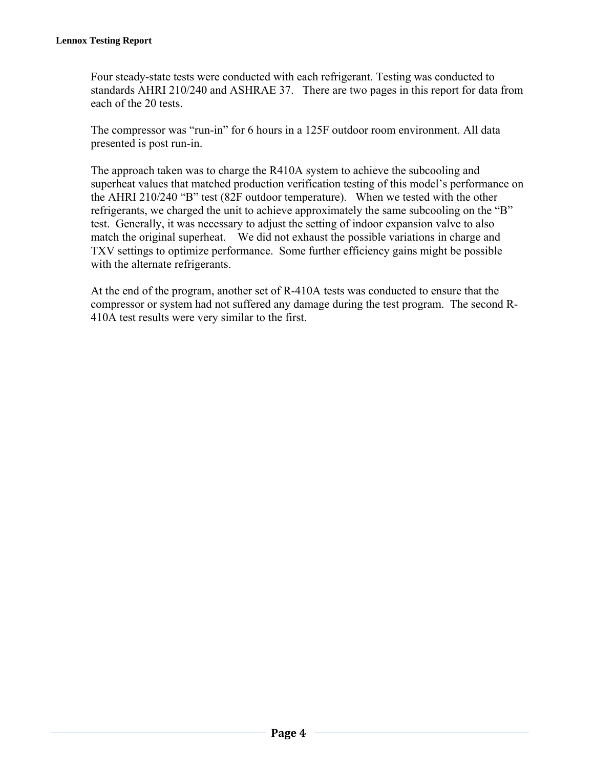Four steady-state tests were conducted with each refrigerant. Testing was conducted to standards AHRI 210/240 and ASHRAE 37. There are two pages in this report for data from each of the 20 tests.

The compressor was "run-in" for 6 hours in a 125F outdoor room environment. All data presented is post run-in.

The approach taken was to charge the R410A system to achieve the subcooling and superheat values that matched production verification testing of this model's performance on the AHRI 210/240 "B" test (82F outdoor temperature). When we tested with the other refrigerants, we charged the unit to achieve approximately the same subcooling on the "B" test. Generally, it was necessary to adjust the setting of indoor expansion valve to also match the original superheat. We did not exhaust the possible variations in charge and TXV settings to optimize performance. Some further efficiency gains might be possible with the alternate refrigerants.

At the end of the program, another set of R-410A tests was conducted to ensure that the compressor or system had not suffered any damage during the test program. The second R-410A test results were very similar to the first.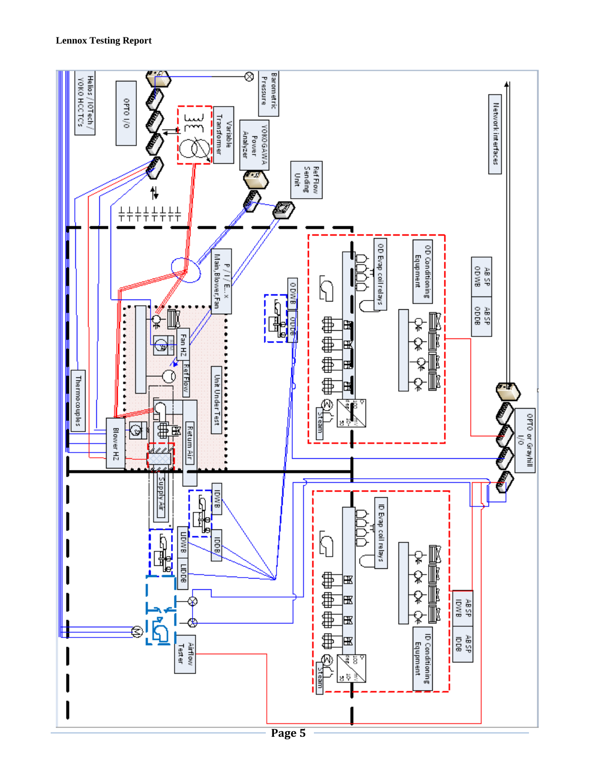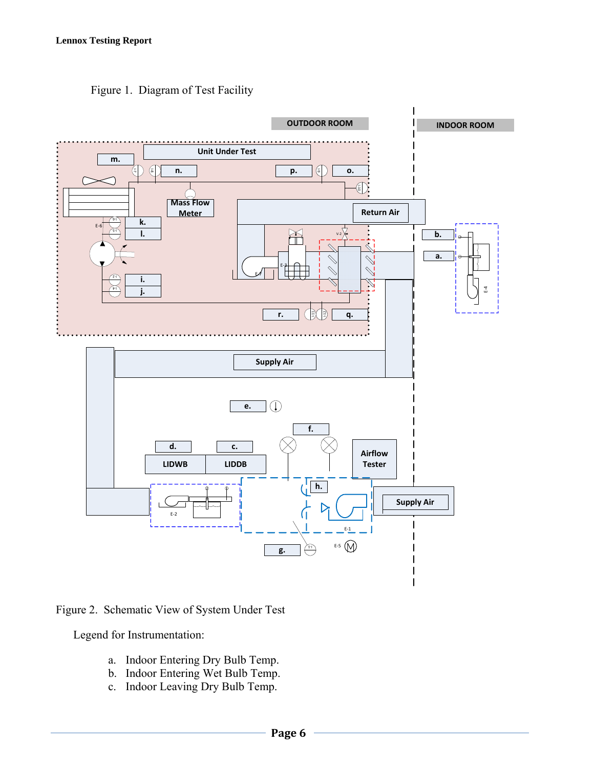

Figure 1. Diagram of Test Facility

Figure 2. Schematic View of System Under Test

Legend for Instrumentation:

- a. Indoor Entering Dry Bulb Temp.
- b. Indoor Entering Wet Bulb Temp.
- c. Indoor Leaving Dry Bulb Temp.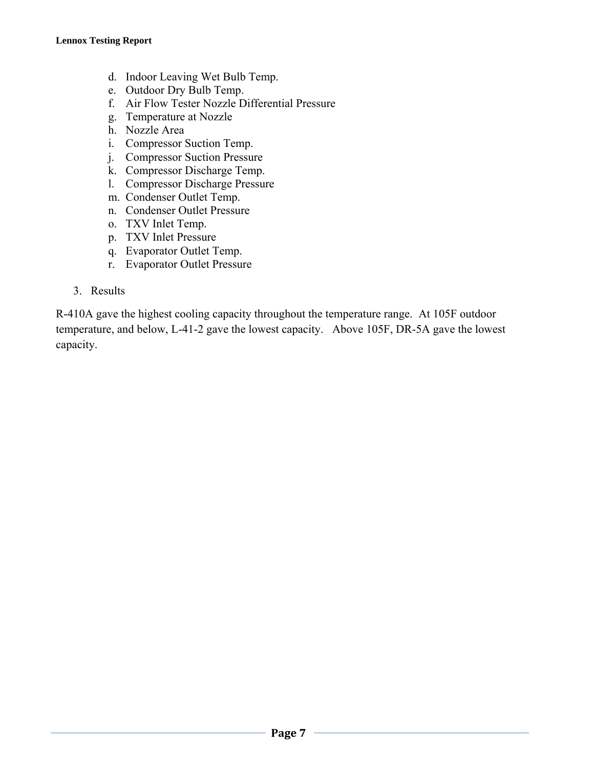- d. Indoor Leaving Wet Bulb Temp.
- e. Outdoor Dry Bulb Temp.
- f. Air Flow Tester Nozzle Differential Pressure
- g. Temperature at Nozzle
- h. Nozzle Area
- i. Compressor Suction Temp.
- j. Compressor Suction Pressure
- k. Compressor Discharge Temp.
- l. Compressor Discharge Pressure
- m. Condenser Outlet Temp.
- n. Condenser Outlet Pressure
- o. TXV Inlet Temp.
- p. TXV Inlet Pressure
- q. Evaporator Outlet Temp.
- r. Evaporator Outlet Pressure
- 3. Results

R-410A gave the highest cooling capacity throughout the temperature range. At 105F outdoor temperature, and below, L-41-2 gave the lowest capacity. Above 105F, DR-5A gave the lowest capacity.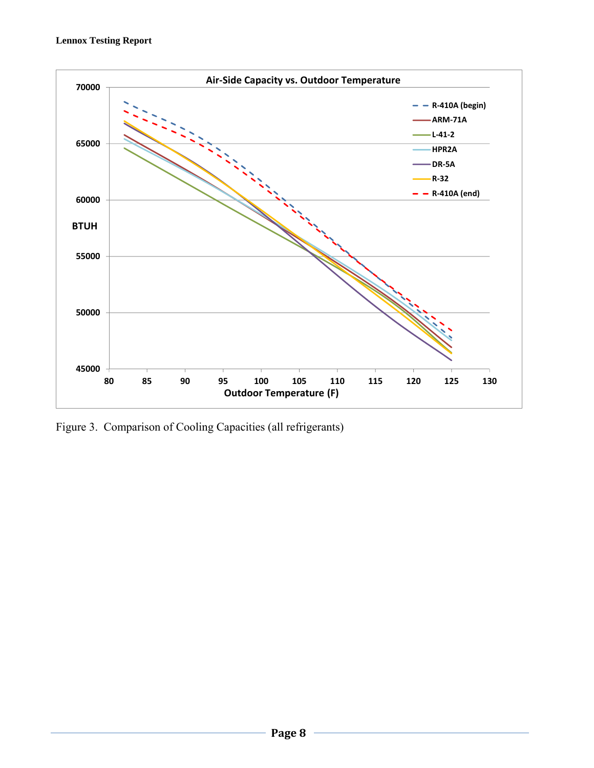

Figure 3. Comparison of Cooling Capacities (all refrigerants)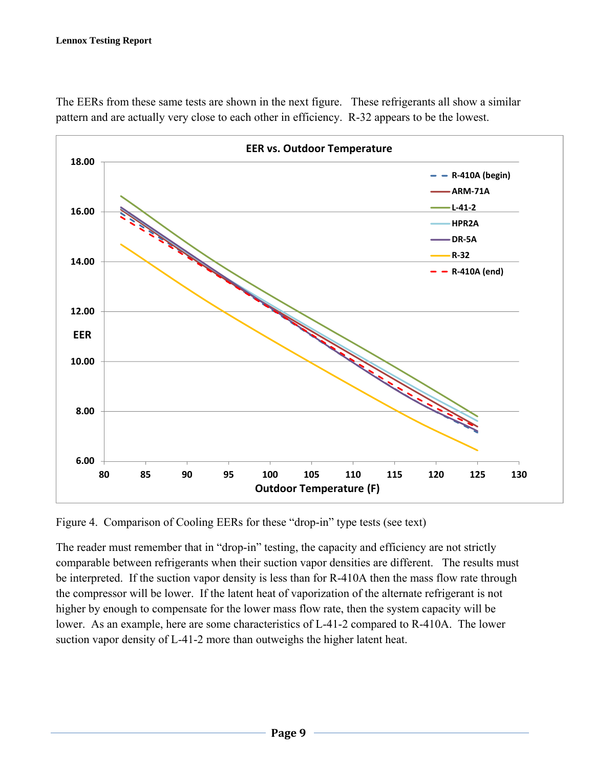

The EERs from these same tests are shown in the next figure. These refrigerants all show a similar pattern and are actually very close to each other in efficiency. R-32 appears to be the lowest.

Figure 4. Comparison of Cooling EERs for these "drop-in" type tests (see text)

The reader must remember that in "drop-in" testing, the capacity and efficiency are not strictly comparable between refrigerants when their suction vapor densities are different. The results must be interpreted. If the suction vapor density is less than for R-410A then the mass flow rate through the compressor will be lower. If the latent heat of vaporization of the alternate refrigerant is not higher by enough to compensate for the lower mass flow rate, then the system capacity will be lower. As an example, here are some characteristics of L-41-2 compared to R-410A. The lower suction vapor density of L-41-2 more than outweighs the higher latent heat.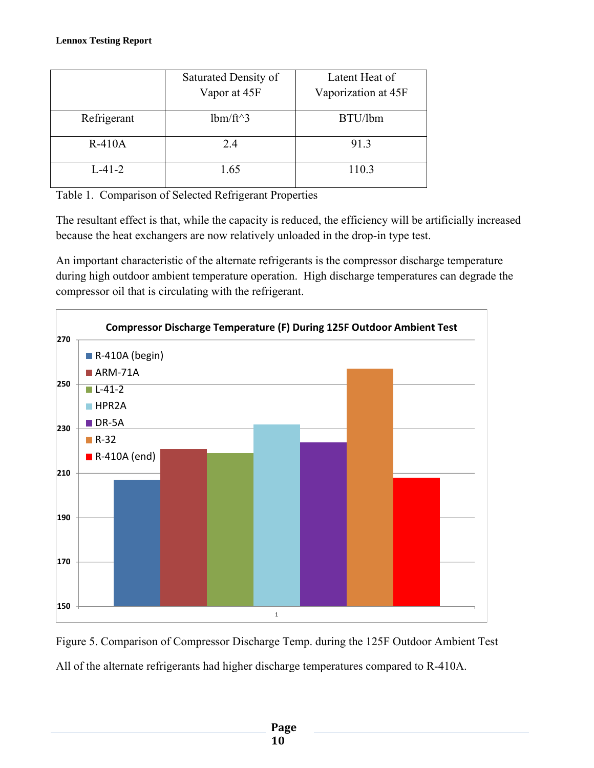|             | Saturated Density of<br>Vapor at 45F | Latent Heat of<br>Vaporization at 45F |
|-------------|--------------------------------------|---------------------------------------|
| Refrigerant | $lbm/ft^3$                           | BTU/lbm                               |
| $R-410A$    | 2.4                                  | 91.3                                  |
| $L-41-2$    | 1.65                                 | 110.3                                 |

Table 1. Comparison of Selected Refrigerant Properties

The resultant effect is that, while the capacity is reduced, the efficiency will be artificially increased because the heat exchangers are now relatively unloaded in the drop-in type test.

An important characteristic of the alternate refrigerants is the compressor discharge temperature during high outdoor ambient temperature operation. High discharge temperatures can degrade the compressor oil that is circulating with the refrigerant.



Figure 5. Comparison of Compressor Discharge Temp. during the 125F Outdoor Ambient Test All of the alternate refrigerants had higher discharge temperatures compared to R-410A.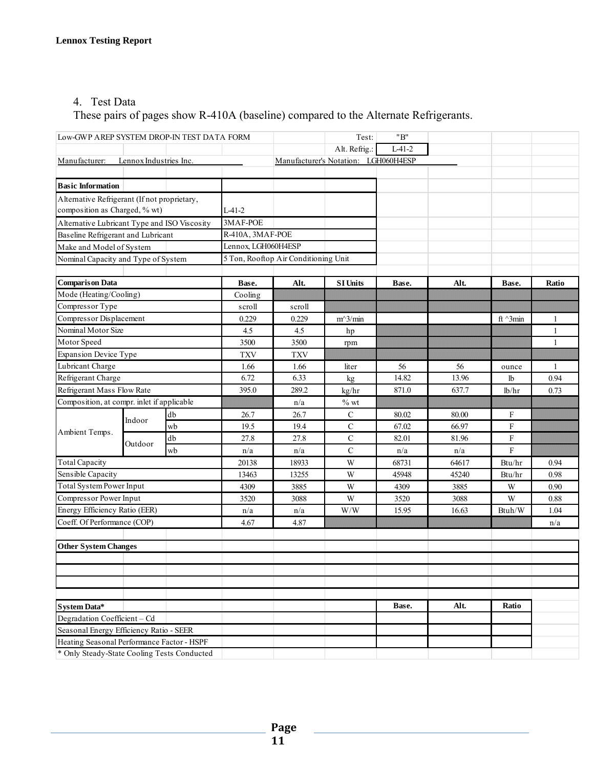## 4. Test Data

These pairs of pages show R-410A (baseline) compared to the Alternate Refrigerants.

| Low-GWP AREP SYSTEM DROP-IN TEST DATA FORM   |                                    |            |                                      |        | Test:                                | "B"      |       |                     |              |
|----------------------------------------------|------------------------------------|------------|--------------------------------------|--------|--------------------------------------|----------|-------|---------------------|--------------|
|                                              |                                    |            |                                      |        | Alt. Refrig.:                        | $L-41-2$ |       |                     |              |
| Manufacturer:                                | Lennox Industries Inc.             |            |                                      |        | Manufacturer's Notation: LGH060H4ESP |          |       |                     |              |
|                                              |                                    |            |                                      |        |                                      |          |       |                     |              |
| <b>Basic Information</b>                     |                                    |            |                                      |        |                                      |          |       |                     |              |
| Alternative Refrigerant (If not proprietary, |                                    |            |                                      |        |                                      |          |       |                     |              |
| composition as Charged, % wt)                |                                    |            | $L-41-2$                             |        |                                      |          |       |                     |              |
| Alternative Lubricant Type and ISO Viscosity |                                    |            | 3MAF-POE                             |        |                                      |          |       |                     |              |
|                                              | Baseline Refrigerant and Lubricant |            | R-410A, 3MAF-POE                     |        |                                      |          |       |                     |              |
|                                              | Make and Model of System           |            | Lennox, LGH060H4ESP                  |        |                                      |          |       |                     |              |
| Nominal Capacity and Type of System          |                                    |            | 5 Ton, Rooftop Air Conditioning Unit |        |                                      |          |       |                     |              |
|                                              |                                    |            |                                      |        |                                      |          |       |                     |              |
| <b>Comparison Data</b>                       |                                    |            | Base.                                | Alt.   | <b>SI Units</b>                      | Base.    | Alt.  | Base.               | Ratio        |
| Mode (Heating/Cooling)                       |                                    |            | Cooling                              |        |                                      |          |       |                     |              |
| Compressor Type                              |                                    |            | scroll                               | scroll |                                      |          |       |                     |              |
| Compressor Displacement                      |                                    |            | 0.229                                | 0.229  | $m^3/m$ in                           |          |       | ft $^{\wedge}$ 3min | 1            |
| Nominal Motor Size                           |                                    |            | 4.5                                  | 4.5    | hp                                   |          |       |                     | 1            |
| Motor Speed                                  |                                    |            | 3500                                 | 3500   | rpm                                  |          |       |                     | 1            |
| <b>Expansion Device Type</b>                 |                                    | <b>TXV</b> | <b>TXV</b>                           |        |                                      |          |       |                     |              |
| Lubricant Charge                             |                                    |            | 1.66                                 | 1.66   | liter                                | 56       | 56    | ounce               | $\mathbf{1}$ |
| Refrigerant Charge                           |                                    | 6.72       | 6.33                                 | kg     | 14.82                                | 13.96    | lb    | 0.94                |              |
| Refrigerant Mass Flow Rate                   |                                    |            | 395.0                                | 289.2  | kg/hr                                | 871.0    | 637.7 | lb/hr               | 0.73         |
| Composition, at compr. inlet if applicable   |                                    |            | n/a                                  | $%$ wt |                                      |          |       |                     |              |
|                                              | Indoor                             | db         | 26.7                                 | 26.7   | $\mathbf C$                          | 80.02    | 80.00 | F                   |              |
| Ambient Temps.                               |                                    | wb         | 19.5                                 | 19.4   | $\mathcal{C}$                        | 67.02    | 66.97 | F                   |              |
|                                              | Outdoor                            | db         | 27.8                                 | 27.8   | $\mathbf C$                          | 82.01    | 81.96 | F                   |              |
|                                              |                                    | wb         | n/a                                  | n/a    | $\mathsf{C}$                         | n/a      | n/a   | F                   |              |
| <b>Total Capacity</b>                        |                                    |            | 20138                                | 18933  | W                                    | 68731    | 64617 | Btu/hr              | 0.94         |
| Sensible Capacity                            |                                    |            | 13463                                | 13255  | W                                    | 45948    | 45240 | Btu/hr              | 0.98         |
| <b>Total System Power Input</b>              |                                    |            | 4309                                 | 3885   | W                                    | 4309     | 3885  | W                   | 0.90         |
| Compressor Power Input                       |                                    |            | 3520                                 | 3088   | W                                    | 3520     | 3088  | W                   | 0.88         |
| Energy Efficiency Ratio (EER)                |                                    |            | n/a                                  | n/a    | W/W                                  | 15.95    | 16.63 | Btuh/W              | 1.04         |
| Coeff. Of Performance (COP)                  |                                    |            | 4.67                                 | 4.87   |                                      |          |       |                     | n/a          |
|                                              |                                    |            |                                      |        |                                      |          |       |                     |              |
| <b>Other System Changes</b>                  |                                    |            |                                      |        |                                      |          |       |                     |              |
|                                              |                                    |            |                                      |        |                                      |          |       |                     |              |
|                                              |                                    |            |                                      |        |                                      |          |       |                     |              |
|                                              |                                    |            |                                      |        |                                      |          |       |                     |              |
|                                              |                                    |            |                                      |        |                                      |          |       |                     |              |
| System Data*                                 |                                    |            |                                      |        |                                      | Base.    | Alt.  | Ratio               |              |
| Degradation Coefficient - Cd                 |                                    |            |                                      |        |                                      |          |       |                     |              |
| Seasonal Energy Efficiency Ratio - SEER      |                                    |            |                                      |        |                                      |          |       |                     |              |
| Heating Seasonal Performance Factor - HSPF   |                                    |            |                                      |        |                                      |          |       |                     |              |
| * Only Steady-State Cooling Tests Conducted  |                                    |            |                                      |        |                                      |          |       |                     |              |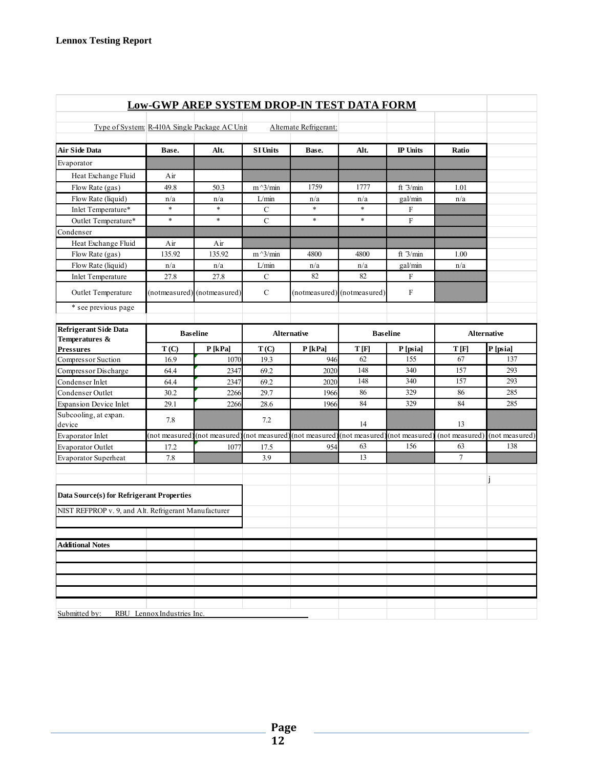|                                                      |                            | <b>Low-GWP AREP SYSTEM DROP-IN TEST DATA FORM</b>                          |                    |                        |                             |                 |                |                    |
|------------------------------------------------------|----------------------------|----------------------------------------------------------------------------|--------------------|------------------------|-----------------------------|-----------------|----------------|--------------------|
| Type of System: R-410A Single Package AC Unit        |                            |                                                                            |                    | Alternate Refrigerant: |                             |                 |                |                    |
| <b>Air Side Data</b>                                 | Base.                      | Alt.                                                                       | <b>SI Units</b>    | Base.                  | Alt.                        | <b>IP Units</b> | Ratio          |                    |
| Evaporator                                           |                            |                                                                            |                    |                        |                             |                 |                |                    |
| Heat Exchange Fluid                                  | Air                        |                                                                            |                    |                        |                             |                 |                |                    |
| Flow Rate (gas)                                      | 49.8                       | 50.3                                                                       | $m^2/$ min         | 1759                   | 1777                        | ft $3/min$      | 1.01           |                    |
| Flow Rate (liquid)                                   | n/a                        | n/a                                                                        | L/min              | n/a                    | n/a                         | gal/min         | n/a            |                    |
| Inlet Temperature*                                   | $\ast$                     | $\ast$                                                                     | C                  | $\ast$                 | $\ast$                      | F               |                |                    |
| Outlet Temperature*                                  | $\ast$                     | $\ast$                                                                     | $\mathbf C$        | $\ast$                 | $\ast$                      | $\mathbf F$     |                |                    |
| Condenser                                            |                            |                                                                            |                    |                        |                             |                 |                |                    |
| Heat Exchange Fluid                                  | Air                        | Air                                                                        |                    |                        |                             |                 |                |                    |
| Flow Rate (gas)                                      | 135.92                     | 135.92                                                                     | $m^2/$ min         | 4800                   | 4800                        | ft $3/min$      | 1.00           |                    |
| Flow Rate (liquid)                                   | n/a                        | n/a                                                                        | L/min              | n/a                    | n/a                         | gal/min         | n/a            |                    |
| <b>Inlet Temperature</b>                             | 27.8                       | 27.8                                                                       | $\mathbf C$        | 82                     | 82                          | F               |                |                    |
| Outlet Temperature                                   |                            | (notmeasured) (notmeasured)                                                | $\mathcal{C}$      |                        | (notmeasured) (notmeasured) | $\mathbf F$     |                |                    |
| * see previous page                                  |                            |                                                                            |                    |                        |                             |                 |                |                    |
| <b>Refrigerant Side Data</b><br>Temperatures &       |                            | <b>Baseline</b>                                                            | <b>Alternative</b> |                        | <b>Baseline</b>             |                 |                | <b>Alternative</b> |
| <b>Pressures</b>                                     | T(C)                       | P[kPa]                                                                     | T(C)               | P[kPa]                 | T[F]                        | P [psia]        | T[F]           | P[psia]            |
| Compressor Suction                                   | 16.9                       | 1070                                                                       | 19.3               | 946                    | 62                          | 155             | 67             | 137                |
| Compressor Discharge                                 | 64.4                       | 2347                                                                       | 69.2               | 2020                   | 148                         | 340             | 157            | 293                |
| Condenser Inlet                                      | 64.4                       | 2347                                                                       | 69.2               | 2020                   | 148                         | 340             | 157            | 293                |
| Condenser Outlet                                     | 30.2                       | 2266                                                                       | 29.7               | 1966                   | 86                          | 329             | 86             | 285                |
| <b>Expansion Device Inlet</b>                        | 29.1                       | 2266                                                                       | 28.6               | 1966                   | 84                          | 329             | 84             | 285                |
| Subcooling, at expan.<br>device                      | 7.8                        |                                                                            | 7.2                |                        | 14                          |                 | 13             |                    |
| Evaporator Inlet                                     |                            | (not measured) (not measured) (not measured) (not measured) (not measured) |                    |                        |                             | (not measured   | (not measured) | (not measured)     |
| <b>Evaporator Outlet</b>                             | 17.2                       | 1077                                                                       | 17.5               | 954                    | 63                          | 156             | 63             | 138                |
| <b>Evaporator Superheat</b>                          | 7.8                        |                                                                            | 3.9                |                        | 13                          |                 | $\overline{7}$ |                    |
| Data Source(s) for Refrigerant Properties            |                            |                                                                            |                    |                        |                             |                 |                |                    |
| NIST REFPROP v. 9, and Alt. Refrigerant Manufacturer |                            |                                                                            |                    |                        |                             |                 |                |                    |
|                                                      |                            |                                                                            |                    |                        |                             |                 |                |                    |
| <b>Additional Notes</b>                              |                            |                                                                            |                    |                        |                             |                 |                |                    |
|                                                      |                            |                                                                            |                    |                        |                             |                 |                |                    |
|                                                      |                            |                                                                            |                    |                        |                             |                 |                |                    |
|                                                      |                            |                                                                            |                    |                        |                             |                 |                |                    |
|                                                      |                            |                                                                            |                    |                        |                             |                 |                |                    |
| Submitted by:                                        | RBU Lennox Industries Inc. |                                                                            |                    |                        |                             |                 |                |                    |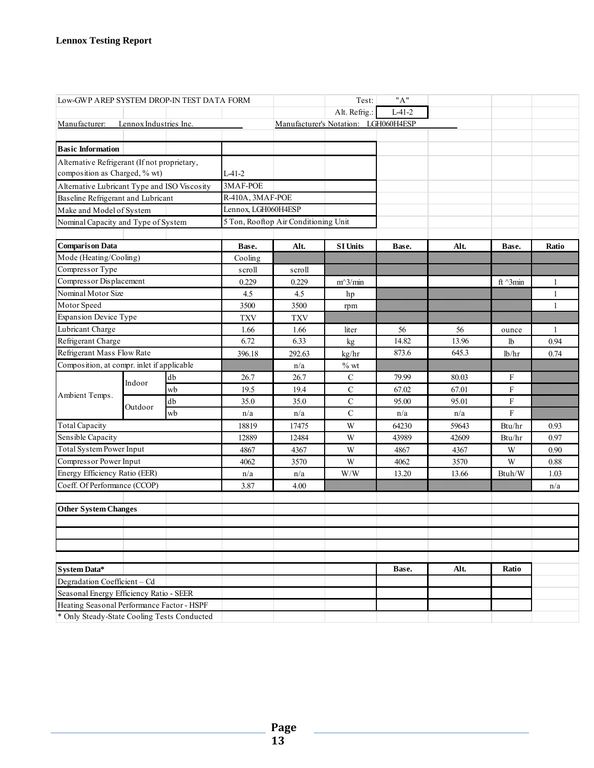| Low-GWP AREP SYSTEM DROP-IN TEST DATA FORM                             |                        |    |                                      |            | Test:                                | "A"      |       |                 |              |
|------------------------------------------------------------------------|------------------------|----|--------------------------------------|------------|--------------------------------------|----------|-------|-----------------|--------------|
|                                                                        |                        |    |                                      |            | Alt. Refrig.:                        | $L-41-2$ |       |                 |              |
| Manufacturer:                                                          | Lennox Industries Inc. |    |                                      |            | Manufacturer's Notation: LGH060H4ESP |          |       |                 |              |
|                                                                        |                        |    |                                      |            |                                      |          |       |                 |              |
| <b>Basic Information</b>                                               |                        |    |                                      |            |                                      |          |       |                 |              |
| Alternative Refrigerant (If not proprietary,                           |                        |    |                                      |            |                                      |          |       |                 |              |
| composition as Charged, % wt)                                          |                        |    | $L-41-2$                             |            |                                      |          |       |                 |              |
| Alternative Lubricant Type and ISO Viscosity                           |                        |    | 3MAF-POE                             |            |                                      |          |       |                 |              |
| Baseline Refrigerant and Lubricant                                     |                        |    | R-410A, 3MAF-POE                     |            |                                      |          |       |                 |              |
| Make and Model of System                                               |                        |    | Lennox, LGH060H4ESP                  |            |                                      |          |       |                 |              |
| Nominal Capacity and Type of System                                    |                        |    | 5 Ton, Rooftop Air Conditioning Unit |            |                                      |          |       |                 |              |
|                                                                        |                        |    |                                      |            |                                      |          |       |                 |              |
| <b>Comparison Data</b>                                                 |                        |    | Base.                                | Alt.       | <b>SI Units</b>                      | Base.    | Alt.  | Base.           | Ratio        |
| Mode (Heating/Cooling)                                                 |                        |    | Cooling                              |            |                                      |          |       |                 |              |
| Compressor Type                                                        |                        |    | scroll                               | scroll     |                                      |          |       |                 |              |
| Compressor Displacement                                                |                        |    | 0.229                                | 0.229      | $m^3/m$ in                           |          |       | ft $\land$ 3min | 1            |
| Nominal Motor Size                                                     |                        |    | 4.5                                  | 4.5        | hp                                   |          |       |                 | $\mathbf{1}$ |
| Motor Speed                                                            |                        |    | 3500                                 | 3500       | rpm                                  |          |       |                 | $\mathbf{1}$ |
| <b>Expansion Device Type</b>                                           |                        |    | <b>TXV</b>                           | <b>TXV</b> |                                      |          |       |                 |              |
| Lubricant Charge                                                       |                        |    | 1.66                                 | 1.66       | liter                                | 56       | 56    | ounce           | $\mathbf{1}$ |
| Refrigerant Charge                                                     |                        |    | 6.72                                 | 6.33       | kg                                   | 14.82    | 13.96 | lb              | 0.94         |
| Refrigerant Mass Flow Rate                                             |                        |    | 396.18                               | 292.63     | kg/hr                                | 873.6    | 645.3 | lb/hr           | 0.74         |
|                                                                        |                        |    |                                      | n/a        | $%$ wt                               |          |       |                 |              |
|                                                                        |                        | db | 26.7                                 | 26.7       | $\mathbf C$                          | 79.99    | 80.03 | F               |              |
| Composition, at compr. inlet if applicable<br>Indoor<br>Ambient Temps. |                        | wb | 19.5                                 | 19.4       | $\mathbf C$                          | 67.02    | 67.01 | F               |              |
|                                                                        | Outdoor                | db | 35.0                                 | 35.0       | $\mathbf C$                          | 95.00    | 95.01 | F               |              |
|                                                                        |                        | wb | n/a                                  | n/a        | $\mathsf{C}$                         | n/a      | n/a   | F               |              |
| <b>Total Capacity</b>                                                  |                        |    | 18819                                | 17475      | W                                    | 64230    | 59643 | Btu/hr          | 0.93         |
| Sensible Capacity                                                      |                        |    | 12889                                | 12484      | W                                    | 43989    | 42609 | Btu/hr          | 0.97         |
| Total System Power Input                                               |                        |    | 4867                                 | 4367       | W                                    | 4867     | 4367  | W               | 0.90         |
| Compressor Power Input                                                 |                        |    | 4062                                 | 3570       | W                                    | 4062     | 3570  | W               | 0.88         |
| Energy Efficiency Ratio (EER)                                          |                        |    | n/a                                  | n/a        | W/W                                  | 13.20    | 13.66 | Btuh/W          | 1.03         |
| Coeff. Of Performance (CCOP)                                           |                        |    | 3.87                                 | 4.00       |                                      |          |       |                 | n/a          |
| <b>Other System Changes</b>                                            |                        |    |                                      |            |                                      |          |       |                 |              |
|                                                                        |                        |    |                                      |            |                                      |          |       |                 |              |
|                                                                        |                        |    |                                      |            |                                      |          |       |                 |              |
|                                                                        |                        |    |                                      |            |                                      |          |       |                 |              |
|                                                                        |                        |    |                                      |            |                                      |          |       |                 |              |
| <b>System Data*</b>                                                    |                        |    |                                      |            |                                      | Base.    | Alt.  | Ratio           |              |
| Degradation Coefficient - Cd                                           |                        |    |                                      |            |                                      |          |       |                 |              |
| Seasonal Energy Efficiency Ratio - SEER                                |                        |    |                                      |            |                                      |          |       |                 |              |
| Heating Seasonal Performance Factor - HSPF                             |                        |    |                                      |            |                                      |          |       |                 |              |
| * Only Steady-State Cooling Tests Conducted                            |                        |    |                                      |            |                                      |          |       |                 |              |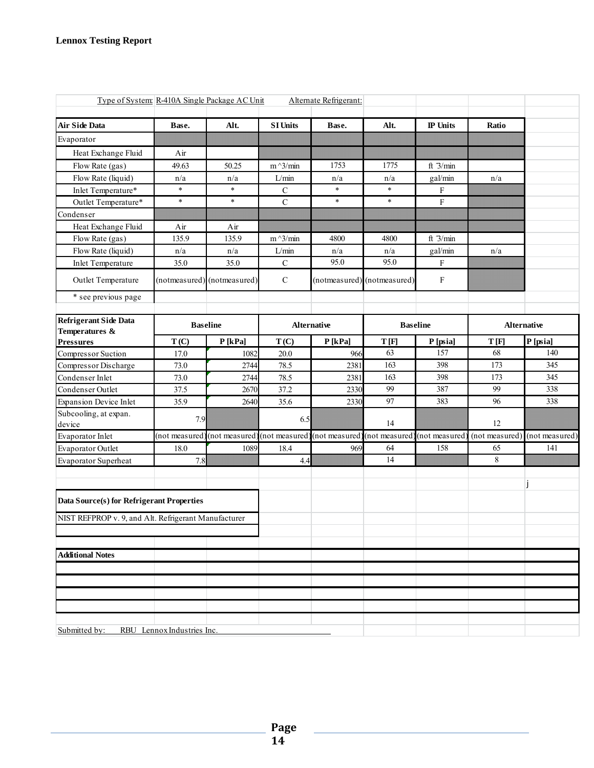| Type of System: R-410A Single Package AC Unit        |                           |                              |                   | Alternate Refrigerant: |                 |                 |                |                    |
|------------------------------------------------------|---------------------------|------------------------------|-------------------|------------------------|-----------------|-----------------|----------------|--------------------|
| <b>Air Side Data</b>                                 | Base.                     | Alt.                         | <b>SI Units</b>   | Base.                  | Alt.            | <b>IP</b> Units | Ratio          |                    |
| Evaporator                                           |                           |                              |                   |                        |                 |                 |                |                    |
| Heat Exchange Fluid                                  | Air                       |                              |                   |                        |                 |                 |                |                    |
| Flow Rate (gas)                                      | 49.63                     | 50.25                        | $m^2/$ min        | 1753                   | 1775            | ft $3/min$      |                |                    |
| Flow Rate (liquid)                                   | n/a                       | n/a                          | $L/\mathrm{min}$  | n/a                    | n/a             | gal/min         | n/a            |                    |
| Inlet Temperature*                                   | $\ast$                    | $\ast$                       | C                 | $\ast$                 | $\ast$          | $\mathbf F$     |                |                    |
| Outlet Temperature*                                  | $\ast$                    | $\ast$                       | $\overline{C}$    | $\ast$                 | $\ast$          | $\mathbf{F}$    |                |                    |
| Condenser                                            |                           |                              |                   |                        |                 |                 |                |                    |
| Heat Exchange Fluid                                  | Air                       | Air                          |                   |                        |                 |                 |                |                    |
| Flow Rate (gas)                                      | 135.9                     | 135.9                        | $m^{\wedge}3/min$ | 4800                   | 4800            | ft $3/min$      |                |                    |
| Flow Rate (liquid)                                   | n/a                       | n/a                          | L/min             | n/a                    | n/a             | gal/min         | n/a            |                    |
| <b>Inlet Temperature</b>                             | 35.0                      | 35.0                         | ${\bf C}$         | 95.0                   | 95.0            | F               |                |                    |
| Outlet Temperature                                   |                           | (notmeasured) (notmeasured)  | $\mathcal{C}$     | (notmeasured)          | (notmeasured)   | F               |                |                    |
| * see previous page                                  |                           |                              |                   |                        |                 |                 |                |                    |
| <b>Refrigerant Side Data</b><br>Temperatures &       |                           | <b>Baseline</b>              |                   | <b>Alternative</b>     | <b>Baseline</b> |                 |                | <b>Alternative</b> |
| <b>Pressures</b>                                     | T(C)                      | P[kPa]                       | T(C)              | $P$ [kPa]              | T[F]            | P [psia]        | T[F]           | P [psia]           |
| Compressor Suction                                   | 17.0                      | 1082                         | 20.0              | 966                    | 63              | 157             | 68             | 140                |
| Compressor Discharge                                 | 73.0                      | 2744                         | 78.5              | 2381                   | 163             | 398             | 173            | 345                |
| Condenser Inlet                                      | 73.0                      | 2744                         | 78.5              | 2381                   | 163             | 398             | 173            | 345                |
| Condenser Outlet                                     | 37.5                      | 2670                         | 37.2              | 2330                   | 99              | 387             | 99             | 338                |
| <b>Expansion Device Inlet</b>                        | 35.9                      | 2640                         | 35.6              | 2330                   | 97              | 383             | 96             | 338                |
| Subcooling, at expan.<br>device                      | 7.9                       |                              | 6.5               |                        | 14              |                 | 12             |                    |
| Evaporator Inlet                                     | (not measured             | (not measured) (not measured |                   | (not measured)         | (not measured   | (not measured   | (not measured) | (not measured)     |
| Evaporator Outlet                                    | 18.0                      | 1089                         | 18.4              | 969                    | 64              | 158             | 65             | 141                |
| Evaporator Superheat                                 | 7.8                       |                              | 4.4               |                        | 14              |                 | 8              |                    |
| Data Source(s) for Refrigerant Properties            |                           |                              |                   |                        |                 |                 |                |                    |
| NIST REFPROP v. 9, and Alt. Refrigerant Manufacturer |                           |                              |                   |                        |                 |                 |                |                    |
|                                                      |                           |                              |                   |                        |                 |                 |                |                    |
| <b>Additional Notes</b>                              |                           |                              |                   |                        |                 |                 |                |                    |
|                                                      |                           |                              |                   |                        |                 |                 |                |                    |
|                                                      |                           |                              |                   |                        |                 |                 |                |                    |
|                                                      |                           |                              |                   |                        |                 |                 |                |                    |
|                                                      |                           |                              |                   |                        |                 |                 |                |                    |
| Submitted by:                                        | RBU Lennox Industries Inc |                              |                   |                        |                 |                 |                |                    |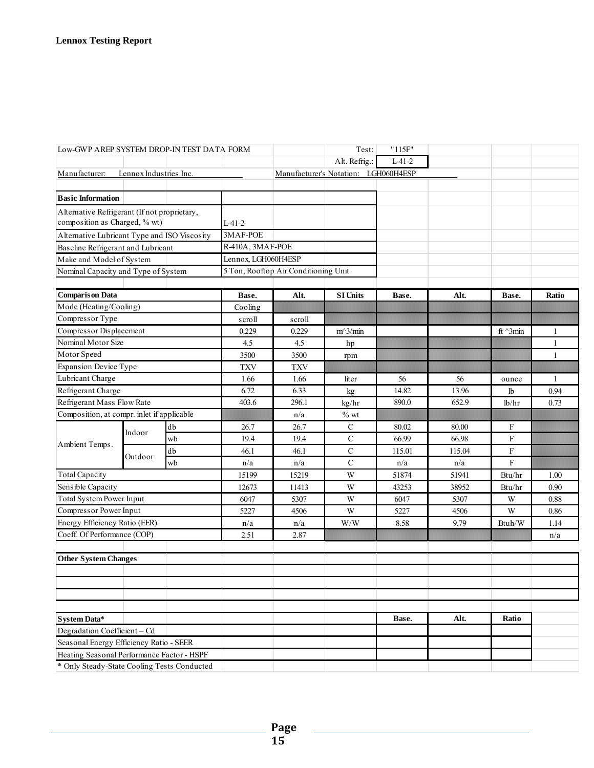| Low-GWP AREP SYSTEM DROP-IN TEST DATA FORM   |                                              |                  |                                      |            | Test:                                | "115F"   |                     |              |       |
|----------------------------------------------|----------------------------------------------|------------------|--------------------------------------|------------|--------------------------------------|----------|---------------------|--------------|-------|
|                                              |                                              |                  |                                      |            | Alt. Refrig.:                        | $L-41-2$ |                     |              |       |
| Manufacturer:                                | Lennox Industries Inc.                       |                  |                                      |            | Manufacturer's Notation: LGH060H4ESP |          |                     |              |       |
|                                              |                                              |                  |                                      |            |                                      |          |                     |              |       |
| <b>Basic Information</b>                     |                                              |                  |                                      |            |                                      |          |                     |              |       |
| Alternative Refrigerant (If not proprietary, |                                              |                  |                                      |            |                                      |          |                     |              |       |
| composition as Charged, % wt)                |                                              |                  | $L-41-2$                             |            |                                      |          |                     |              |       |
|                                              | Alternative Lubricant Type and ISO Viscosity |                  | 3MAF-POE                             |            |                                      |          |                     |              |       |
|                                              | Baseline Refrigerant and Lubricant           |                  | R-410A, 3MAF-POE                     |            |                                      |          |                     |              |       |
|                                              | Make and Model of System                     |                  | Lennox, LGH060H4ESP                  |            |                                      |          |                     |              |       |
| Nominal Capacity and Type of System          |                                              |                  | 5 Ton, Rooftop Air Conditioning Unit |            |                                      |          |                     |              |       |
|                                              |                                              |                  |                                      |            |                                      |          |                     |              |       |
| <b>Comparison Data</b>                       |                                              |                  | Base.                                | Alt.       | <b>SI Units</b>                      | Base.    | Alt.                | Base.        | Ratio |
| Mode (Heating/Cooling)                       |                                              | Cooling          |                                      |            |                                      |          |                     |              |       |
| Compressor Type                              |                                              |                  | scroll                               | scroll     |                                      |          |                     |              |       |
| Compressor Displacement                      |                                              | 0.229            | 0.229                                | $m^3/m$ in |                                      |          | ft $^{\wedge}$ 3min | $\mathbf{1}$ |       |
| Nominal Motor Size                           |                                              | 4.5              | 4.5                                  | hp         |                                      |          |                     | $\mathbf{1}$ |       |
| Motor Speed                                  |                                              | 3500             | 3500                                 | rpm        |                                      |          |                     | $\mathbf{1}$ |       |
| <b>Expansion Device Type</b>                 |                                              | <b>TXV</b>       | <b>TXV</b>                           |            |                                      |          |                     |              |       |
| Lubricant Charge                             |                                              | 1.66             | 1.66                                 | liter      | 56                                   | 56       | ounce               | $\mathbf{1}$ |       |
| Refrigerant Charge                           |                                              | 6.72             | 6.33                                 | kg         | 14.82                                | 13.96    | lb                  | 0.94         |       |
| Refrigerant Mass Flow Rate                   |                                              |                  | 403.6                                | 296.1      | kg/hr                                | 890.0    | 652.9               | lb/hr        | 0.73  |
| Composition, at compr. inlet if applicable   |                                              |                  | n/a                                  | $\%$ wt    |                                      |          |                     |              |       |
| Indoor                                       |                                              | ${\rm d}{\rm b}$ | 26.7                                 | 26.7       | $\mathbf C$                          | 80.02    | 80.00               | F            |       |
| Ambient Temps.                               |                                              | wb               | 19.4                                 | 19.4       | $\mathbf C$                          | 66.99    | 66.98               | F            |       |
|                                              | Outdoor                                      | db               | 46.1                                 | 46.1       | $\mathbf C$                          | 115.01   | 115.04              | F            |       |
|                                              |                                              | wb               | n/a                                  | n/a        | $\mathbf C$                          | n/a      | n/a                 | F            |       |
| <b>Total Capacity</b>                        |                                              |                  | 15199                                | 15219      | W                                    | 51874    | 51941               | Btu/hr       | 1.00  |
| Sensible Capacity                            |                                              |                  | 12673                                | 11413      | W                                    | 43253    | 38952               | Btu/hr       | 0.90  |
| Total System Power Input                     |                                              |                  | 6047                                 | 5307       | W                                    | 6047     | 5307                | W            | 0.88  |
| Compressor Power Input                       |                                              |                  | 5227                                 | 4506       | W                                    | 5227     | 4506                | W            | 0.86  |
| Energy Efficiency Ratio (EER)                |                                              |                  | n/a                                  | n/a        | W/W                                  | 8.58     | 9.79                | Btuh/W       | 1.14  |
| Coeff. Of Performance (COP)                  |                                              |                  | 2.51                                 | 2.87       |                                      |          |                     |              | n/a   |
|                                              |                                              |                  |                                      |            |                                      |          |                     |              |       |
| <b>Other System Changes</b>                  |                                              |                  |                                      |            |                                      |          |                     |              |       |
|                                              |                                              |                  |                                      |            |                                      |          |                     |              |       |
|                                              |                                              |                  |                                      |            |                                      |          |                     |              |       |
|                                              |                                              |                  |                                      |            |                                      |          |                     |              |       |
|                                              |                                              |                  |                                      |            |                                      |          |                     |              |       |
| <b>System Data*</b>                          |                                              |                  |                                      |            |                                      | Base.    | Alt.                | Ratio        |       |
| Degradation Coefficient - Cd                 |                                              |                  |                                      |            |                                      |          |                     |              |       |
| Seasonal Energy Efficiency Ratio - SEER      |                                              |                  |                                      |            |                                      |          |                     |              |       |
| Heating Seasonal Performance Factor - HSPF   |                                              |                  |                                      |            |                                      |          |                     |              |       |
| * Only Steady-State Cooling Tests Conducted  |                                              |                  |                                      |            |                                      |          |                     |              |       |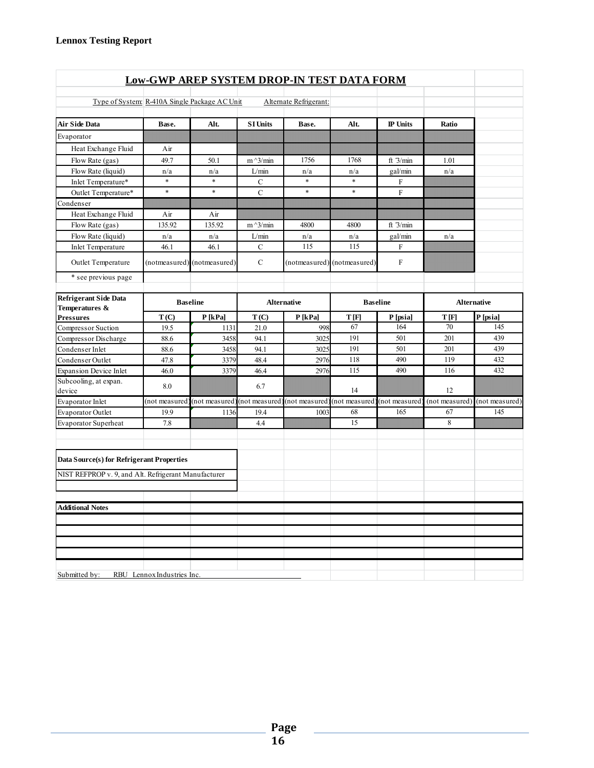|                                                      |                | Low-GWP AREP SYSTEM DROP-IN TEST DATA FORM                                |                 |                        |                             |                 |                |                |
|------------------------------------------------------|----------------|---------------------------------------------------------------------------|-----------------|------------------------|-----------------------------|-----------------|----------------|----------------|
| Type of System: R-410A Single Package AC Unit        |                |                                                                           |                 | Alternate Refrigerant: |                             |                 |                |                |
|                                                      |                |                                                                           |                 |                        |                             |                 |                |                |
| <b>Air Side Data</b>                                 | Base.          | Alt.                                                                      | <b>SI Units</b> | Base.                  | Alt.                        | <b>IP</b> Units | Ratio          |                |
| Evaporator                                           |                |                                                                           |                 |                        |                             |                 |                |                |
| Heat Exchange Fluid                                  | Air            |                                                                           |                 |                        |                             |                 |                |                |
| Flow Rate (gas)                                      | 49.7           | 50.1                                                                      | $m^2/$ min      | 1756                   | 1768                        | ft $3/min$      | 1.01           |                |
| Flow Rate (liquid)                                   | n/a            | n/a                                                                       | L/min           | n/a                    | n/a                         | gal/min         | n/a            |                |
| Inlet Temperature*                                   | $\ast$         | $\ast$                                                                    | C               | $\ast$                 | $\frac{1}{2}$               | F               |                |                |
| Outlet Temperature*                                  | $\ast$         | $\ast$                                                                    | $\mathbf C$     | $\ast$                 | $\ast$                      | F               |                |                |
| Condenser                                            |                |                                                                           |                 |                        |                             |                 |                |                |
| Heat Exchange Fluid                                  | Air            | Air                                                                       |                 |                        |                             |                 |                |                |
| Flow Rate (gas)                                      | 135.92         | 135.92                                                                    | $m^2/$ min      | 4800                   | 4800                        | ft $3/min$      |                |                |
| Flow Rate (liquid)                                   | n/a            | n/a                                                                       | L/min           | n/a                    | n/a                         | gal/min         | n/a            |                |
| <b>Inlet Temperature</b>                             | 46.1           | 46.1                                                                      | $\mathbf C$     | 115                    | 115                         | F               |                |                |
| Outlet Temperature                                   |                | (notmeasured) (notmeasured)                                               | $\mathbf C$     |                        | (notmeasured) (notmeasured) | F               |                |                |
| * see previous page                                  |                |                                                                           |                 |                        |                             |                 |                |                |
| <b>Refrigerant Side Data</b>                         |                | <b>Baseline</b>                                                           |                 | Alternative            | <b>Baseline</b>             |                 | Alternative    |                |
| Temperatures &<br><b>Pressures</b>                   | T(C)           | $P$ [kPa]                                                                 | T(C)            | $P$ [kPa]              | T[F]                        | P [psia]        | T[F]           | P [psia]       |
| Compressor Suction                                   | 19.5           | 1131                                                                      | 21.0            | 998                    | 67                          | 164             | 70             | 145            |
| Compressor Discharge                                 | 88.6           | 3458                                                                      | 94.1            | 3025                   | 191                         | 501             | 201            | 439            |
| Condenser Inlet                                      | 88.6           | 3458                                                                      | 94.1            | 3025                   | 191                         | 501             | 201            | 439            |
| Condenser Outlet                                     | 47.8           | 3379                                                                      | 48.4            | 2976                   | 118                         | 490             | 119            | 432            |
| <b>Expansion Device Inlet</b>                        | 46.0           | 3379                                                                      | 46.4            | 2976                   | 115                         | 490             | 116            | 432            |
| Subcooling, at expan.<br>device                      | 8.0            |                                                                           | 6.7             |                        | 14                          |                 | 12             |                |
| Evaporator Inlet                                     | (not measured) | (not measured) (not measured) (not measured) (not measured) (not measured |                 |                        |                             |                 | (not measured) | (not measured) |
| Evaporator Outlet                                    | 19.9           | 1136                                                                      | 19.4            | 1003                   | 68                          | 165             | 67             | 145            |
| Evaporator Superheat                                 | 7.8            |                                                                           | 4.4             |                        | 15                          |                 | 8              |                |
|                                                      |                |                                                                           |                 |                        |                             |                 |                |                |
| Data Source(s) for Refrigerant Properties            |                |                                                                           |                 |                        |                             |                 |                |                |
| NIST REFPROP v. 9, and Alt. Refrigerant Manufacturer |                |                                                                           |                 |                        |                             |                 |                |                |
|                                                      |                |                                                                           |                 |                        |                             |                 |                |                |
| <b>Additional Notes</b>                              |                |                                                                           |                 |                        |                             |                 |                |                |
|                                                      |                |                                                                           |                 |                        |                             |                 |                |                |
|                                                      |                |                                                                           |                 |                        |                             |                 |                |                |
|                                                      |                |                                                                           |                 |                        |                             |                 |                |                |
|                                                      |                |                                                                           |                 |                        |                             |                 |                |                |
|                                                      |                |                                                                           |                 |                        |                             |                 |                |                |
| Submitted by: RBU Lennox Industries Inc.             |                |                                                                           |                 |                        |                             |                 |                |                |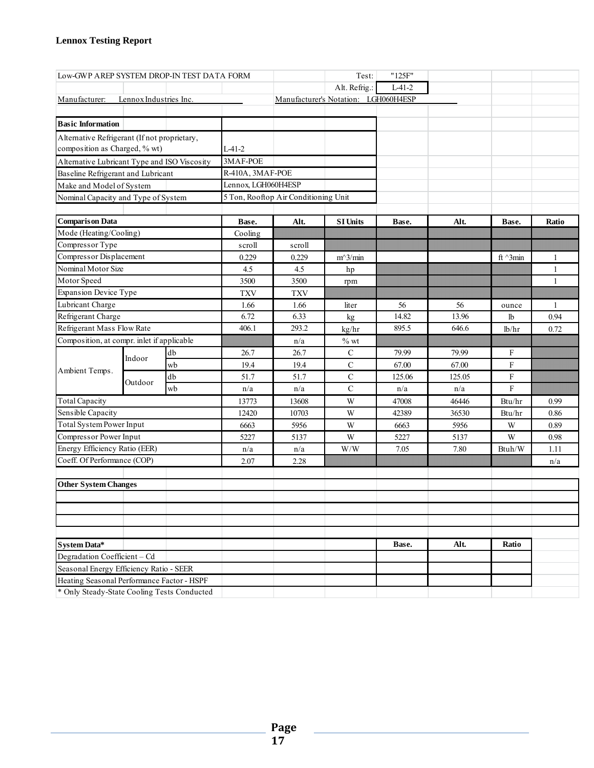| Low-GWP AREP SYSTEM DROP-IN TEST DATA FORM                              |                                     |    |                     |                                      | Test:                                                       | "125F"   |        |                  |              |
|-------------------------------------------------------------------------|-------------------------------------|----|---------------------|--------------------------------------|-------------------------------------------------------------|----------|--------|------------------|--------------|
|                                                                         | Lennox Industries Inc.              |    |                     |                                      | Alt. Refrig.:                                               | $L-41-2$ |        |                  |              |
| Manufacturer:                                                           |                                     |    |                     |                                      | Manufacturer's Notation: LGH060H4ESP                        |          |        |                  |              |
|                                                                         |                                     |    |                     |                                      |                                                             |          |        |                  |              |
| <b>Basic Information</b>                                                |                                     |    |                     |                                      |                                                             |          |        |                  |              |
| Alternative Refrigerant (If not proprietary,                            |                                     |    |                     |                                      |                                                             |          |        |                  |              |
| composition as Charged, % wt)                                           |                                     |    | $L-41-2$            |                                      |                                                             |          |        |                  |              |
| Alternative Lubricant Type and ISO Viscosity                            |                                     |    | 3MAF-POE            |                                      |                                                             |          |        |                  |              |
| Baseline Refrigerant and Lubricant                                      |                                     |    | R-410A, 3MAF-POE    |                                      |                                                             |          |        |                  |              |
|                                                                         | Make and Model of System            |    | Lennox, LGH060H4ESP |                                      |                                                             |          |        |                  |              |
|                                                                         | Nominal Capacity and Type of System |    |                     | 5 Ton, Rooftop Air Conditioning Unit |                                                             |          |        |                  |              |
|                                                                         |                                     |    |                     |                                      |                                                             |          |        |                  |              |
| <b>Comparison Data</b>                                                  |                                     |    | Base.               | Alt.                                 | <b>SI Units</b>                                             | Base.    | Alt.   | Base.            | Ratio        |
| Mode (Heating/Cooling)                                                  |                                     |    | Cooling             |                                      |                                                             |          |        |                  |              |
| Compressor Type                                                         |                                     |    | scroll              | scroll                               |                                                             |          |        |                  |              |
| Compressor Displacement                                                 |                                     |    | 0.229               | 0.229                                | $m^3/min$                                                   |          |        | ft $\gamma$ 3min | 1            |
| Nominal Motor Size                                                      |                                     |    | 4.5                 | 4.5                                  | hp                                                          |          |        |                  | 1            |
| Motor Speed                                                             |                                     |    | 3500                | 3500                                 | rpm                                                         |          |        |                  | $\mathbf{1}$ |
| <b>Expansion Device Type</b>                                            |                                     |    | <b>TXV</b>          | <b>TXV</b>                           |                                                             |          |        |                  |              |
| Lubricant Charge                                                        |                                     |    | 1.66                | 1.66                                 | liter                                                       | 56       | 56     | ounce            | $\mathbf{1}$ |
| Refrigerant Charge                                                      |                                     |    | 6.72                | 6.33                                 | kg                                                          | 14.82    | 13.96  | lb               | 0.94         |
| Refrigerant Mass Flow Rate                                              |                                     |    | 406.1               | 293.2                                | kg/hr                                                       | 895.5    | 646.6  | lb/hr            | 0.72         |
| Composition, at compr. inlet if applicable                              |                                     |    |                     | n/a                                  | $%$ wt                                                      |          |        |                  |              |
|                                                                         | Indoor                              | db | 26.7                | 26.7                                 | $\mathcal{C}$                                               | 79.99    | 79.99  | F                |              |
| Ambient Temps.                                                          |                                     | wb | 19.4                | 19.4                                 | $\mathbf C$                                                 | 67.00    | 67.00  | F                |              |
|                                                                         | Outdoor                             | db | 51.7                | 51.7                                 | $\mathbf C$                                                 | 125.06   | 125.05 | F                |              |
|                                                                         |                                     | wb | n/a                 | n/a                                  | $\mathsf{C}$                                                | n/a      | n/a    | F                |              |
| <b>Total Capacity</b>                                                   |                                     |    | 13773               | 13608                                | W                                                           | 47008    | 46446  | Btu/hr           | 0.99         |
| Sensible Capacity                                                       |                                     |    | 12420               | 10703                                | W                                                           | 42389    | 36530  | Btu/hr           | 0.86         |
| <b>Total System Power Input</b>                                         |                                     |    | 6663                | 5956                                 | W                                                           | 6663     | 5956   | W                | 0.89         |
| Compressor Power Input                                                  |                                     |    | 5227                | 5137                                 | W                                                           | 5227     | 5137   | W                | 0.98         |
| Energy Efficiency Ratio (EER)                                           |                                     |    | n/a                 | n/a                                  | $\ensuremath{\text{W}}\xspace/\ensuremath{\text{W}}\xspace$ | 7.05     | 7.80   | Btuh/W           | 1.11         |
| Coeff. Of Performance (COP)                                             |                                     |    | 2.07                | 2.28                                 |                                                             |          |        |                  | n/a          |
|                                                                         |                                     |    |                     |                                      |                                                             |          |        |                  |              |
| <b>Other System Changes</b>                                             |                                     |    |                     |                                      |                                                             |          |        |                  |              |
|                                                                         |                                     |    |                     |                                      |                                                             |          |        |                  |              |
|                                                                         |                                     |    |                     |                                      |                                                             |          |        |                  |              |
|                                                                         |                                     |    |                     |                                      |                                                             |          |        |                  |              |
|                                                                         |                                     |    |                     |                                      |                                                             | Base.    | Alt.   | Ratio            |              |
| System Data*                                                            |                                     |    |                     |                                      |                                                             |          |        |                  |              |
| Degradation Coefficient - Cd<br>Seasonal Energy Efficiency Ratio - SEER |                                     |    |                     |                                      |                                                             |          |        |                  |              |
| Heating Seasonal Performance Factor - HSPF                              |                                     |    |                     |                                      |                                                             |          |        |                  |              |
| * Only Steady-State Cooling Tests Conducted                             |                                     |    |                     |                                      |                                                             |          |        |                  |              |
|                                                                         |                                     |    |                     |                                      |                                                             |          |        |                  |              |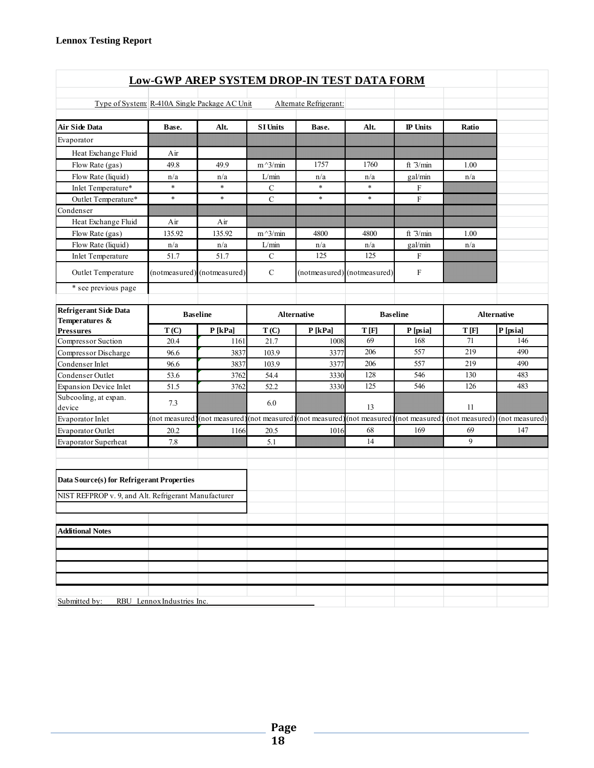| <b>Low-GWP AREP SYSTEM DROP-IN TEST DATA FORM</b>    |                            |                                              |                 |                        |                               |                           |                |                    |  |  |
|------------------------------------------------------|----------------------------|----------------------------------------------|-----------------|------------------------|-------------------------------|---------------------------|----------------|--------------------|--|--|
|                                                      |                            |                                              |                 |                        |                               |                           |                |                    |  |  |
| Type of System: R-410A Single Package AC Unit        |                            |                                              |                 | Alternate Refrigerant: |                               |                           |                |                    |  |  |
| <b>Air Side Data</b>                                 | Base.                      | Alt.                                         | <b>SI Units</b> | Base.                  | Alt.                          | IP Units                  | Ratio          |                    |  |  |
| Evaporator                                           |                            |                                              |                 |                        |                               |                           |                |                    |  |  |
| Heat Exchange Fluid                                  | Air                        |                                              |                 |                        |                               |                           |                |                    |  |  |
| Flow Rate (gas)                                      | 49.8                       | 49.9                                         | $m^2/$ min      | 1757                   | 1760                          | ft $3/min$                | 1.00           |                    |  |  |
| Flow Rate (liquid)                                   | n/a                        | n/a                                          | L/min           | n/a                    | n/a                           | gal/min                   | n/a            |                    |  |  |
| Inlet Temperature*                                   | $\ast$                     | $\ast$                                       | C               | $\ast$                 | $\ast$                        | F                         |                |                    |  |  |
| Outlet Temperature*                                  | $\ast$                     | $\ast$                                       | $\mathcal{C}$   | $\ast$                 | $\ast$                        | $\mathbf F$               |                |                    |  |  |
| Condenser                                            |                            |                                              |                 |                        |                               |                           |                |                    |  |  |
| Heat Exchange Fluid                                  | Air                        | Air                                          |                 |                        |                               |                           |                |                    |  |  |
| Flow Rate (gas)                                      | 135.92                     | 135.92                                       | $m^3/m$ in      | 4800                   | 4800                          | ft $3/min$                | 1.00           |                    |  |  |
| Flow Rate (liquid)                                   | n/a                        | n/a                                          | L/min           | n/a                    | n/a                           | gal/min                   | n/a            |                    |  |  |
| <b>Inlet Temperature</b>                             | 51.7                       | 51.7                                         | $\mathcal{C}$   | 125                    | 125                           | $\mathbf{F}$              |                |                    |  |  |
| Outlet Temperature                                   |                            | (notmeasured) (notmeasured)                  | $\mathcal{C}$   |                        | (notmeasured) (notmeasured)   | $\boldsymbol{\mathrm{F}}$ |                |                    |  |  |
| * see previous page                                  |                            |                                              |                 |                        |                               |                           |                |                    |  |  |
| <b>Refrigerant Side Data</b><br>Temperatures &       | <b>Baseline</b>            |                                              |                 | <b>Alternative</b>     |                               | <b>Baseline</b>           |                | <b>Alternative</b> |  |  |
| <b>Pressures</b>                                     | T(C)                       | P[kPa]                                       | T(C)            | P[kPa]                 | T[F]                          | P [psia]                  | T[F]           | P [psia]           |  |  |
| Compressor Suction                                   | 20.4                       | 1161                                         | 21.7            | 1008                   | 69                            | 168                       | 71             | 146                |  |  |
| Compressor Discharge                                 | 96.6                       | 3837                                         | 103.9           | 3377                   | 206                           | 557                       | 219            | 490                |  |  |
| Condenser Inlet                                      | 96.6                       | 3837                                         | 103.9           | 3377                   | 206                           | 557                       | 219            | 490                |  |  |
| Condenser Outlet                                     | 53.6                       | 3762                                         | 54.4            | 3330                   | 128                           | 546                       | 130            | 483                |  |  |
| <b>Expansion Device Inlet</b>                        | 51.5                       | 3762                                         | 52.2            | 3330                   | 125                           | 546                       | 126            | 483                |  |  |
| Subcooling, at expan.<br>device                      | 7.3                        |                                              | 6.0             |                        | 13                            |                           | 11             |                    |  |  |
| Evaporator Inlet                                     |                            | (not measured) (not measured) (not measured) |                 |                        | (not measured) (not measured) | (not measured)            | (not measured) | (not measured)     |  |  |
| Evaporator Outlet                                    | 20.2                       | 1166                                         | 20.5            | 1016                   | 68                            | 169                       | 69             | 147                |  |  |
| Evaporator Superheat                                 | 7.8                        |                                              | 5.1             |                        | 14                            |                           | 9              |                    |  |  |
| Data Source(s) for Refrigerant Properties            |                            |                                              |                 |                        |                               |                           |                |                    |  |  |
| NIST REFPROP v. 9, and Alt. Refrigerant Manufacturer |                            |                                              |                 |                        |                               |                           |                |                    |  |  |
|                                                      |                            |                                              |                 |                        |                               |                           |                |                    |  |  |
| <b>Additional Notes</b>                              |                            |                                              |                 |                        |                               |                           |                |                    |  |  |
|                                                      |                            |                                              |                 |                        |                               |                           |                |                    |  |  |
|                                                      |                            |                                              |                 |                        |                               |                           |                |                    |  |  |
|                                                      |                            |                                              |                 |                        |                               |                           |                |                    |  |  |
|                                                      |                            |                                              |                 |                        |                               |                           |                |                    |  |  |
| Submitted by:                                        | RBU Lennox Industries Inc. |                                              |                 |                        |                               |                           |                |                    |  |  |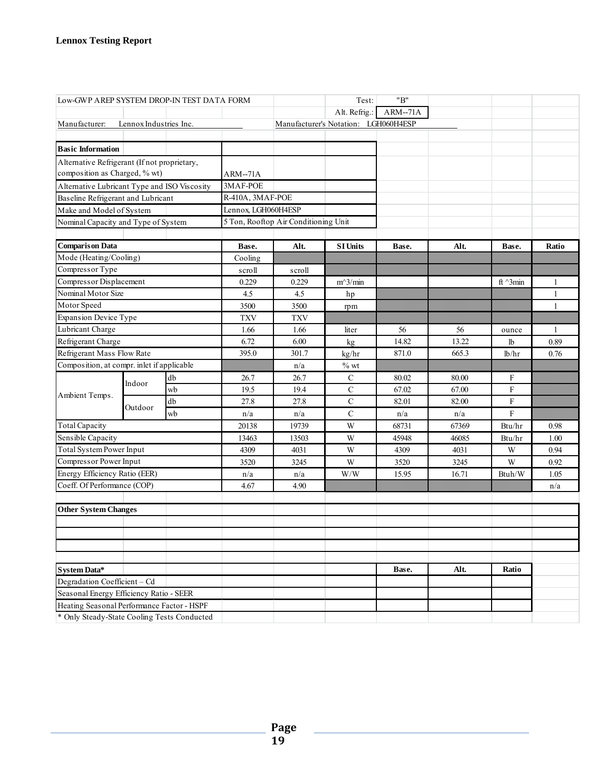| Low-GWP AREP SYSTEM DROP-IN TEST DATA FORM          |                        |      |                     |                                      | Test:                                | "B"       |       |                 |                |
|-----------------------------------------------------|------------------------|------|---------------------|--------------------------------------|--------------------------------------|-----------|-------|-----------------|----------------|
|                                                     |                        |      |                     |                                      | Alt. Refrig.:                        | $ARM-71A$ |       |                 |                |
| Manufacturer:                                       | Lennox Industries Inc. |      |                     |                                      | Manufacturer's Notation: LGH060H4ESP |           |       |                 |                |
|                                                     |                        |      |                     |                                      |                                      |           |       |                 |                |
| <b>Basic Information</b>                            |                        |      |                     |                                      |                                      |           |       |                 |                |
| Alternative Refrigerant (If not proprietary,        |                        |      |                     |                                      |                                      |           |       |                 |                |
| composition as Charged, % wt)                       |                        |      | ARM--71A            |                                      |                                      |           |       |                 |                |
| Alternative Lubricant Type and ISO Viscosity        |                        |      | 3MAF-POE            |                                      |                                      |           |       |                 |                |
| Baseline Refrigerant and Lubricant                  |                        |      | R-410A, 3MAF-POE    |                                      |                                      |           |       |                 |                |
| Make and Model of System                            |                        |      | Lennox, LGH060H4ESP |                                      |                                      |           |       |                 |                |
| Nominal Capacity and Type of System                 |                        |      |                     | 5 Ton, Rooftop Air Conditioning Unit |                                      |           |       |                 |                |
|                                                     |                        |      |                     |                                      |                                      |           |       |                 |                |
| <b>Comparison Data</b>                              |                        |      | Base.               | Alt.                                 | <b>SI Units</b>                      | Base.     | Alt.  | Base.           | Ratio          |
| Mode (Heating/Cooling)                              |                        |      | Cooling             |                                      |                                      |           |       |                 |                |
| Compressor Type                                     |                        |      | scroll              | scroll                               |                                      |           |       |                 |                |
| Compressor Displacement                             |                        |      | 0.229               | 0.229                                | $m^3/m$ in                           |           |       | ft $\land$ 3min | $\overline{1}$ |
| Nominal Motor Size                                  |                        |      | 4.5                 | 4.5                                  | hp                                   |           |       |                 | $\mathbf{1}$   |
| Motor Speed                                         |                        |      | 3500                | 3500                                 | rpm                                  |           |       |                 | $\mathbf{1}$   |
| <b>Expansion Device Type</b>                        |                        |      | <b>TXV</b>          | <b>TXV</b>                           |                                      |           |       |                 |                |
| Lubricant Charge                                    |                        | 1.66 | 1.66                | liter                                | 56                                   | 56        | ounce | $\mathbf{1}$    |                |
| Refrigerant Charge                                  |                        | 6.72 | 6.00                | kg                                   | 14.82                                | 13.22     | lb    | 0.89            |                |
| Refrigerant Mass Flow Rate                          |                        |      | 395.0               | 301.7                                | kg/hr                                | 871.0     | 665.3 | lb/hr           | 0.76           |
| Composition, at compr. inlet if applicable          |                        |      | n/a                 | $\%$ wt                              |                                      |           |       |                 |                |
| Indoor<br>Ambient Temps.                            | db                     | 26.7 | 26.7                | ${\bf C}$                            | 80.02                                | 80.00     | F     |                 |                |
|                                                     |                        | wb   | 19.5                | 19.4                                 | $\mathbf C$                          | 67.02     | 67.00 | $\mathbf F$     |                |
|                                                     | Outdoor                | db   | 27.8                | 27.8                                 | $\mathbf C$                          | 82.01     | 82.00 | $\mathbf F$     |                |
|                                                     |                        | wb   | n/a                 | n/a                                  | $\mathbf C$                          | n/a       | n/a   | F               |                |
| <b>Total Capacity</b>                               |                        |      | 20138               | 19739                                | W                                    | 68731     | 67369 | Btu/hr          | 0.98           |
| Sensible Capacity                                   |                        |      | 13463               | 13503                                | W                                    | 45948     | 46085 | Btu/hr          | 1.00           |
| <b>Total System Power Input</b>                     |                        |      | 4309                | 4031                                 | W                                    | 4309      | 4031  | W               | 0.94           |
| Compressor Power Input                              |                        |      | 3520                | 3245                                 | W                                    | 3520      | 3245  | W               | 0.92           |
| Energy Efficiency Ratio (EER)                       |                        |      | n/a                 | n/a                                  | W/W                                  | 15.95     | 16.71 | Btuh/W          | 1.05           |
| Coeff. Of Performance (COP)                         |                        |      | 4.67                | 4.90                                 |                                      |           |       |                 | n/a            |
|                                                     |                        |      |                     |                                      |                                      |           |       |                 |                |
| <b>Other System Changes</b>                         |                        |      |                     |                                      |                                      |           |       |                 |                |
|                                                     |                        |      |                     |                                      |                                      |           |       |                 |                |
|                                                     |                        |      |                     |                                      |                                      |           |       |                 |                |
|                                                     |                        |      |                     |                                      |                                      |           |       |                 |                |
|                                                     |                        |      |                     |                                      |                                      | Base.     | Alt.  | Ratio           |                |
| <b>System Data*</b><br>Degradation Coefficient - Cd |                        |      |                     |                                      |                                      |           |       |                 |                |
| Seasonal Energy Efficiency Ratio - SEER             |                        |      |                     |                                      |                                      |           |       |                 |                |
| Heating Seasonal Performance Factor - HSPF          |                        |      |                     |                                      |                                      |           |       |                 |                |
| * Only Steady-State Cooling Tests Conducted         |                        |      |                     |                                      |                                      |           |       |                 |                |
|                                                     |                        |      |                     |                                      |                                      |           |       |                 |                |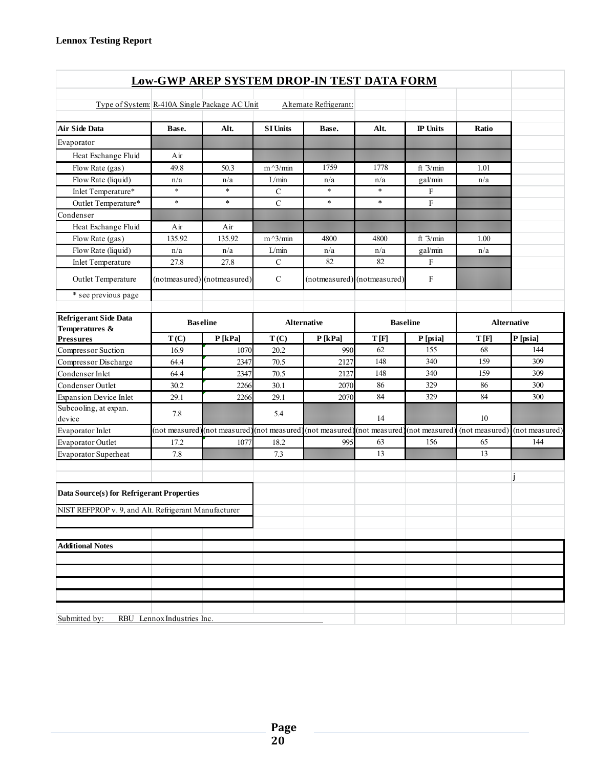| <b>Low-GWP AREP SYSTEM DROP-IN TEST DATA FORM</b>    |                            |                                             |                 |                        |                                             |                 |                    |                |  |  |  |
|------------------------------------------------------|----------------------------|---------------------------------------------|-----------------|------------------------|---------------------------------------------|-----------------|--------------------|----------------|--|--|--|
|                                                      |                            |                                             |                 |                        |                                             |                 |                    |                |  |  |  |
| Type of System: R-410A Single Package AC Unit        |                            |                                             |                 | Alternate Refrigerant: |                                             |                 |                    |                |  |  |  |
| <b>Air Side Data</b>                                 | Base.                      | Alt.                                        | <b>SI Units</b> | Base.                  | Alt.                                        | <b>IP</b> Units | Ratio              |                |  |  |  |
| Evaporator                                           |                            |                                             |                 |                        |                                             |                 |                    |                |  |  |  |
| Heat Exchange Fluid                                  | Air                        |                                             |                 |                        |                                             |                 |                    |                |  |  |  |
| Flow Rate (gas)                                      | 49.8                       | 50.3                                        | $m^2/$ min      | 1759                   | 1778                                        | ft $3/min$      | 1.01               |                |  |  |  |
| Flow Rate (liquid)                                   | n/a                        | n/a                                         | L/min           | n/a                    | n/a                                         | gal/min         | n/a                |                |  |  |  |
| Inlet Temperature*                                   | $\ast$                     | $\ast$                                      | $\mathbf C$     | $\ast$                 | $\ast$                                      | F               |                    |                |  |  |  |
| Outlet Temperature*                                  | $\ast$                     | $\ast$                                      | $\mathbf C$     | $\ast$                 | $\ast$                                      | $\rm F$         |                    |                |  |  |  |
| Condenser                                            |                            |                                             |                 |                        |                                             |                 |                    |                |  |  |  |
| Heat Exchange Fluid                                  | Air                        | Air                                         |                 |                        |                                             |                 |                    |                |  |  |  |
| Flow Rate (gas)                                      | 135.92                     | 135.92                                      | $m^2/$ min      | 4800                   | 4800                                        | ft $3/min$      | 1.00               |                |  |  |  |
| Flow Rate (liquid)                                   | n/a                        | n/a                                         | L/min           | n/a                    | n/a                                         | gal/min         | n/a                |                |  |  |  |
| <b>Inlet Temperature</b>                             | 27.8                       | 27.8                                        | $\mathbf C$     | 82                     | 82                                          | $\mathbf{F}$    |                    |                |  |  |  |
| Outlet Temperature                                   |                            | (notmeasured) (notmeasured)                 | $\mathbf C$     |                        | (notmeasured) (notmeasured)                 | F               |                    |                |  |  |  |
| * see previous page                                  |                            |                                             |                 |                        |                                             |                 |                    |                |  |  |  |
| <b>Refrigerant Side Data</b>                         | <b>Baseline</b>            |                                             |                 | <b>Alternative</b>     |                                             | <b>Baseline</b> | <b>Alternative</b> |                |  |  |  |
| Temperatures &<br><b>Pressures</b>                   | T(C)                       | P[kPa]                                      | T(C)            | P[kPa]                 | T[F]                                        | P [psia]        | T[F]               | P[psia]        |  |  |  |
| Compressor Suction                                   | 16.9                       | 1070                                        | 20.2            | 990                    | 62                                          | 155             | 68                 | 144            |  |  |  |
| Compressor Discharge                                 | 64.4                       | 2347                                        | 70.5            | 2127                   | 148                                         | 340             | 159                | 309            |  |  |  |
| Condenser Inlet                                      | 64.4                       | 2347                                        | 70.5            | 2127                   | 148                                         | 340             | 159                | 309            |  |  |  |
| Condenser Outlet                                     | 30.2                       | 2266                                        | 30.1            | 2070                   | 86                                          | 329             | 86                 | 300            |  |  |  |
| <b>Expansion Device Inlet</b>                        | 29.1                       | 2266                                        | 29.1            | 2070                   | 84                                          | 329             | 84                 | 300            |  |  |  |
| Subcooling, at expan.<br>device                      | 7.8                        |                                             | 5.4             |                        | 14                                          |                 | 10                 |                |  |  |  |
| Evaporator Inlet                                     |                            | (not measured) (not measured) (not measured |                 |                        | (not measured) (not measured) (not measured |                 | (not measured)     | (not measured) |  |  |  |
| Evaporator Outlet                                    | 17.2                       | 1077                                        | 18.2            | 995                    | 63                                          | 156             | 65                 | 144            |  |  |  |
| Evaporator Superheat                                 | 7.8                        |                                             | 7.3             |                        | 13                                          |                 | 13                 |                |  |  |  |
| Data Source(s) for Refrigerant Properties            |                            |                                             |                 |                        |                                             |                 |                    |                |  |  |  |
| NIST REFPROP v. 9, and Alt. Refrigerant Manufacturer |                            |                                             |                 |                        |                                             |                 |                    |                |  |  |  |
|                                                      |                            |                                             |                 |                        |                                             |                 |                    |                |  |  |  |
| <b>Additional Notes</b>                              |                            |                                             |                 |                        |                                             |                 |                    |                |  |  |  |
|                                                      |                            |                                             |                 |                        |                                             |                 |                    |                |  |  |  |
|                                                      |                            |                                             |                 |                        |                                             |                 |                    |                |  |  |  |
|                                                      |                            |                                             |                 |                        |                                             |                 |                    |                |  |  |  |
|                                                      |                            |                                             |                 |                        |                                             |                 |                    |                |  |  |  |
| Submitted by:                                        | RBU Lennox Industries Inc. |                                             |                 |                        |                                             |                 |                    |                |  |  |  |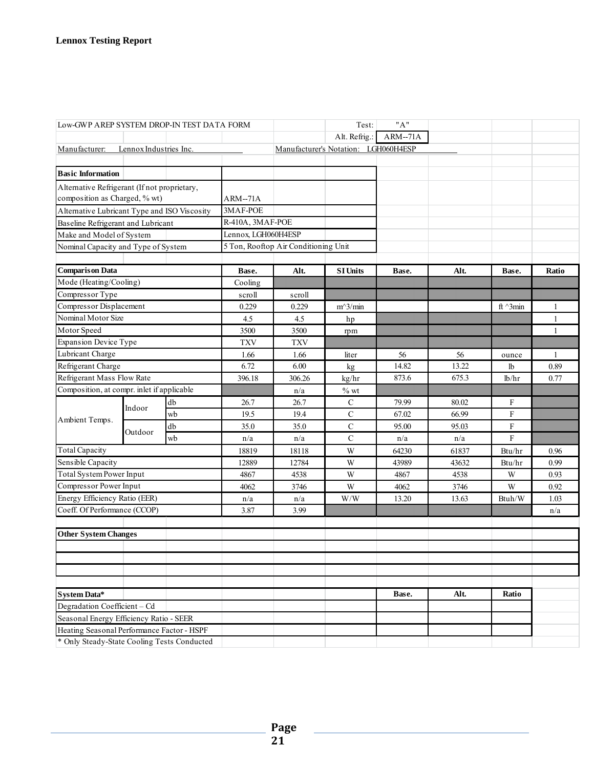| "A"<br>Test:<br>Low-GWP AREP SYSTEM DROP-IN TEST DATA FORM |                                              |    |                     |                                      |                                      |           |       |                    |              |
|------------------------------------------------------------|----------------------------------------------|----|---------------------|--------------------------------------|--------------------------------------|-----------|-------|--------------------|--------------|
|                                                            |                                              |    |                     |                                      | Alt. Refrig.:                        | $ARM-71A$ |       |                    |              |
| Manufacturer:                                              | Lennox Industries Inc.                       |    |                     |                                      | Manufacturer's Notation: LGH060H4ESP |           |       |                    |              |
|                                                            |                                              |    |                     |                                      |                                      |           |       |                    |              |
| <b>Basic Information</b>                                   |                                              |    |                     |                                      |                                      |           |       |                    |              |
| Alternative Refrigerant (If not proprietary,               |                                              |    |                     |                                      |                                      |           |       |                    |              |
| composition as Charged, % wt)                              |                                              |    | ARM--71A            |                                      |                                      |           |       |                    |              |
|                                                            | Alternative Lubricant Type and ISO Viscosity |    |                     |                                      |                                      |           |       |                    |              |
| Baseline Refrigerant and Lubricant                         |                                              |    | R-410A, 3MAF-POE    |                                      |                                      |           |       |                    |              |
| Make and Model of System                                   |                                              |    | Lennox, LGH060H4ESP |                                      |                                      |           |       |                    |              |
| Nominal Capacity and Type of System                        |                                              |    |                     | 5 Ton, Rooftop Air Conditioning Unit |                                      |           |       |                    |              |
|                                                            |                                              |    |                     |                                      |                                      |           |       |                    |              |
| <b>Comparison Data</b>                                     |                                              |    | Base.               | Alt.                                 | <b>SI Units</b>                      | Base.     | Alt.  | Base.              | Ratio        |
| Mode (Heating/Cooling)                                     |                                              |    | Cooling             |                                      |                                      |           |       |                    |              |
| Compressor Type                                            |                                              |    | scroll              | scroll                               |                                      |           |       |                    |              |
| Compressor Displacement                                    |                                              |    | 0.229               | 0.229                                | $m^3/m$ in                           |           |       | ft $^{\wedge}3min$ | 1            |
| Nominal Motor Size                                         |                                              |    | 4.5                 | 4.5                                  | hp                                   |           |       |                    | 1            |
| Motor Speed                                                |                                              |    | 3500                | 3500                                 | rpm                                  |           |       |                    | 1            |
| <b>Expansion Device Type</b>                               |                                              |    | <b>TXV</b>          | <b>TXV</b>                           |                                      |           |       |                    |              |
| Lubricant Charge                                           |                                              |    | 1.66                | 1.66                                 | liter                                | 56        | 56    | ounce              | $\mathbf{1}$ |
| Refrigerant Charge                                         |                                              |    | 6.72                | 6.00                                 | kg                                   | 14.82     | 13.22 | lb                 | 0.89         |
| Refrigerant Mass Flow Rate                                 |                                              |    | 396.18              | 306.26                               | kg/hr                                | 873.6     | 675.3 | lb/hr              | 0.77         |
| Composition, at compr. inlet if applicable                 |                                              |    |                     | n/a                                  | $%$ wt                               |           |       |                    |              |
|                                                            | Indoor                                       | db | 26.7                | 26.7                                 | $\mathbf C$                          | 79.99     | 80.02 | F                  |              |
| Ambient Temps.                                             |                                              | wb | 19.5                | 19.4                                 | $\mathbf C$                          | 67.02     | 66.99 | F                  |              |
|                                                            | Outdoor                                      | db | 35.0                | 35.0                                 | $\mathbf C$                          | 95.00     | 95.03 | $\mathbf F$        |              |
|                                                            |                                              | wb | n/a                 | n/a                                  | $\mathbf C$                          | n/a       | n/a   | $\mathbf F$        |              |
| <b>Total Capacity</b>                                      |                                              |    | 18819               | 18118                                | W                                    | 64230     | 61837 | Btu/hr             | 0.96         |
| Sensible Capacity                                          |                                              |    | 12889               | 12784                                | W                                    | 43989     | 43632 | Btu/hr             | 0.99         |
| Total System Power Input                                   |                                              |    | 4867                | 4538                                 | W                                    | 4867      | 4538  | W                  | 0.93         |
| Compressor Power Input                                     |                                              |    | 4062                | 3746                                 | W                                    | 4062      | 3746  | W                  | 0.92         |
| Energy Efficiency Ratio (EER)                              |                                              |    | n/a                 | n/a                                  | W/W                                  | 13.20     | 13.63 | Btuh/W             | 1.03         |
| Coeff. Of Performance (CCOP)                               |                                              |    | 3.87                | 3.99                                 |                                      |           |       |                    | n/a          |
|                                                            |                                              |    |                     |                                      |                                      |           |       |                    |              |
| <b>Other System Changes</b>                                |                                              |    |                     |                                      |                                      |           |       |                    |              |
|                                                            |                                              |    |                     |                                      |                                      |           |       |                    |              |
|                                                            |                                              |    |                     |                                      |                                      |           |       |                    |              |
|                                                            |                                              |    |                     |                                      |                                      |           |       |                    |              |
|                                                            |                                              |    |                     |                                      |                                      |           |       |                    |              |
| <b>System Data*</b>                                        |                                              |    |                     |                                      |                                      | Base.     | Alt.  | Ratio              |              |
| Degradation Coefficient - Cd                               |                                              |    |                     |                                      |                                      |           |       |                    |              |
| Seasonal Energy Efficiency Ratio - SEER                    |                                              |    |                     |                                      |                                      |           |       |                    |              |
| Heating Seasonal Performance Factor - HSPF                 |                                              |    |                     |                                      |                                      |           |       |                    |              |
| * Only Steady-State Cooling Tests Conducted                |                                              |    |                     |                                      |                                      |           |       |                    |              |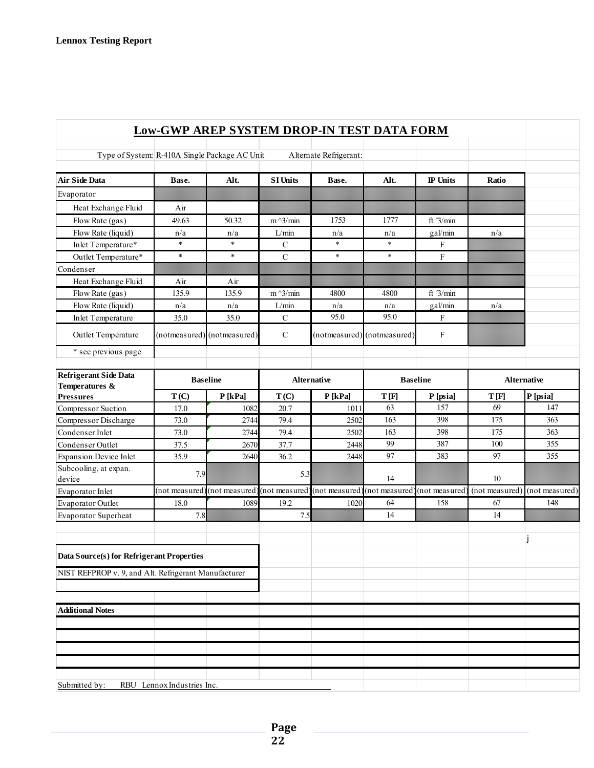|                                                      | <b>Low-GWP AREP SYSTEM DROP-IN TEST DATA FORM</b> |                              |                 |                        |                             |                           |                |                    |
|------------------------------------------------------|---------------------------------------------------|------------------------------|-----------------|------------------------|-----------------------------|---------------------------|----------------|--------------------|
| Type of System: R-410A Single Package AC Unit        |                                                   |                              |                 | Alternate Refrigerant: |                             |                           |                |                    |
| <b>Air Side Data</b>                                 | Base.                                             | Alt.                         | <b>SI Units</b> | Base.                  | Alt.                        | <b>IP</b> Units           | Ratio          |                    |
| Evaporator                                           |                                                   |                              |                 |                        |                             |                           |                |                    |
| Heat Exchange Fluid                                  | Air                                               |                              |                 |                        |                             |                           |                |                    |
| Flow Rate (gas)                                      | 49.63                                             | 50.32                        | $m^2/$ min      | 1753                   | 1777                        | ft 3/min                  |                |                    |
| Flow Rate (liquid)                                   | n/a                                               | n/a                          | $L/min\,$       | n/a                    | n/a                         | gal/min                   | n/a            |                    |
| Inlet Temperature*                                   | $\ast$                                            | $\ast$                       | $\mathcal{C}$   | $\ast$                 | $\ast$                      | F                         |                |                    |
| Outlet Temperature*                                  | $\ast$                                            | $\ast$                       | $\overline{C}$  | $\ast$                 | $\ast$                      | $\mathbf F$               |                |                    |
| Condenser                                            |                                                   |                              |                 |                        |                             |                           |                |                    |
| Heat Exchange Fluid                                  | Air                                               | Air                          |                 |                        |                             |                           |                |                    |
| Flow Rate (gas)                                      | 135.9                                             | 135.9                        | $m^2/$ min      | 4800                   | 4800                        | ft $3/min$                |                |                    |
| Flow Rate (liquid)                                   | n/a                                               | n/a                          | L/min           | n/a                    | n/a                         | gal/min                   | n/a            |                    |
| <b>Inlet Temperature</b>                             | 35.0                                              | 35.0                         | $\mathbf C$     | 95.0                   | 95.0                        | F                         |                |                    |
| Outlet Temperature                                   |                                                   | (notmeasured) (notmeasured)  | $\mathcal{C}$   |                        | (notmeasured) (notmeasured) | $\boldsymbol{\mathrm{F}}$ |                |                    |
| * see previous page                                  |                                                   |                              |                 |                        |                             |                           |                |                    |
| <b>Refrigerant Side Data</b><br>Temperatures &       | <b>Baseline</b>                                   |                              |                 | <b>Alternative</b>     |                             | <b>Baseline</b>           |                | <b>Alternative</b> |
| <b>Pressures</b>                                     | T(C)                                              | P[kPa]                       | T(C)            | P[kPa]                 | T[F]                        | P [psia]                  | T[F]           | P[psia]            |
| Compressor Suction                                   | 17.0                                              | 1082                         | 20.7            | 1011                   | 63                          | 157                       | 69             | 147                |
| Compressor Discharge                                 | 73.0                                              | 2744                         | 79.4            | 2502                   | 163                         | 398                       | 175            | 363                |
| Condenser Inlet                                      | 73.0                                              | 2744                         | 79.4            | 2502                   | 163                         | 398                       | 175            | 363                |
| Condenser Outlet                                     | 37.5                                              | 2670                         | 37.7            | 2448                   | 99                          | 387                       | 100            | 355                |
| <b>Expansion Device Inlet</b>                        | 35.9                                              | 2640                         | 36.2            | 2448                   | 97                          | 383                       | 97             | 355                |
| Subcooling, at expan.<br>device                      | 7.9                                               |                              | 5.3             |                        | 14                          |                           | 10             |                    |
| Evaporator Inlet                                     | (not measured                                     | (not measured) (not measured |                 | (not measured)         | (not measured               | (not measured             | (not measured) | (not measured)     |
| Evaporator Outlet                                    | 18.0                                              | 1089                         | 19.2            | 1020                   | 64                          | 158                       | 67             | 148                |
| Evaporator Superheat                                 | 7.8                                               |                              | 7.5             |                        | 14                          |                           | 14             |                    |
| Data Source(s) for Refrigerant Properties            |                                                   |                              |                 |                        |                             |                           |                |                    |
| NIST REFPROP v. 9, and Alt. Refrigerant Manufacturer |                                                   |                              |                 |                        |                             |                           |                |                    |
|                                                      |                                                   |                              |                 |                        |                             |                           |                |                    |
| <b>Additional Notes</b>                              |                                                   |                              |                 |                        |                             |                           |                |                    |
|                                                      |                                                   |                              |                 |                        |                             |                           |                |                    |
|                                                      |                                                   |                              |                 |                        |                             |                           |                |                    |
|                                                      |                                                   |                              |                 |                        |                             |                           |                |                    |
|                                                      |                                                   |                              |                 |                        |                             |                           |                |                    |
|                                                      |                                                   |                              |                 |                        |                             |                           |                |                    |
| Submitted by:                                        | RBU Lennox Industries Inc.                        |                              |                 |                        |                             |                           |                |                    |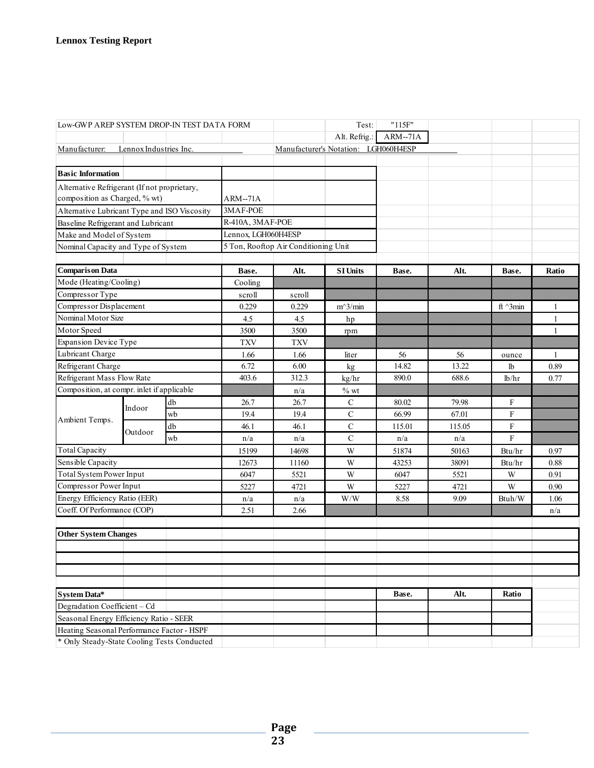| Low-GWP AREP SYSTEM DROP-IN TEST DATA FORM   |                               |    |                     |                                      | Test:                                | "115F"    |        |                 |              |
|----------------------------------------------|-------------------------------|----|---------------------|--------------------------------------|--------------------------------------|-----------|--------|-----------------|--------------|
|                                              |                               |    |                     |                                      | Alt. Refrig.:                        | $ARM-71A$ |        |                 |              |
| Manufacturer:                                | Lennox Industries Inc.        |    |                     |                                      | Manufacturer's Notation: LGH060H4ESP |           |        |                 |              |
|                                              |                               |    |                     |                                      |                                      |           |        |                 |              |
| <b>Basic Information</b>                     |                               |    |                     |                                      |                                      |           |        |                 |              |
| Alternative Refrigerant (If not proprietary, |                               |    |                     |                                      |                                      |           |        |                 |              |
|                                              | composition as Charged, % wt) |    | ARM--71A            |                                      |                                      |           |        |                 |              |
| Alternative Lubricant Type and ISO Viscosity |                               |    | 3MAF-POE            |                                      |                                      |           |        |                 |              |
| Baseline Refrigerant and Lubricant           |                               |    | R-410A, 3MAF-POE    |                                      |                                      |           |        |                 |              |
| Make and Model of System                     |                               |    | Lennox, LGH060H4ESP |                                      |                                      |           |        |                 |              |
| Nominal Capacity and Type of System          |                               |    |                     | 5 Ton, Rooftop Air Conditioning Unit |                                      |           |        |                 |              |
|                                              |                               |    |                     |                                      |                                      |           |        |                 |              |
| <b>Comparison Data</b>                       |                               |    | Base.               | Alt.                                 | <b>SI Units</b>                      | Base.     | Alt.   | Base.           | Ratio        |
| Mode (Heating/Cooling)                       |                               |    | Cooling             |                                      |                                      |           |        |                 |              |
| Compressor Type                              |                               |    | scroll              | scroll                               |                                      |           |        |                 |              |
| Compressor Displacement                      |                               |    | 0.229               | 0.229                                | $m^3/min$                            |           |        | ft $\land$ 3min | 1            |
| Nominal Motor Size                           |                               |    | 4.5                 | 4.5                                  | hp                                   |           |        |                 | 1            |
| Motor Speed                                  |                               |    | 3500                | 3500                                 | rpm                                  |           |        |                 | $\mathbf{1}$ |
| <b>Expansion Device Type</b>                 |                               |    | <b>TXV</b>          | <b>TXV</b>                           |                                      |           |        |                 |              |
| Lubricant Charge                             |                               |    | 1.66                | 1.66                                 | liter                                | 56        | 56     | ounce           | 1            |
| Refrigerant Charge                           |                               |    | 6.72                | 6.00                                 | kg                                   | 14.82     | 13.22  | lb              | 0.89         |
| Refrigerant Mass Flow Rate                   |                               |    | 403.6               | 312.3                                | kg/hr                                | 890.0     | 688.6  | lb/hr           | 0.77         |
| Composition, at compr. inlet if applicable   |                               |    |                     | n/a                                  | $\%$ wt                              |           |        |                 |              |
|                                              | Indoor                        | db | 26.7                | 26.7                                 | C                                    | 80.02     | 79.98  | F               |              |
| Ambient Temps.                               |                               | wb | 19.4                | 19.4                                 | $\mathbf C$                          | 66.99     | 67.01  | F               |              |
|                                              | Outdoor                       | db | 46.1                | 46.1                                 | $\mathbf C$                          | 115.01    | 115.05 | $\mathbf F$     |              |
|                                              |                               | wb | n/a                 | n/a                                  | $\mathbf C$                          | n/a       | n/a    | ${\bf F}$       |              |
| <b>Total Capacity</b>                        |                               |    | 15199               | 14698                                | W                                    | 51874     | 50163  | Btu/hr          | 0.97         |
| Sensible Capacity                            |                               |    | 12673               | 11160                                | W                                    | 43253     | 38091  | Btu/hr          | 0.88         |
| Total System Power Input                     |                               |    | 6047                | 5521                                 | W                                    | 6047      | 5521   | W               | 0.91         |
| Compressor Power Input                       |                               |    | 5227                | 4721                                 | W                                    | 5227      | 4721   | W               | 0.90         |
| Energy Efficiency Ratio (EER)                |                               |    | n/a                 | n/a                                  | W/W                                  | 8.58      | 9.09   | Btuh/W          | 1.06         |
| Coeff. Of Performance (COP)                  |                               |    | 2.51                | 2.66                                 |                                      |           |        |                 | n/a          |
|                                              |                               |    |                     |                                      |                                      |           |        |                 |              |
| <b>Other System Changes</b>                  |                               |    |                     |                                      |                                      |           |        |                 |              |
|                                              |                               |    |                     |                                      |                                      |           |        |                 |              |
|                                              |                               |    |                     |                                      |                                      |           |        |                 |              |
|                                              |                               |    |                     |                                      |                                      |           |        |                 |              |
|                                              |                               |    |                     |                                      |                                      |           |        |                 |              |
| <b>System Data*</b>                          |                               |    |                     |                                      |                                      | Base.     | Alt.   | Ratio           |              |
| Degradation Coefficient - Cd                 |                               |    |                     |                                      |                                      |           |        |                 |              |
| Seasonal Energy Efficiency Ratio - SEER      |                               |    |                     |                                      |                                      |           |        |                 |              |
| Heating Seasonal Performance Factor - HSPF   |                               |    |                     |                                      |                                      |           |        |                 |              |
| * Only Steady-State Cooling Tests Conducted  |                               |    |                     |                                      |                                      |           |        |                 |              |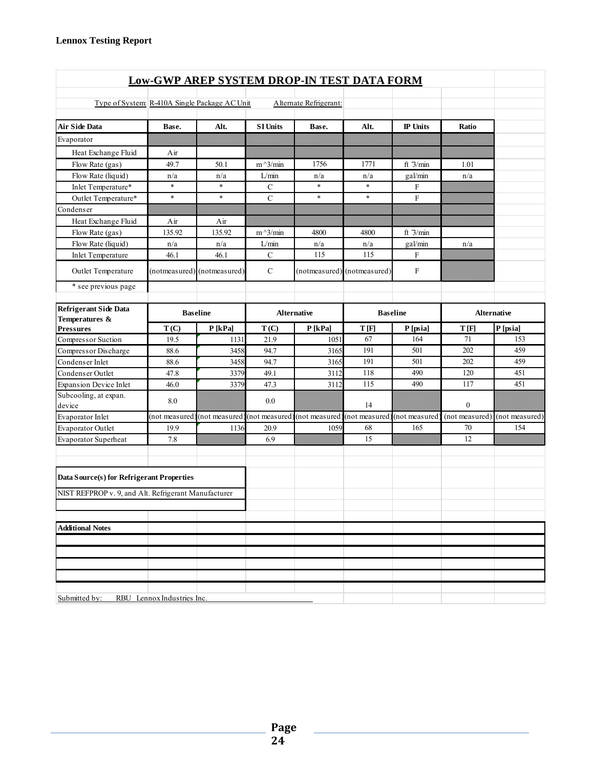| <b>Low-GWP AREP SYSTEM DROP-IN TEST DATA FORM</b>    |                            |                              |                   |                              |                             |                 |               |                    |  |  |  |
|------------------------------------------------------|----------------------------|------------------------------|-------------------|------------------------------|-----------------------------|-----------------|---------------|--------------------|--|--|--|
|                                                      |                            |                              |                   |                              |                             |                 |               |                    |  |  |  |
| Type of System R-410A Single Package AC Unit         |                            |                              |                   | Alternate Refrigerant:       |                             |                 |               |                    |  |  |  |
| <b>Air Side Data</b>                                 | Base.                      | Alt.                         | <b>SI Units</b>   | Base.                        | Alt.                        | <b>IP</b> Units | Ratio         |                    |  |  |  |
| Evaporator                                           |                            |                              |                   |                              |                             |                 |               |                    |  |  |  |
| Heat Exchange Fluid                                  | Air                        |                              |                   |                              |                             |                 |               |                    |  |  |  |
| Flow Rate (gas)                                      | 49.7                       | 50.1                         | $m^{\wedge}3/min$ | 1756                         | 1771                        | ft $3/min$      | 1.01          |                    |  |  |  |
| Flow Rate (liquid)                                   | n/a                        | n/a                          | L/min             | n/a                          | n/a                         | gal/min         | n/a           |                    |  |  |  |
| Inlet Temperature*                                   | $\ast$                     | $\ast$                       | $\mathbf C$       | $\ast$                       | $\ast$                      | F               |               |                    |  |  |  |
| Outlet Temperature*                                  | $\ast$                     | $\ast$                       | $\mathbf C$       | $\ast$                       | $\ast$                      | F               |               |                    |  |  |  |
| Condenser                                            |                            |                              |                   |                              |                             |                 |               |                    |  |  |  |
| Heat Exchange Fluid                                  | Air                        | Air                          |                   |                              |                             |                 |               |                    |  |  |  |
| Flow Rate (gas)                                      | 135.92                     | 135.92                       | $m^2/$ min        | 4800                         | 4800                        | ft $3/min$      |               |                    |  |  |  |
| Flow Rate (liquid)                                   | n/a                        | n/a                          | L/min             | n/a                          | n/a                         | gal/min         | n/a           |                    |  |  |  |
| Inlet Temperature                                    | 46.1                       | 46.1                         | $\mathcal{C}$     | 115                          | 115                         | $\mathbf{F}$    |               |                    |  |  |  |
| Outlet Temperature                                   |                            | (notmeasured) (notmeasured)  | $\mathcal{C}$     |                              | (notmeasured) (notmeasured) | F               |               |                    |  |  |  |
| * see previous page                                  |                            |                              |                   |                              |                             |                 |               |                    |  |  |  |
| <b>Refrigerant Side Data</b><br>Temperatures &       |                            | <b>Baseline</b>              |                   | <b>Alternative</b>           | <b>Baseline</b>             |                 |               | <b>Alternative</b> |  |  |  |
| <b>Pressures</b>                                     | T(C)                       | P[kPa]                       | T(C)              | P[kPa]                       | T[F]                        | P [psia]        | T[F]          | P [psia]           |  |  |  |
| Compressor Suction                                   | 19.5                       | 1131                         | 21.9              | 1051                         | 67                          | 164             | 71            | 153                |  |  |  |
| Compressor Discharge                                 | 88.6                       | 3458                         | 94.7              | 3165                         | 191                         | 501             | 202           | 459                |  |  |  |
| Condenser Inlet                                      | 88.6                       | 3458                         | 94.7              | 3165                         | 191                         | 501             | 202           | 459                |  |  |  |
| Condenser Outlet                                     | 47.8                       | 3379                         | 49.1              | 3112                         | 118                         | 490             | 120           | 451                |  |  |  |
| <b>Expansion Device Inlet</b>                        | 46.0                       | 3379                         | 47.3              | 3112                         | 115                         | 490             | 117           | 451                |  |  |  |
| Subcooling, at expan.<br>device                      | 8.0                        |                              | 0.0               |                              | 14                          |                 | $\mathbf{0}$  |                    |  |  |  |
| Evaporator Inlet                                     | (not measured              | (not measured) (not measured |                   | (not measured) (not measured |                             | (not measured)  | (not measured | (not measured)     |  |  |  |
| Evaporator Outlet                                    | 19.9                       | 1136                         | 20.9              | 1059                         | 68                          | 165             | 70            | 154                |  |  |  |
| <b>Evaporator Superheat</b>                          | 7.8                        |                              | 6.9               |                              | 15                          |                 | 12            |                    |  |  |  |
| Data Source(s) for Refrigerant Properties            |                            |                              |                   |                              |                             |                 |               |                    |  |  |  |
| NIST REFPROP v. 9, and Alt. Refrigerant Manufacturer |                            |                              |                   |                              |                             |                 |               |                    |  |  |  |
|                                                      |                            |                              |                   |                              |                             |                 |               |                    |  |  |  |
| <b>Additional Notes</b>                              |                            |                              |                   |                              |                             |                 |               |                    |  |  |  |
|                                                      |                            |                              |                   |                              |                             |                 |               |                    |  |  |  |
|                                                      |                            |                              |                   |                              |                             |                 |               |                    |  |  |  |
|                                                      |                            |                              |                   |                              |                             |                 |               |                    |  |  |  |
|                                                      |                            |                              |                   |                              |                             |                 |               |                    |  |  |  |
| Submitted by:                                        | RBU Lennox Industries Inc. |                              |                   |                              |                             |                 |               |                    |  |  |  |
|                                                      |                            |                              |                   |                              |                             |                 |               |                    |  |  |  |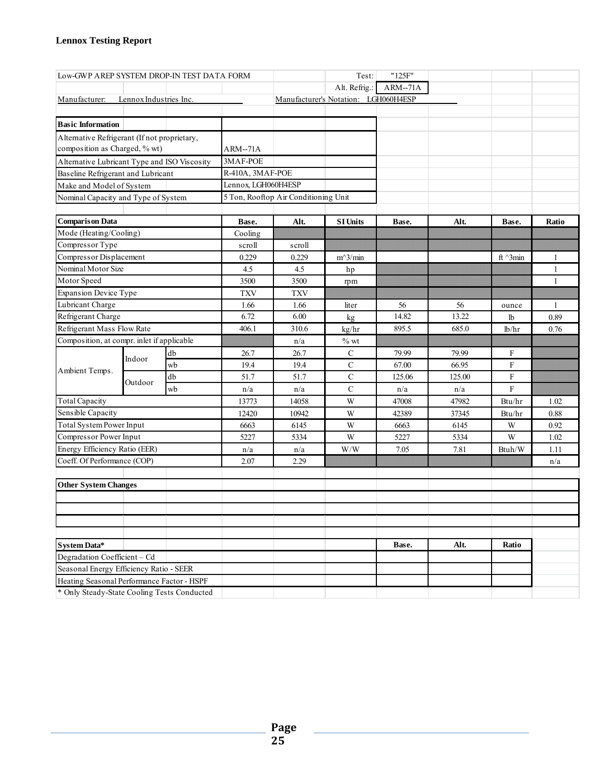| Low-GWP AREP SYSTEM DROP-IN TEST DATA FORM   |                                              |    |                     |                                      | Test:                                | "125F"    |        |                 |              |
|----------------------------------------------|----------------------------------------------|----|---------------------|--------------------------------------|--------------------------------------|-----------|--------|-----------------|--------------|
|                                              |                                              |    |                     |                                      | Alt. Refrig.:                        | $ARM-71A$ |        |                 |              |
| Manufacturer:                                | Lennox Industries Inc.                       |    |                     |                                      | Manufacturer's Notation: LGH060H4ESP |           |        |                 |              |
|                                              |                                              |    |                     |                                      |                                      |           |        |                 |              |
| <b>Basic Information</b>                     |                                              |    |                     |                                      |                                      |           |        |                 |              |
| Alternative Refrigerant (If not proprietary, |                                              |    |                     |                                      |                                      |           |        |                 |              |
| composition as Charged, % wt)                |                                              |    | $ARM-71A$           |                                      |                                      |           |        |                 |              |
|                                              | Alternative Lubricant Type and ISO Viscosity |    |                     |                                      |                                      |           |        |                 |              |
| Baseline Refrigerant and Lubricant           |                                              |    | R-410A, 3MAF-POE    |                                      |                                      |           |        |                 |              |
| Make and Model of System                     |                                              |    | Lennox, LGH060H4ESP |                                      |                                      |           |        |                 |              |
| Nominal Capacity and Type of System          |                                              |    |                     | 5 Ton, Rooftop Air Conditioning Unit |                                      |           |        |                 |              |
|                                              |                                              |    |                     |                                      |                                      |           |        |                 |              |
| <b>Comparison Data</b>                       |                                              |    | Base.               | Alt.                                 | <b>SI Units</b>                      | Base.     | Alt.   | Base.           | Ratio        |
| Mode (Heating/Cooling)                       |                                              |    | Cooling             |                                      |                                      |           |        |                 |              |
| Compressor Type                              |                                              |    | scroll              | scroll                               |                                      |           |        |                 |              |
| Compressor Displacement                      |                                              |    | 0.229               | 0.229                                | $m^3/m$ in                           |           |        | ft $\land$ 3min | 1            |
| Nominal Motor Size                           |                                              |    | 4.5                 | 4.5                                  | hp                                   |           |        |                 | $\mathbf{1}$ |
| Motor Speed                                  |                                              |    | 3500                | 3500                                 | rpm                                  |           |        |                 | $\mathbf{1}$ |
| <b>Expansion Device Type</b>                 |                                              |    | <b>TXV</b>          | <b>TXV</b>                           |                                      |           |        |                 |              |
| Lubricant Charge                             |                                              |    | 1.66                | 1.66                                 | liter                                | 56        | 56     | ounce           | $\mathbf{1}$ |
| Refrigerant Charge                           |                                              |    | 6.72                | 6.00                                 | kg                                   | 14.82     | 13.22  | 1b              | 0.89         |
| Refrigerant Mass Flow Rate                   |                                              |    | 406.1               | 310.6                                | kg/hr                                | 895.5     | 685.0  | lb/hr           | 0.76         |
| Composition, at compr. inlet if applicable   |                                              |    |                     | n/a                                  | $\%$ wt                              |           |        |                 |              |
|                                              | Indoor                                       | db | 26.7                | 26.7                                 | $\mathbf C$                          | 79.99     | 79.99  | $\mathbf F$     |              |
| Ambient Temps.                               |                                              | wb | 19.4                | 19.4                                 | $\mathbf C$                          | 67.00     | 66.95  | ${\bf F}$       |              |
|                                              | Outdoor                                      | db | 51.7                | 51.7                                 | $\mathsf{C}$                         | 125.06    | 125.00 | ${\bf F}$       |              |
|                                              |                                              | wb | n/a                 | n/a                                  | $\mathbf C$                          | n/a       | n/a    | $\mathbf F$     |              |
| <b>Total Capacity</b>                        |                                              |    | 13773               | 14058                                | W                                    | 47008     | 47982  | Btu/hr          | 1.02         |
| Sensible Capacity                            |                                              |    | 12420               | 10942                                | W                                    | 42389     | 37345  | Btu/hr          | 0.88         |
| <b>Total System Power Input</b>              |                                              |    | 6663                | 6145                                 | W                                    | 6663      | 6145   | W               | 0.92         |
| Compressor Power Input                       |                                              |    | 5227                | 5334                                 | W                                    | 5227      | 5334   | W               | 1.02         |
| Energy Efficiency Ratio (EER)                |                                              |    | n/a                 | n/a                                  | W/W                                  | 7.05      | 7.81   | Btuh/W          | 1.11         |
| Coeff. Of Performance (COP)                  |                                              |    | 2.07                | 2.29                                 |                                      |           |        |                 | n/a          |
|                                              |                                              |    |                     |                                      |                                      |           |        |                 |              |
| <b>Other System Changes</b>                  |                                              |    |                     |                                      |                                      |           |        |                 |              |
|                                              |                                              |    |                     |                                      |                                      |           |        |                 |              |
|                                              |                                              |    |                     |                                      |                                      |           |        |                 |              |
|                                              |                                              |    |                     |                                      |                                      |           |        |                 |              |
| System Data*                                 |                                              |    |                     |                                      |                                      | Base.     | Alt.   | Ratio           |              |
| Degradation Coefficient - Cd                 |                                              |    |                     |                                      |                                      |           |        |                 |              |
| Seasonal Energy Efficiency Ratio - SEER      |                                              |    |                     |                                      |                                      |           |        |                 |              |
| Heating Seasonal Performance Factor - HSPF   |                                              |    |                     |                                      |                                      |           |        |                 |              |
| * Only Steady-State Cooling Tests Conducted  |                                              |    |                     |                                      |                                      |           |        |                 |              |
|                                              |                                              |    |                     |                                      |                                      |           |        |                 |              |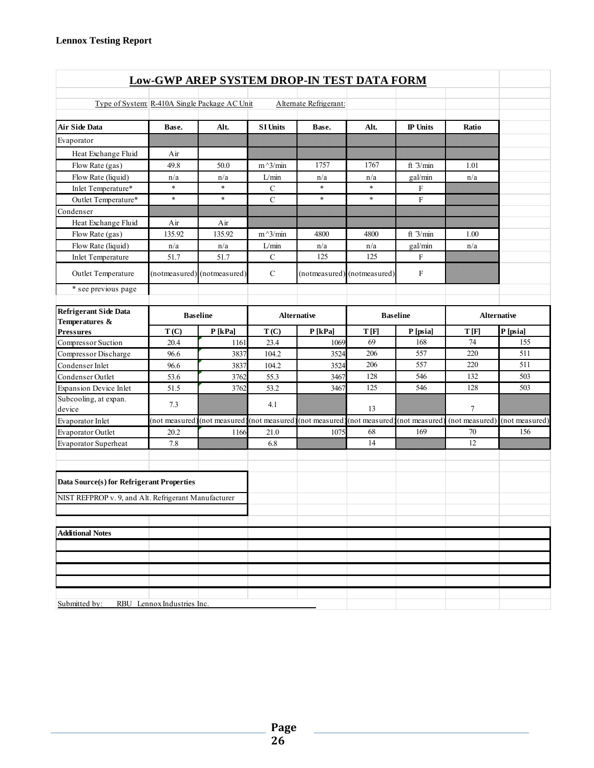| <b>Low-GWP AREP SYSTEM DROP-IN TEST DATA FORM</b>    |                            |                             |                    |                              |                             |                           |                |                    |  |  |  |
|------------------------------------------------------|----------------------------|-----------------------------|--------------------|------------------------------|-----------------------------|---------------------------|----------------|--------------------|--|--|--|
|                                                      |                            |                             |                    |                              |                             |                           |                |                    |  |  |  |
| Type of System: R-410A Single Package AC Unit        |                            |                             |                    | Alternate Refrigerant:       |                             |                           |                |                    |  |  |  |
| Air Side Data                                        | Base.                      | Alt.                        | <b>SI Units</b>    | Base.                        | Alt.                        | <b>IP Units</b>           | Ratio          |                    |  |  |  |
| Evaporator                                           |                            |                             |                    |                              |                             |                           |                |                    |  |  |  |
| Heat Exchange Fluid                                  | Air                        |                             |                    |                              |                             |                           |                |                    |  |  |  |
| Flow Rate (gas)                                      | 49.8                       | 50.0                        | $m^2/$ min         | 1757                         | 1767                        | ft $3/min$                | 1.01           |                    |  |  |  |
| Flow Rate (liquid)                                   | n/a                        | n/a                         | L/min              | n/a                          | n/a                         | gal/min                   | n/a            |                    |  |  |  |
| Inlet Temperature*                                   | $\ast$                     | $\ast$                      | $\mathbf C$        | $\ast$                       | $\ast$                      | $\mathbf{F}$              |                |                    |  |  |  |
| Outlet Temperature*                                  | $\ast$                     | $\ast$                      | $\mathcal{C}$      | $\ast$                       | $\ast$                      | $\mathbf{F}$              |                |                    |  |  |  |
| Condenser                                            |                            |                             |                    |                              |                             |                           |                |                    |  |  |  |
| Heat Exchange Fluid                                  | Air                        | Air                         |                    |                              |                             |                           |                |                    |  |  |  |
| Flow Rate (gas)                                      | 135.92                     | 135.92                      | $m^3/m$ in         | 4800                         | 4800                        | ft $3/min$                | 1.00           |                    |  |  |  |
| Flow Rate (liquid)                                   | n/a                        | n/a                         | L/min              | n/a                          | n/a                         | gal/min                   | n/a            |                    |  |  |  |
| <b>Inlet Temperature</b>                             | 51.7                       | 51.7                        | $\mathbf C$        | 125                          | 125                         | F                         |                |                    |  |  |  |
| Outlet Temperature                                   |                            | (notmeasured) (notmeasured) | $\mathbf C$        |                              | (notmeasured) (notmeasured) | $\boldsymbol{\mathrm{F}}$ |                |                    |  |  |  |
| * see previous page                                  |                            |                             |                    |                              |                             |                           |                |                    |  |  |  |
| <b>Refrigerant Side Data</b><br>Temperatures &       |                            | <b>Baseline</b>             | <b>Alternative</b> |                              | <b>Baseline</b>             |                           |                | <b>Alternative</b> |  |  |  |
| <b>Pressures</b>                                     | T(C)                       | P[kPa]                      | T(C)               | P[kPa]                       | T[F]                        | P [psia]                  | T[F]           | P [psia]           |  |  |  |
| Compressor Suction                                   | 20.4                       | 1161                        | 23.4               | 1069                         | 69                          | 168                       | 74             | 155                |  |  |  |
| Compressor Discharge                                 | 96.6                       | 3837                        | 104.2              | 3524                         | 206                         | 557                       | 220            | 511                |  |  |  |
| Condenser Inlet                                      | 96.6                       | 3837                        | 104.2              | 3524                         | 206                         | 557                       | 220            | 511                |  |  |  |
| Condenser Outlet                                     | 53.6                       | 3762                        | 55.3               | 3467                         | 128                         | 546                       | 132            | 503                |  |  |  |
| <b>Expansion Device Inlet</b>                        | 51.5                       | 3762                        | 53.2               | 3467                         | 125                         | 546                       | 128            | 503                |  |  |  |
| Subcooling, at expan.<br>device                      | 7.3                        |                             | 4.1                |                              | 13                          |                           | 7              |                    |  |  |  |
| Evaporator Inlet                                     | (not measured              | (not measured)              | (not measured      | (not measured) (not measured |                             | (not measured             | (not measured) | (not measured)     |  |  |  |
| Evaporator Outlet                                    | 20.2                       | 1166                        | 21.0               | 1075                         | 68                          | 169                       | 70             | 156                |  |  |  |
| <b>Evaporator Superheat</b>                          | 7.8                        |                             | 6.8                |                              | 14                          |                           | 12             |                    |  |  |  |
| Data Source(s) for Refrigerant Properties            |                            |                             |                    |                              |                             |                           |                |                    |  |  |  |
| NIST REFPROP v. 9, and Alt. Refrigerant Manufacturer |                            |                             |                    |                              |                             |                           |                |                    |  |  |  |
|                                                      |                            |                             |                    |                              |                             |                           |                |                    |  |  |  |
| <b>Additional Notes</b>                              |                            |                             |                    |                              |                             |                           |                |                    |  |  |  |
|                                                      |                            |                             |                    |                              |                             |                           |                |                    |  |  |  |
|                                                      |                            |                             |                    |                              |                             |                           |                |                    |  |  |  |
|                                                      |                            |                             |                    |                              |                             |                           |                |                    |  |  |  |
|                                                      |                            |                             |                    |                              |                             |                           |                |                    |  |  |  |
| Submitted by:                                        | RBU Lennox Industries Inc. |                             |                    |                              |                             |                           |                |                    |  |  |  |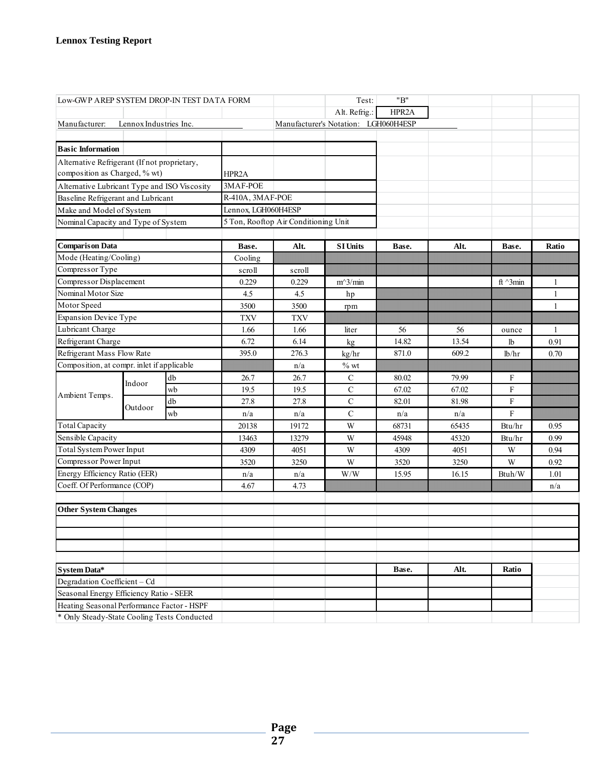| Low-GWP AREP SYSTEM DROP-IN TEST DATA FORM                                                |                        |    |                     | Test:                                | "B"                                  |       |       |                 |                |
|-------------------------------------------------------------------------------------------|------------------------|----|---------------------|--------------------------------------|--------------------------------------|-------|-------|-----------------|----------------|
|                                                                                           |                        |    |                     |                                      | Alt. Refrig.:                        | HPR2A |       |                 |                |
| Manufacturer:                                                                             | Lennox Industries Inc. |    |                     |                                      | Manufacturer's Notation: LGH060H4ESP |       |       |                 |                |
|                                                                                           |                        |    |                     |                                      |                                      |       |       |                 |                |
| <b>Basic Information</b>                                                                  |                        |    |                     |                                      |                                      |       |       |                 |                |
| Alternative Refrigerant (If not proprietary,                                              |                        |    |                     |                                      |                                      |       |       |                 |                |
| composition as Charged, % wt)                                                             |                        |    | HPR2A               |                                      |                                      |       |       |                 |                |
| Alternative Lubricant Type and ISO Viscosity                                              |                        |    | 3MAF-POE            |                                      |                                      |       |       |                 |                |
| Baseline Refrigerant and Lubricant                                                        |                        |    | R-410A, 3MAF-POE    |                                      |                                      |       |       |                 |                |
| Make and Model of System                                                                  |                        |    | Lennox, LGH060H4ESP |                                      |                                      |       |       |                 |                |
| Nominal Capacity and Type of System                                                       |                        |    |                     | 5 Ton, Rooftop Air Conditioning Unit |                                      |       |       |                 |                |
|                                                                                           |                        |    |                     |                                      |                                      |       |       |                 |                |
| <b>Comparison Data</b>                                                                    |                        |    | Base.               | Alt.                                 | <b>SI Units</b>                      | Base. | Alt.  | Base.           | Ratio          |
| Mode (Heating/Cooling)                                                                    |                        |    | Cooling             |                                      |                                      |       |       |                 |                |
| Compressor Type                                                                           |                        |    | scroll              | scroll                               |                                      |       |       |                 |                |
| Compressor Displacement                                                                   |                        |    | 0.229               | 0.229                                | $m^3/m$ in                           |       |       | ft $\land$ 3min | 1              |
| Nominal Motor Size                                                                        |                        |    | 4.5                 | 4.5                                  | hp                                   |       |       |                 | 1              |
| Motor Speed                                                                               |                        |    | 3500                | 3500                                 | rpm                                  |       |       |                 | $\overline{1}$ |
| <b>Expansion Device Type</b>                                                              |                        |    | <b>TXV</b>          | <b>TXV</b>                           |                                      |       |       |                 |                |
| Lubricant Charge                                                                          |                        |    | 1.66                | 1.66                                 | liter                                | 56    | 56    | ounce           | 1              |
| Refrigerant Charge                                                                        |                        |    | 6.72                | 6.14                                 | kg                                   | 14.82 | 13.54 | 1 <sub>b</sub>  | 0.91           |
| Refrigerant Mass Flow Rate                                                                |                        |    | 395.0               | 276.3                                | kg/hr                                | 871.0 | 609.2 | lb/hr           | 0.70           |
| Composition, at compr. inlet if applicable                                                |                        |    |                     | n/a                                  | $\%$ wt                              |       |       |                 |                |
|                                                                                           | Indoor                 | db | 26.7                | 26.7                                 | $\mathbf C$                          | 80.02 | 79.99 | F               |                |
| Ambient Temps.                                                                            |                        | wb | 19.5                | 19.5                                 | $\mathsf{C}$                         | 67.02 | 67.02 | $\overline{F}$  |                |
|                                                                                           | Outdoor                | db | 27.8                | 27.8                                 | $\mathbf C$                          | 82.01 | 81.98 | ${\bf F}$       |                |
|                                                                                           |                        | wb | n/a                 | n/a                                  | $\mathbf C$                          | n/a   | n/a   | $\mathbf{F}$    |                |
| <b>Total Capacity</b>                                                                     |                        |    | 20138               | 19172                                | W                                    | 68731 | 65435 | Btu/hr          | 0.95           |
| Sensible Capacity                                                                         |                        |    | 13463               | 13279                                | W                                    | 45948 | 45320 | Btu/hr          | 0.99           |
| Total System Power Input                                                                  |                        |    | 4309                | 4051                                 | W                                    | 4309  | 4051  | W               | 0.94           |
| Compressor Power Input                                                                    |                        |    | 3520                | 3250                                 | W                                    | 3520  | 3250  | W               | 0.92           |
| Energy Efficiency Ratio (EER)                                                             |                        |    | n/a                 | n/a                                  | W/W                                  | 15.95 | 16.15 | Btuh/W          | 1.01           |
| Coeff. Of Performance (COP)                                                               |                        |    | 4.67                | 4.73                                 |                                      |       |       |                 | n/a            |
|                                                                                           |                        |    |                     |                                      |                                      |       |       |                 |                |
| <b>Other System Changes</b>                                                               |                        |    |                     |                                      |                                      |       |       |                 |                |
|                                                                                           |                        |    |                     |                                      |                                      |       |       |                 |                |
|                                                                                           |                        |    |                     |                                      |                                      |       |       |                 |                |
|                                                                                           |                        |    |                     |                                      |                                      |       |       |                 |                |
|                                                                                           |                        |    |                     |                                      |                                      |       |       |                 |                |
| System Data*                                                                              |                        |    |                     |                                      |                                      | Base. | Alt.  | Ratio           |                |
| Degradation Coefficient - Cd                                                              |                        |    |                     |                                      |                                      |       |       |                 |                |
| Seasonal Energy Efficiency Ratio - SEER                                                   |                        |    |                     |                                      |                                      |       |       |                 |                |
| Heating Seasonal Performance Factor - HSPF<br>* Only Steady-State Cooling Tests Conducted |                        |    |                     |                                      |                                      |       |       |                 |                |
|                                                                                           |                        |    |                     |                                      |                                      |       |       |                 |                |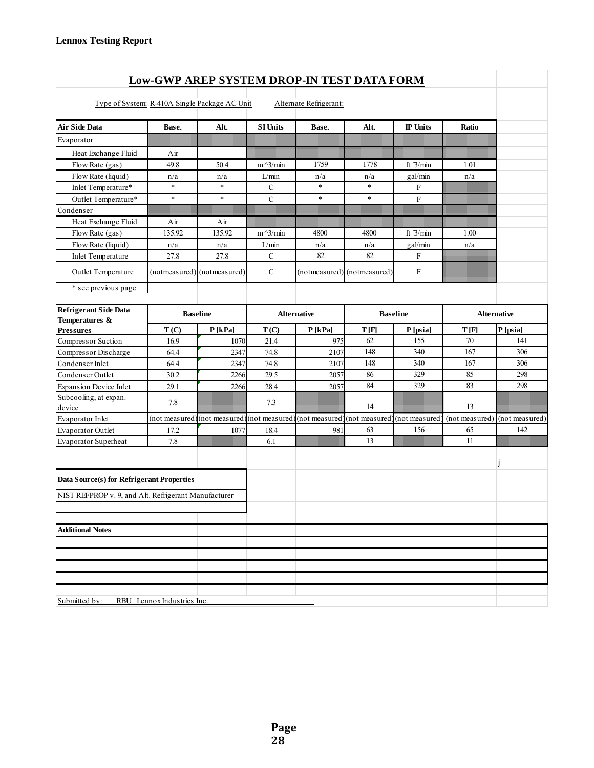| <b>Low-GWP AREP SYSTEM DROP-IN TEST DATA FORM</b>    |                            |                               |                 |                        |                                             |                 |                |                |  |  |  |
|------------------------------------------------------|----------------------------|-------------------------------|-----------------|------------------------|---------------------------------------------|-----------------|----------------|----------------|--|--|--|
|                                                      |                            |                               |                 |                        |                                             |                 |                |                |  |  |  |
| Type of System: R-410A Single Package AC Unit        |                            |                               |                 | Alternate Refrigerant: |                                             |                 |                |                |  |  |  |
| <b>Air Side Data</b>                                 | Base.                      | Alt.                          | <b>SI Units</b> | Base.                  | Alt.                                        | <b>IP</b> Units | Ratio          |                |  |  |  |
| Evaporator                                           |                            |                               |                 |                        |                                             |                 |                |                |  |  |  |
| Heat Exchange Fluid                                  | Air                        |                               |                 |                        |                                             |                 |                |                |  |  |  |
| Flow Rate (gas)                                      | 49.8                       | 50.4                          | $m^2/$ min      | 1759                   | 1778                                        | ft $3/min$      | 1.01           |                |  |  |  |
| Flow Rate (liquid)                                   | n/a                        | n/a                           | L/min           | n/a                    | n/a                                         | gal/min         | n/a            |                |  |  |  |
| Inlet Temperature*                                   | $\ast$                     | $\ast$                        | $\mathbf C$     | $\ast$                 | $\ast$                                      | F               |                |                |  |  |  |
| Outlet Temperature*                                  | $\ast$                     | $\ast$                        | $\mathcal{C}$   | $\ast$                 | $\ast$                                      | $\mathbf F$     |                |                |  |  |  |
| Condenser                                            |                            |                               |                 |                        |                                             |                 |                |                |  |  |  |
| Heat Exchange Fluid                                  | Air                        | Air                           |                 |                        |                                             |                 |                |                |  |  |  |
| Flow Rate (gas)                                      | 135.92                     | 135.92                        | $m^2/$ min      | 4800                   | 4800                                        | ft 3/min        | 1.00           |                |  |  |  |
| Flow Rate (liquid)                                   | n/a                        | n/a                           | L/min           | n/a                    | n/a                                         | gal/min         | n/a            |                |  |  |  |
| Inlet Temperature                                    | 27.8                       | 27.8                          | $\mathbf C$     | 82                     | 82                                          | $\mathbf{F}$    |                |                |  |  |  |
| Outlet Temperature                                   |                            | (notmeasured) (notmeasured)   | $\mathcal{C}$   |                        | (notmeasured) (notmeasured)                 | $\mathbf F$     |                |                |  |  |  |
| * see previous page                                  |                            |                               |                 |                        |                                             |                 |                |                |  |  |  |
| <b>Refrigerant Side Data</b><br>Temperatures &       |                            | <b>Baseline</b>               |                 | <b>Alternative</b>     | <b>Baseline</b>                             |                 | Alternative    |                |  |  |  |
| <b>Pressures</b>                                     | T(C)                       | P[kPa]                        | T(C)            | P[kPa]                 | T[F]                                        | P [psia]        | T[F]           | P [psia]       |  |  |  |
| Compressor Suction                                   | 16.9                       | 1070                          | 21.4            | 975                    | 62                                          | 155             | 70             | 141            |  |  |  |
| Compressor Discharge                                 | 64.4                       | 2347                          | 74.8            | 2107                   | 148                                         | 340             | 167            | 306            |  |  |  |
| Condenser Inlet                                      | 64.4                       | 2347                          | 74.8            | 2107                   | 148                                         | 340             | 167            | 306            |  |  |  |
| Condenser Outlet                                     | 30.2                       | 2266                          | 29.5            | 2057                   | 86                                          | 329             | 85             | 298            |  |  |  |
| <b>Expansion Device Inlet</b>                        | 29.1                       | 2266                          | 28.4            | 2057                   | 84                                          | 329             | 83             | 298            |  |  |  |
| Subcooling, at expan.<br>device                      | 7.8                        |                               | 7.3             |                        | 14                                          |                 | 13             |                |  |  |  |
| Evaporator Inlet                                     | (not measured              | (not measured) (not measured) |                 |                        | (not measured) (not measured) (not measured |                 | (not measured) | (not measured) |  |  |  |
| Evaporator Outlet                                    | 17.2                       | 1077                          | 18.4            | 981                    | 63                                          | 156             | 65             | 142            |  |  |  |
| Evaporator Superheat                                 | 7.8                        |                               | 6.1             |                        | 13                                          |                 | 11             |                |  |  |  |
| Data Source(s) for Refrigerant Properties            |                            |                               |                 |                        |                                             |                 |                |                |  |  |  |
| NIST REFPROP v. 9, and Alt. Refrigerant Manufacturer |                            |                               |                 |                        |                                             |                 |                |                |  |  |  |
|                                                      |                            |                               |                 |                        |                                             |                 |                |                |  |  |  |
| <b>Additional Notes</b>                              |                            |                               |                 |                        |                                             |                 |                |                |  |  |  |
|                                                      |                            |                               |                 |                        |                                             |                 |                |                |  |  |  |
|                                                      |                            |                               |                 |                        |                                             |                 |                |                |  |  |  |
|                                                      |                            |                               |                 |                        |                                             |                 |                |                |  |  |  |
|                                                      |                            |                               |                 |                        |                                             |                 |                |                |  |  |  |
|                                                      |                            |                               |                 |                        |                                             |                 |                |                |  |  |  |
| Submitted by:                                        | RBU Lennox Industries Inc. |                               |                 |                        |                                             |                 |                |                |  |  |  |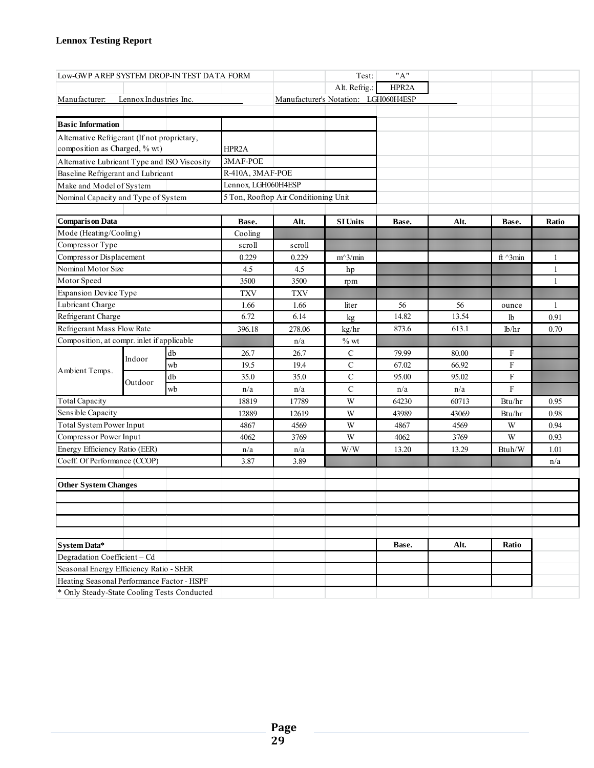| Low-GWP AREP SYSTEM DROP-IN TEST DATA FORM                              |                               |    |                     |                                      | Test:                                | "A"   |       |                    |              |
|-------------------------------------------------------------------------|-------------------------------|----|---------------------|--------------------------------------|--------------------------------------|-------|-------|--------------------|--------------|
|                                                                         |                               |    |                     |                                      | Alt. Refrig.:                        | HPR2A |       |                    |              |
| Manufacturer:                                                           | Lennox Industries Inc.        |    |                     |                                      | Manufacturer's Notation: LGH060H4ESP |       |       |                    |              |
|                                                                         |                               |    |                     |                                      |                                      |       |       |                    |              |
| <b>Basic Information</b>                                                |                               |    |                     |                                      |                                      |       |       |                    |              |
| Alternative Refrigerant (If not proprietary,                            |                               |    |                     |                                      |                                      |       |       |                    |              |
|                                                                         | composition as Charged, % wt) |    | HPR2A               |                                      |                                      |       |       |                    |              |
| Alternative Lubricant Type and ISO Viscosity                            |                               |    | 3MAF-POE            |                                      |                                      |       |       |                    |              |
| Baseline Refrigerant and Lubricant                                      |                               |    | R-410A, 3MAF-POE    |                                      |                                      |       |       |                    |              |
| Make and Model of System                                                |                               |    | Lennox, LGH060H4ESP |                                      |                                      |       |       |                    |              |
| Nominal Capacity and Type of System                                     |                               |    |                     | 5 Ton, Rooftop Air Conditioning Unit |                                      |       |       |                    |              |
|                                                                         |                               |    |                     |                                      |                                      |       |       |                    |              |
| <b>Comparison Data</b>                                                  |                               |    | Base.               | Alt.                                 | <b>SI Units</b>                      | Base. | Alt.  | Base.              | Ratio        |
| Mode (Heating/Cooling)                                                  |                               |    | Cooling             |                                      |                                      |       |       |                    |              |
| Compressor Type                                                         |                               |    | scroll              | scroll                               |                                      |       |       |                    |              |
| Compressor Displacement                                                 |                               |    | 0.229               | 0.229                                | $m^3/m$ in                           |       |       | ft $^{\wedge}3min$ | 1            |
| Nominal Motor Size                                                      |                               |    | 4.5                 | 4.5                                  | hp                                   |       |       |                    | $\mathbf{1}$ |
| Motor Speed                                                             |                               |    | 3500                | 3500                                 | rpm                                  |       |       |                    | $\mathbf{1}$ |
| <b>Expansion Device Type</b>                                            |                               |    | <b>TXV</b>          | <b>TXV</b>                           |                                      |       |       |                    |              |
| Lubricant Charge                                                        |                               |    | 1.66                | 1.66                                 | liter                                | 56    | 56    | ounce              | $\mathbf{1}$ |
| Refrigerant Charge                                                      |                               |    | 6.72                | 6.14                                 | kg                                   | 14.82 | 13.54 | lb                 | 0.91         |
| Refrigerant Mass Flow Rate                                              |                               |    | 396.18              | 278.06                               | kg/hr                                | 873.6 | 613.1 | lb/hr              | 0.70         |
| Composition, at compr. inlet if applicable                              |                               |    |                     | n/a                                  | $\%$ wt                              |       |       |                    |              |
|                                                                         | Indoor                        | db | 26.7                | 26.7                                 | $\mathbf C$                          | 79.99 | 80.00 | F                  |              |
| Ambient Temps.                                                          |                               | wb | 19.5                | 19.4                                 | $\mathbf C$                          | 67.02 | 66.92 | $\mathbf F$        |              |
|                                                                         | Outdoor                       | db | 35.0                | 35.0                                 | $\mathbf C$                          | 95.00 | 95.02 | $\mathbf F$        |              |
|                                                                         |                               | wb | n/a                 | n/a                                  | $\mathsf{C}$                         | n/a   | n/a   | $\overline{F}$     |              |
| <b>Total Capacity</b>                                                   |                               |    | 18819               | 17789                                | W                                    | 64230 | 60713 | Btu/hr             | 0.95         |
| Sensible Capacity                                                       |                               |    | 12889               | 12619                                | W                                    | 43989 | 43069 | Btu/hr             | 0.98         |
| <b>Total System Power Input</b>                                         |                               |    | 4867                | 4569                                 | W                                    | 4867  | 4569  | W                  | 0.94         |
| Compressor Power Input                                                  |                               |    | 4062                | 3769                                 | W                                    | 4062  | 3769  | W                  | 0.93         |
| Energy Efficiency Ratio (EER)                                           |                               |    | n/a                 | n/a                                  | W/W                                  | 13.20 | 13.29 | Btuh/W             | 1.01         |
| Coeff. Of Performance (CCOP)                                            |                               |    | 3.87                | 3.89                                 |                                      |       |       |                    | n/a          |
|                                                                         |                               |    |                     |                                      |                                      |       |       |                    |              |
| <b>Other System Changes</b>                                             |                               |    |                     |                                      |                                      |       |       |                    |              |
|                                                                         |                               |    |                     |                                      |                                      |       |       |                    |              |
|                                                                         |                               |    |                     |                                      |                                      |       |       |                    |              |
|                                                                         |                               |    |                     |                                      |                                      |       |       |                    |              |
|                                                                         |                               |    |                     |                                      |                                      |       |       | Ratio              |              |
| System Data*                                                            |                               |    |                     |                                      |                                      | Base. | Alt.  |                    |              |
| Degradation Coefficient - Cd<br>Seasonal Energy Efficiency Ratio - SEER |                               |    |                     |                                      |                                      |       |       |                    |              |
| Heating Seasonal Performance Factor - HSPF                              |                               |    |                     |                                      |                                      |       |       |                    |              |
| * Only Steady-State Cooling Tests Conducted                             |                               |    |                     |                                      |                                      |       |       |                    |              |
|                                                                         |                               |    |                     |                                      |                                      |       |       |                    |              |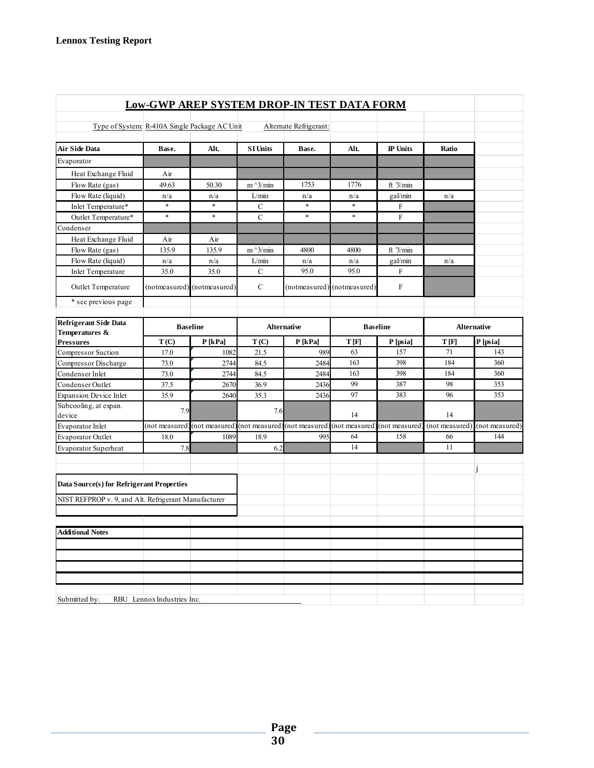|                                                      | <b>Low-GWP AREP SYSTEM DROP-IN TEST DATA FORM</b> |                             |                 |                        |                             |                 |                    |                |
|------------------------------------------------------|---------------------------------------------------|-----------------------------|-----------------|------------------------|-----------------------------|-----------------|--------------------|----------------|
| Type of System: R-410A Single Package AC Unit        |                                                   |                             |                 | Alternate Refrigerant: |                             |                 |                    |                |
| <b>Air Side Data</b>                                 | Base.                                             | Alt.                        | <b>SI Units</b> | Base.                  | Alt.                        | <b>IP</b> Units | Ratio              |                |
| Evaporator                                           |                                                   |                             |                 |                        |                             |                 |                    |                |
| Heat Exchange Fluid                                  | Air                                               |                             |                 |                        |                             |                 |                    |                |
| Flow Rate (gas)                                      | 49.63                                             | 50.30                       | $m^2/$ min      | 1753                   | 1776                        | ft $3/min$      |                    |                |
| Flow Rate (liquid)                                   | n/a                                               | n/a                         | L/min           | n/a                    | n/a                         | gal/min         | n/a                |                |
| Inlet Temperature*                                   | $\ast$                                            | $\ast$                      | $\mathbf C$     | $\ast$                 | $\ast$                      | F               |                    |                |
| Outlet Temperature*                                  | $\ast$                                            | $\ast$                      | $\mathbf C$     | $\ast$                 | $\ast$                      | F               |                    |                |
| Condenser                                            |                                                   |                             |                 |                        |                             |                 |                    |                |
| Heat Exchange Fluid                                  | Air                                               | Air                         |                 |                        |                             |                 |                    |                |
| Flow Rate (gas)                                      | 135.9                                             | 135.9                       | $m^2/$ min      | 4800                   | 4800                        | ft $3/min$      |                    |                |
| Flow Rate (liquid)                                   | n/a                                               | n/a                         | L/min           | n/a                    | n/a                         | gal/min         | n/a                |                |
| <b>Inlet Temperature</b>                             | 35.0                                              | 35.0                        | $\mathbf C$     | 95.0                   | 95.0                        | F               |                    |                |
| Outlet Temperature                                   |                                                   | (notmeasured) (notmeasured) | $\mathbf C$     |                        | (notmeasured) (notmeasured) | $\mathbf F$     |                    |                |
| * see previous page                                  |                                                   |                             |                 |                        |                             |                 |                    |                |
| <b>Refrigerant Side Data</b><br>Temperatures &       | <b>Baseline</b>                                   |                             |                 | <b>Alternative</b>     | <b>Baseline</b>             |                 | <b>Alternative</b> |                |
| <b>Pressures</b>                                     | T(C)                                              | $P$ [kPa]                   | T(C)            | $P$ [kPa]              | T[F]                        | P [psia]        | T[F]               | P [psia]       |
| Compressor Suction                                   | 17.0                                              | 1082                        | 21.5            | 989                    | 63                          | 157             | 71                 | 143            |
| Compressor Discharge                                 | 73.0                                              | 2744                        | 84.5            | 2484                   | 163                         | 398             | 184                | 360            |
| Condenser Inlet                                      | 73.0                                              | 2744                        | 84.5            | 2484                   | 163                         | 398             | 184                | 360            |
| Condenser Outlet                                     | 37.5                                              | 2670                        | 36.9            | 2436                   | 99                          | 387             | 98                 | 353            |
| <b>Expansion Device Inlet</b>                        | 35.9                                              | 2640                        | 35.3            | 2436                   | 97                          | 383             | 96                 | 353            |
| Subcooling, at expan.<br>device                      | 7.9                                               |                             | 7.6             |                        | 14                          |                 | 14                 |                |
| Evaporator Inlet                                     | not measured                                      | (not measured)              | (not measured   | (not measured)         | (not measured               | (not measured   | (not measured)     | (not measured) |
| <b>Evaporator Outlet</b>                             | 18.0                                              | 1089                        | 18.9            | 995                    | 64                          | 158             | 66                 | 144            |
| <b>Evaporator Superheat</b>                          | 7.8                                               |                             | 6.2             |                        | 14                          |                 | 11                 |                |
| Data Source(s) for Refrigerant Properties            |                                                   |                             |                 |                        |                             |                 |                    | j              |
| NIST REFPROP v. 9, and Alt. Refrigerant Manufacturer |                                                   |                             |                 |                        |                             |                 |                    |                |
|                                                      |                                                   |                             |                 |                        |                             |                 |                    |                |
| <b>Additional Notes</b>                              |                                                   |                             |                 |                        |                             |                 |                    |                |
|                                                      |                                                   |                             |                 |                        |                             |                 |                    |                |
|                                                      |                                                   |                             |                 |                        |                             |                 |                    |                |
|                                                      |                                                   |                             |                 |                        |                             |                 |                    |                |
|                                                      |                                                   |                             |                 |                        |                             |                 |                    |                |
|                                                      |                                                   |                             |                 |                        |                             |                 |                    |                |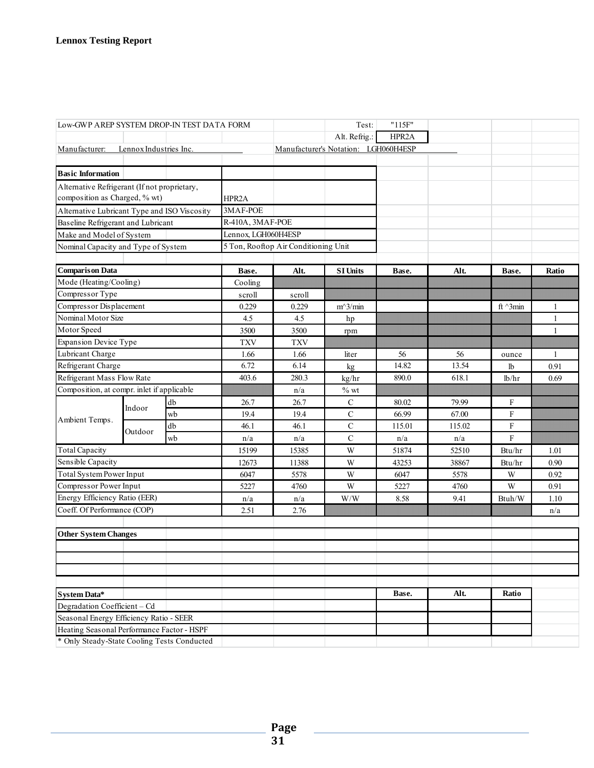| Low-GWP AREP SYSTEM DROP-IN TEST DATA FORM   |                                     |    |                     |                                      | Test:                                                       | "115F" |                         |                    |              |
|----------------------------------------------|-------------------------------------|----|---------------------|--------------------------------------|-------------------------------------------------------------|--------|-------------------------|--------------------|--------------|
|                                              |                                     |    |                     |                                      | Alt. Refrig.:                                               | HPR2A  |                         |                    |              |
| Manufacturer:                                | Lennox Industries Inc.              |    |                     |                                      | Manufacturer's Notation: LGH060H4ESP                        |        |                         |                    |              |
|                                              |                                     |    |                     |                                      |                                                             |        |                         |                    |              |
| <b>Basic Information</b>                     |                                     |    |                     |                                      |                                                             |        |                         |                    |              |
| Alternative Refrigerant (If not proprietary, |                                     |    |                     |                                      |                                                             |        |                         |                    |              |
| composition as Charged, % wt)                |                                     |    | HPR2A               |                                      |                                                             |        |                         |                    |              |
| Alternative Lubricant Type and ISO Viscosity |                                     |    | 3MAF-POE            |                                      |                                                             |        |                         |                    |              |
| Baseline Refrigerant and Lubricant           |                                     |    | R-410A, 3MAF-POE    |                                      |                                                             |        |                         |                    |              |
| Make and Model of System                     |                                     |    | Lennox, LGH060H4ESP |                                      |                                                             |        |                         |                    |              |
|                                              | Nominal Capacity and Type of System |    |                     | 5 Ton, Rooftop Air Conditioning Unit |                                                             |        |                         |                    |              |
|                                              |                                     |    |                     |                                      |                                                             |        |                         |                    |              |
| <b>Comparison Data</b>                       |                                     |    | Base.               | Alt.                                 | <b>SI Units</b>                                             | Base.  | Alt.                    | Base.              | Ratio        |
| Mode (Heating/Cooling)                       |                                     |    | Cooling             |                                      |                                                             |        |                         |                    |              |
| Compressor Type                              |                                     |    | scroll              | scroll                               |                                                             |        |                         |                    |              |
| Compressor Displacement                      |                                     |    | 0.229               | 0.229                                | $m^3/min$                                                   |        |                         | ft $^{\wedge}3min$ | 1            |
| Nominal Motor Size                           |                                     |    | 4.5                 | 4.5                                  | hp                                                          |        |                         |                    | $\mathbf{1}$ |
| Motor Speed                                  |                                     |    | 3500                | 3500                                 | rpm                                                         |        |                         |                    | 1            |
| <b>Expansion Device Type</b>                 |                                     |    | <b>TXV</b>          | <b>TXV</b>                           |                                                             |        |                         |                    |              |
| Lubricant Charge                             |                                     |    | 1.66                | 1.66                                 | liter                                                       | 56     | 56                      | ounce              | $\mathbf{1}$ |
| Refrigerant Charge                           |                                     |    | 6.72                | 6.14                                 | kg                                                          | 14.82  | 13.54                   | lb                 | 0.91         |
| Refrigerant Mass Flow Rate                   |                                     |    | 403.6               | 280.3                                | kg/hr                                                       | 890.0  | 618.1                   | lb/hr              | 0.69         |
| Composition, at compr. inlet if applicable   |                                     |    |                     | n/a                                  | $%$ wt                                                      |        |                         |                    |              |
|                                              | Indoor                              | db | 26.7                | 26.7                                 | $\mathbf C$                                                 | 80.02  | 79.99                   | F                  |              |
| Ambient Temps.                               |                                     | wb | 19.4                | 19.4                                 | $\mathbf C$                                                 | 66.99  | 67.00                   | F                  |              |
|                                              | Outdoor                             | db | 46.1                | 46.1                                 | $\mathbf C$                                                 | 115.01 | 115.02                  | F                  |              |
|                                              |                                     | wb | n/a                 | n/a                                  | $\mathbf C$                                                 | n/a    | $\mathrm{n}/\mathrm{a}$ | F                  |              |
| <b>Total Capacity</b>                        |                                     |    | 15199               | 15385                                | W                                                           | 51874  | 52510                   | Btu/hr             | 1.01         |
| Sensible Capacity                            |                                     |    | 12673               | 11388                                | W                                                           | 43253  | 38867                   | Btu/hr             | 0.90         |
| Total System Power Input                     |                                     |    | 6047                | 5578                                 | W                                                           | 6047   | 5578                    | W                  | 0.92         |
| Compressor Power Input                       |                                     |    | 5227                | 4760                                 | W                                                           | 5227   | 4760                    | W                  | 0.91         |
| Energy Efficiency Ratio (EER)                |                                     |    | n/a                 | n/a                                  | $\ensuremath{\text{W}}\xspace/\ensuremath{\text{W}}\xspace$ | 8.58   | 9.41                    | Btuh/W             | 1.10         |
| Coeff. Of Performance (COP)                  |                                     |    | 2.51                | 2.76                                 |                                                             |        |                         |                    | n/a          |
|                                              |                                     |    |                     |                                      |                                                             |        |                         |                    |              |
| <b>Other System Changes</b>                  |                                     |    |                     |                                      |                                                             |        |                         |                    |              |
|                                              |                                     |    |                     |                                      |                                                             |        |                         |                    |              |
|                                              |                                     |    |                     |                                      |                                                             |        |                         |                    |              |
|                                              |                                     |    |                     |                                      |                                                             |        |                         |                    |              |
|                                              |                                     |    |                     |                                      |                                                             |        |                         |                    |              |
| System Data*                                 |                                     |    |                     |                                      |                                                             | Base.  | Alt.                    | Ratio              |              |
| Degradation Coefficient - Cd                 |                                     |    |                     |                                      |                                                             |        |                         |                    |              |
| Seasonal Energy Efficiency Ratio - SEER      |                                     |    |                     |                                      |                                                             |        |                         |                    |              |
| Heating Seasonal Performance Factor - HSPF   |                                     |    |                     |                                      |                                                             |        |                         |                    |              |
| * Only Steady-State Cooling Tests Conducted  |                                     |    |                     |                                      |                                                             |        |                         |                    |              |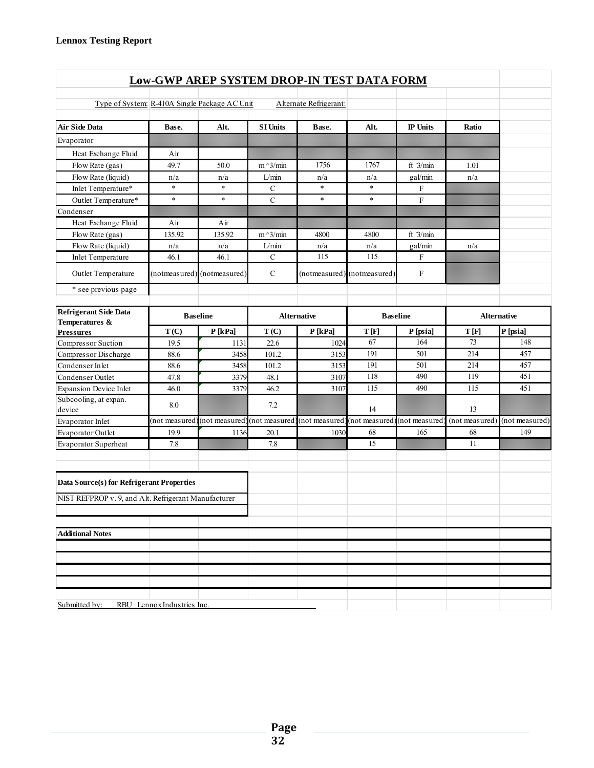| <b>Low-GWP AREP SYSTEM DROP-IN TEST DATA FORM</b>    |                            |                             |                 |                              |                             |                           |                |                |  |  |  |
|------------------------------------------------------|----------------------------|-----------------------------|-----------------|------------------------------|-----------------------------|---------------------------|----------------|----------------|--|--|--|
|                                                      |                            |                             |                 |                              |                             |                           |                |                |  |  |  |
| Type of System: R-410A Single Package AC Unit        |                            |                             |                 | Alternate Refrigerant:       |                             |                           |                |                |  |  |  |
| <b>Air Side Data</b>                                 | Base.                      | Alt.                        | <b>SI Units</b> | Base.                        | Alt.                        | <b>IP</b> Units           | Ratio          |                |  |  |  |
| Evaporator                                           |                            |                             |                 |                              |                             |                           |                |                |  |  |  |
| Heat Exchange Fluid                                  | Air                        |                             |                 |                              |                             |                           |                |                |  |  |  |
| Flow Rate (gas)                                      | 49.7                       | 50.0                        | $m^2/$ min      | 1756                         | 1767                        | ft 3/min                  | 1.01           |                |  |  |  |
| Flow Rate (liquid)                                   | n/a                        | n/a                         | L/min           | n/a                          | n/a                         | gal/min                   | n/a            |                |  |  |  |
| Inlet Temperature*                                   | $\ast$                     | $\ast$                      | $\mathbf C$     | $\ast$                       | $\ast$                      | $\boldsymbol{\mathrm{F}}$ |                |                |  |  |  |
| Outlet Temperature*                                  | $\ast$                     | $\ast$                      | $\mathbf C$     | $\ast$                       | $\ast$                      | $\mathbf{F}$              |                |                |  |  |  |
| Condenser                                            |                            |                             |                 |                              |                             |                           |                |                |  |  |  |
| Heat Exchange Fluid                                  | Air                        | Air                         |                 |                              |                             |                           |                |                |  |  |  |
| Flow Rate (gas)                                      | 135.92                     | 135.92                      | $m^3/m$ in      | 4800                         | 4800                        | ft $3/min$                |                |                |  |  |  |
| Flow Rate (liquid)                                   | n/a                        | n/a                         | L/min           | n/a                          | n/a                         | gal/min                   | n/a            |                |  |  |  |
| <b>Inlet Temperature</b>                             | 46.1                       | 46.1                        | ${\bf C}$       | 115                          | 115                         | $\boldsymbol{\mathrm{F}}$ |                |                |  |  |  |
| Outlet Temperature                                   |                            | (notmeasured) (notmeasured) | $\mathbf C$     |                              | (notmeasured) (notmeasured) | F                         |                |                |  |  |  |
| * see previous page                                  |                            |                             |                 |                              |                             |                           |                |                |  |  |  |
| <b>Refrigerant Side Data</b>                         |                            | <b>Alternative</b>          |                 | <b>Baseline</b>              |                             | <b>Alternative</b>        |                |                |  |  |  |
| Temperatures &<br><b>Pressures</b>                   | T(C)                       | P[kPa]                      | T(C)            | P[kPa]                       | T[F]                        | P [psia]                  | T[F]           | P [psia]       |  |  |  |
| Compressor Suction                                   | 19.5                       | 1131                        | 22.6            | 1024                         | 67                          | 164                       | 73             | 148            |  |  |  |
| Compressor Discharge                                 | 88.6                       | 3458                        | 101.2           | 3153                         | 191                         | 501                       | 214            | 457            |  |  |  |
| Condenser Inlet                                      | 88.6                       | 3458                        | 101.2           | 3153                         | 191                         | 501                       | 214            | 457            |  |  |  |
| Condenser Outlet                                     | 47.8                       | 3379                        | 48.1            | 3107                         | 118                         | 490                       | 119            | 451            |  |  |  |
| <b>Expansion Device Inlet</b>                        | 46.0                       | 3379                        | 46.2            | 3107                         | 115                         | 490                       | 115            | 451            |  |  |  |
| Subcooling, at expan.<br>device                      | 8.0                        |                             | 7.2             |                              | 14                          |                           | 13             |                |  |  |  |
| Evaporator Inlet                                     | (not measured              | (not measured               | (not measured   | (not measured) (not measured |                             | (not measured             | (not measured) | (not measured) |  |  |  |
| <b>Evaporator Outlet</b>                             | 19.9                       | 1136                        | 20.1            | 1030                         | 68                          | 165                       | 68             | 149            |  |  |  |
| Evaporator Superheat                                 | 7.8                        |                             | 7.8             |                              | 15                          |                           | 11             |                |  |  |  |
| Data Source(s) for Refrigerant Properties            |                            |                             |                 |                              |                             |                           |                |                |  |  |  |
| NIST REFPROP v. 9, and Alt. Refrigerant Manufacturer |                            |                             |                 |                              |                             |                           |                |                |  |  |  |
|                                                      |                            |                             |                 |                              |                             |                           |                |                |  |  |  |
| <b>Additional Notes</b>                              |                            |                             |                 |                              |                             |                           |                |                |  |  |  |
|                                                      |                            |                             |                 |                              |                             |                           |                |                |  |  |  |
|                                                      |                            |                             |                 |                              |                             |                           |                |                |  |  |  |
|                                                      |                            |                             |                 |                              |                             |                           |                |                |  |  |  |
|                                                      |                            |                             |                 |                              |                             |                           |                |                |  |  |  |
| Submitted by:                                        | RBU Lennox Industries Inc. |                             |                 |                              |                             |                           |                |                |  |  |  |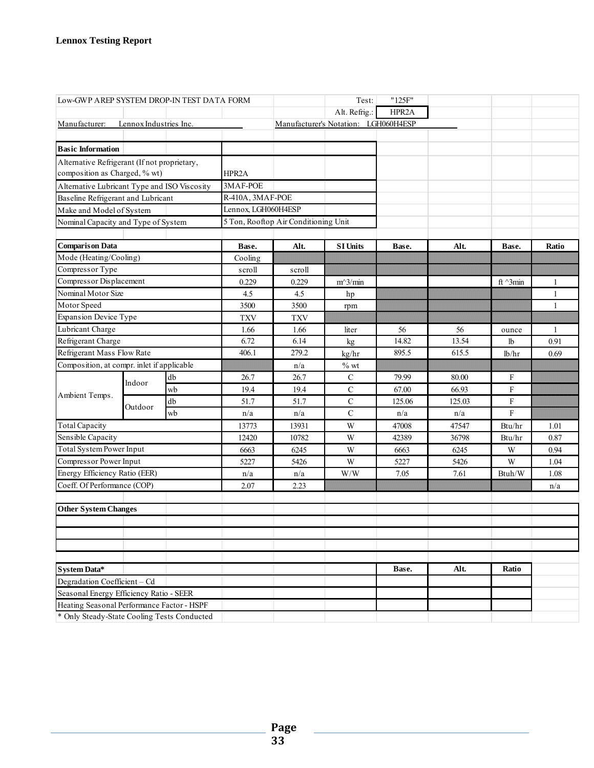| Low-GWP AREP SYSTEM DROP-IN TEST DATA FORM   |                        |    |                     |                                      | Test:                                | "125F" |        |                  |              |
|----------------------------------------------|------------------------|----|---------------------|--------------------------------------|--------------------------------------|--------|--------|------------------|--------------|
|                                              |                        |    |                     |                                      | Alt. Refrig.:                        | HPR2A  |        |                  |              |
| Manufacturer:                                | Lennox Industries Inc. |    |                     |                                      | Manufacturer's Notation: LGH060H4ESP |        |        |                  |              |
|                                              |                        |    |                     |                                      |                                      |        |        |                  |              |
| <b>Basic Information</b>                     |                        |    |                     |                                      |                                      |        |        |                  |              |
| Alternative Refrigerant (If not proprietary, |                        |    |                     |                                      |                                      |        |        |                  |              |
| composition as Charged, % wt)                |                        |    | HPR2A               |                                      |                                      |        |        |                  |              |
| Alternative Lubricant Type and ISO Viscosity |                        |    | 3MAF-POE            |                                      |                                      |        |        |                  |              |
| Baseline Refrigerant and Lubricant           |                        |    | R-410A, 3MAF-POE    |                                      |                                      |        |        |                  |              |
| Make and Model of System                     |                        |    | Lennox, LGH060H4ESP |                                      |                                      |        |        |                  |              |
| Nominal Capacity and Type of System          |                        |    |                     | 5 Ton, Rooftop Air Conditioning Unit |                                      |        |        |                  |              |
|                                              |                        |    |                     |                                      |                                      |        |        |                  |              |
| <b>Comparison Data</b>                       |                        |    | Base.               | Alt.                                 | <b>SI Units</b>                      | Base.  | Alt.   | Base.            | Ratio        |
| Mode (Heating/Cooling)                       |                        |    | Cooling             |                                      |                                      |        |        |                  |              |
| Compressor Type                              |                        |    | scroll              | scroll                               |                                      |        |        |                  |              |
| Compressor Displacement                      |                        |    | 0.229               | 0.229                                | $m^3/m$ in                           |        |        | ft $\gamma$ 3min | 1            |
| Nominal Motor Size                           |                        |    | 4.5                 | 4.5                                  | hp                                   |        |        |                  | $\mathbf{1}$ |
| Motor Speed                                  |                        |    | 3500                | 3500                                 | rpm                                  |        |        |                  | $\mathbf{1}$ |
| <b>Expansion Device Type</b>                 |                        |    | <b>TXV</b>          | <b>TXV</b>                           |                                      |        |        |                  |              |
| Lubricant Charge                             |                        |    | 1.66                | 1.66                                 | liter                                | 56     | 56     | ounce            | $\mathbf{1}$ |
| Refrigerant Charge                           |                        |    | 6.72                | 6.14                                 | kg                                   | 14.82  | 13.54  | 1b               | 0.91         |
| Refrigerant Mass Flow Rate                   |                        |    | 406.1               | 279.2                                | kg/hr                                | 895.5  | 615.5  | lb/hr            | 0.69         |
| Composition, at compr. inlet if applicable   |                        |    |                     | n/a                                  | $\%$ wt                              |        |        |                  |              |
|                                              | Indoor                 | db | 26.7                | 26.7                                 | C                                    | 79.99  | 80.00  | F                |              |
| Ambient Temps.                               |                        | wb | 19.4                | 19.4                                 | $\mathsf{C}$                         | 67.00  | 66.93  | F                |              |
|                                              | Outdoor                | db | 51.7                | 51.7                                 | $\mathbf C$                          | 125.06 | 125.03 | $\mathbf F$      |              |
|                                              |                        | wb | n/a                 | n/a                                  | $\mathbf C$                          | n/a    | n/a    | F                |              |
| <b>Total Capacity</b>                        |                        |    | 13773               | 13931                                | W                                    | 47008  | 47547  | Btu/hr           | 1.01         |
| Sensible Capacity                            |                        |    | 12420               | 10782                                | W                                    | 42389  | 36798  | Btu/hr           | 0.87         |
| Total System Power Input                     |                        |    | 6663                | 6245                                 | W                                    | 6663   | 6245   | W                | 0.94         |
| Compressor Power Input                       |                        |    | 5227                | 5426                                 | W                                    | 5227   | 5426   | W                | 1.04         |
| Energy Efficiency Ratio (EER)                |                        |    | n/a                 | n/a                                  | W/W                                  | 7.05   | 7.61   | Btuh/W           | 1.08         |
| Coeff. Of Performance (COP)                  |                        |    | 2.07                | 2.23                                 |                                      |        |        |                  | n/a          |
|                                              |                        |    |                     |                                      |                                      |        |        |                  |              |
| <b>Other System Changes</b>                  |                        |    |                     |                                      |                                      |        |        |                  |              |
|                                              |                        |    |                     |                                      |                                      |        |        |                  |              |
|                                              |                        |    |                     |                                      |                                      |        |        |                  |              |
|                                              |                        |    |                     |                                      |                                      |        |        |                  |              |
|                                              |                        |    |                     |                                      |                                      |        |        |                  |              |
| System Data*                                 |                        |    |                     |                                      |                                      | Base.  | Alt.   | Ratio            |              |
| Degradation Coefficient - Cd                 |                        |    |                     |                                      |                                      |        |        |                  |              |
| Seasonal Energy Efficiency Ratio - SEER      |                        |    |                     |                                      |                                      |        |        |                  |              |
| Heating Seasonal Performance Factor - HSPF   |                        |    |                     |                                      |                                      |        |        |                  |              |
| * Only Steady-State Cooling Tests Conducted  |                        |    |                     |                                      |                                      |        |        |                  |              |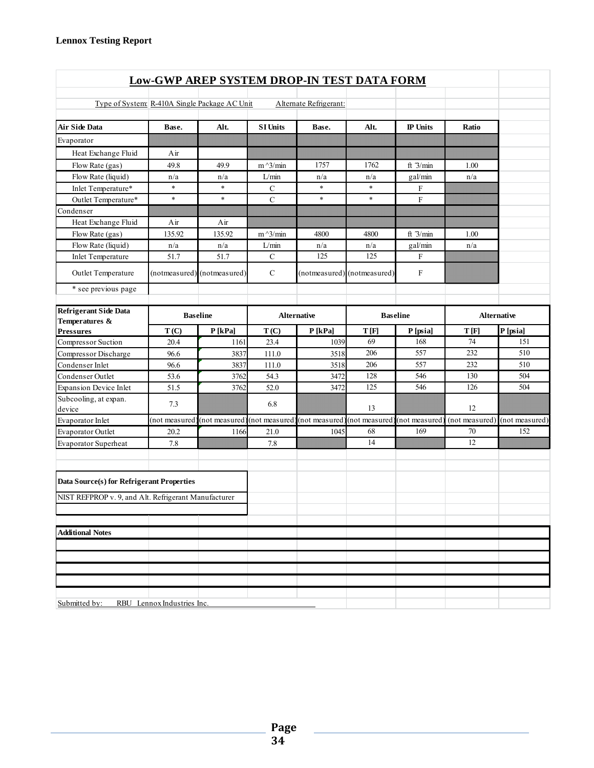| <b>Low-GWP AREP SYSTEM DROP-IN TEST DATA FORM</b>          |                            |                             |                    |                              |                             |                 |       |                               |  |  |  |  |
|------------------------------------------------------------|----------------------------|-----------------------------|--------------------|------------------------------|-----------------------------|-----------------|-------|-------------------------------|--|--|--|--|
|                                                            |                            |                             |                    |                              |                             |                 |       |                               |  |  |  |  |
| Type of System: R-410A Single Package AC Unit              |                            |                             |                    | Alternate Refrigerant:       |                             |                 |       |                               |  |  |  |  |
| <b>Air Side Data</b>                                       | Base.                      | Alt.                        | <b>SI Units</b>    | Base.                        | Alt.                        | <b>IP</b> Units | Ratio |                               |  |  |  |  |
| Evaporator                                                 |                            |                             |                    |                              |                             |                 |       |                               |  |  |  |  |
| Heat Exchange Fluid                                        | Air                        |                             |                    |                              |                             |                 |       |                               |  |  |  |  |
| Flow Rate (gas)                                            | 49.8                       | 49.9                        | $m^2/$ min         | 1757                         | 1762                        | ft $3/min$      | 1.00  |                               |  |  |  |  |
| Flow Rate (liquid)                                         | n/a                        | n/a                         | L/min              | n/a                          | n/a                         | gal/min         | n/a   |                               |  |  |  |  |
| Inlet Temperature*                                         | $\ast$                     | $\star$                     | $\mathbf C$        | $\ast$                       | $\ast$                      | F               |       |                               |  |  |  |  |
| Outlet Temperature*                                        | $\ast$                     | $\ast$                      | $\mathbf C$        | $\ast$                       | $\ast$                      | $\mathbf{F}$    |       |                               |  |  |  |  |
| Condenser                                                  |                            |                             |                    |                              |                             |                 |       |                               |  |  |  |  |
| Heat Exchange Fluid                                        | Air                        | Air                         |                    |                              |                             |                 |       |                               |  |  |  |  |
| Flow Rate (gas)                                            | 135.92                     | 135.92                      | $m^2/$ min         | 4800                         | 4800                        | ft $3/min$      | 1.00  |                               |  |  |  |  |
| Flow Rate (liquid)                                         | n/a                        | n/a                         | L/min              | n/a                          | n/a                         | gal/min         | n/a   |                               |  |  |  |  |
| <b>Inlet Temperature</b>                                   | 51.7                       | 51.7                        | $\mathcal{C}$      | 125                          | 125                         | F               |       |                               |  |  |  |  |
| Outlet Temperature                                         |                            | (notmeasured) (notmeasured) | $\mathcal{C}$      |                              | (notmeasured) (notmeasured) | $\mathbf F$     |       |                               |  |  |  |  |
| * see previous page                                        |                            |                             |                    |                              |                             |                 |       |                               |  |  |  |  |
| Refrigerant Side Data<br><b>Baseline</b><br>Temperatures & |                            |                             | <b>Alternative</b> | <b>Baseline</b>              |                             | Alternative     |       |                               |  |  |  |  |
| <b>Pressures</b>                                           | T(C)                       | P[kPa]                      | T(C)               | P[kPa]                       | T[F]                        | P [psia]        | T[F]  | P [psia]                      |  |  |  |  |
| Compressor Suction                                         | 20.4                       | 1161                        | 23.4               | 1039                         | 69                          | 168             | 74    | 151                           |  |  |  |  |
| Compressor Discharge                                       | 96.6                       | 3837                        | 111.0              | 3518                         | 206                         | 557             | 232   | 510                           |  |  |  |  |
| Condenser Inlet                                            | 96.6                       | 3837                        | 111.0              | 3518                         | 206                         | 557             | 232   | 510                           |  |  |  |  |
| Condenser Outlet                                           | 53.6                       | 3762                        | 54.3               | 3472                         | 128                         | 546             | 130   | 504                           |  |  |  |  |
| <b>Expansion Device Inlet</b>                              | 51.5                       | 3762                        | 52.0               | 3472                         | 125                         | 546             | 126   | 504                           |  |  |  |  |
| Subcooling, at expan.<br>device                            | 7.3                        |                             | 6.8                |                              | 13                          |                 | 12    |                               |  |  |  |  |
| Evaporator Inlet                                           | (not measured              | (not measured)              | (not measured)     | (not measured) (not measured |                             | (not measured   |       | (not measured) (not measured) |  |  |  |  |
| Evaporator Outlet                                          | 20.2                       | 1166                        | 21.0               | 1045                         | 68                          | 169             | 70    | 152                           |  |  |  |  |
| Evaporator Superheat                                       | 7.8                        |                             | 7.8                |                              | 14                          |                 | 12    |                               |  |  |  |  |
| Data Source(s) for Refrigerant Properties                  |                            |                             |                    |                              |                             |                 |       |                               |  |  |  |  |
| NIST REFPROP v. 9, and Alt. Refrigerant Manufacturer       |                            |                             |                    |                              |                             |                 |       |                               |  |  |  |  |
|                                                            |                            |                             |                    |                              |                             |                 |       |                               |  |  |  |  |
| <b>Additional Notes</b>                                    |                            |                             |                    |                              |                             |                 |       |                               |  |  |  |  |
|                                                            |                            |                             |                    |                              |                             |                 |       |                               |  |  |  |  |
|                                                            |                            |                             |                    |                              |                             |                 |       |                               |  |  |  |  |
|                                                            |                            |                             |                    |                              |                             |                 |       |                               |  |  |  |  |
|                                                            |                            |                             |                    |                              |                             |                 |       |                               |  |  |  |  |
| Submitted by:                                              | RBU Lennox Industries Inc. |                             |                    |                              |                             |                 |       |                               |  |  |  |  |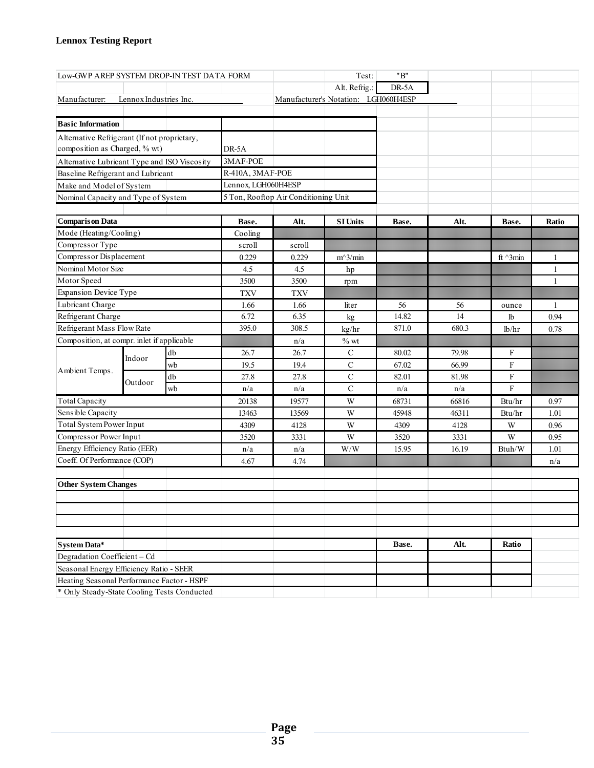| Low-GWP AREP SYSTEM DROP-IN TEST DATA FORM   |                                     |    |                     |                                      | Test:                                | "B"   |       |                           |       |
|----------------------------------------------|-------------------------------------|----|---------------------|--------------------------------------|--------------------------------------|-------|-------|---------------------------|-------|
|                                              |                                     |    |                     |                                      | Alt. Refrig.:                        | DR-5A |       |                           |       |
| Manufacturer:                                | Lennox Industries Inc.              |    |                     |                                      | Manufacturer's Notation: LGH060H4ESP |       |       |                           |       |
|                                              |                                     |    |                     |                                      |                                      |       |       |                           |       |
| <b>Basic Information</b>                     |                                     |    |                     |                                      |                                      |       |       |                           |       |
| Alternative Refrigerant (If not proprietary, |                                     |    |                     |                                      |                                      |       |       |                           |       |
| composition as Charged, % wt)                |                                     |    | DR-5A               |                                      |                                      |       |       |                           |       |
| Alternative Lubricant Type and ISO Viscosity |                                     |    | 3MAF-POE            |                                      |                                      |       |       |                           |       |
| Baseline Refrigerant and Lubricant           |                                     |    | R-410A, 3MAF-POE    |                                      |                                      |       |       |                           |       |
| Make and Model of System                     |                                     |    | Lennox, LGH060H4ESP |                                      |                                      |       |       |                           |       |
|                                              | Nominal Capacity and Type of System |    |                     | 5 Ton, Rooftop Air Conditioning Unit |                                      |       |       |                           |       |
|                                              |                                     |    |                     |                                      |                                      |       |       |                           |       |
| <b>Comparison Data</b>                       |                                     |    | Base.               | Alt.                                 | <b>SI Units</b>                      | Base. | Alt.  | Base.                     | Ratio |
| Mode (Heating/Cooling)                       |                                     |    | Cooling             |                                      |                                      |       |       |                           |       |
| Compressor Type                              |                                     |    | scroll              | scroll                               |                                      |       |       |                           |       |
| Compressor Displacement                      |                                     |    | 0.229               | 0.229                                | $m^3/m$ in                           |       |       | ft $\land$ 3min           | 1     |
| Nominal Motor Size                           |                                     |    | 4.5                 | 4.5                                  | hp                                   |       |       |                           | 1     |
| Motor Speed                                  |                                     |    | 3500                | 3500                                 | rpm                                  |       |       |                           | 1     |
| <b>Expansion Device Type</b>                 |                                     |    | <b>TXV</b>          | <b>TXV</b>                           |                                      |       |       |                           |       |
| Lubricant Charge                             |                                     |    | 1.66                | 1.66                                 | liter                                | 56    | 56    | ounce                     | 1     |
|                                              | Refrigerant Charge                  |    | 6.72                | 6.35                                 | kg                                   | 14.82 | 14    | lb                        | 0.94  |
|                                              | Refrigerant Mass Flow Rate          |    | 395.0               | 308.5                                | kg/hr                                | 871.0 | 680.3 | lb/hr                     | 0.78  |
| Composition, at compr. inlet if applicable   |                                     |    |                     | n/a                                  | $%$ wt                               |       |       |                           |       |
|                                              | Indoor                              | db | 26.7                | 26.7                                 | $\mathsf{C}$                         | 80.02 | 79.98 | F                         |       |
| Ambient Temps.                               |                                     | wb | 19.5                | 19.4                                 | $\mathcal{C}$                        | 67.02 | 66.99 | F                         |       |
|                                              | Outdoor                             | db | 27.8                | 27.8                                 | $\mathbf C$                          | 82.01 | 81.98 | $\boldsymbol{\mathrm{F}}$ |       |
|                                              |                                     | wb | n/a                 | n/a                                  | $\mathsf{C}$                         | n/a   | n/a   | F                         |       |
| <b>Total Capacity</b>                        |                                     |    | 20138               | 19577                                | W                                    | 68731 | 66816 | Btu/hr                    | 0.97  |
| Sensible Capacity                            |                                     |    | 13463               | 13569                                | W                                    | 45948 | 46311 | Btu/hr                    | 1.01  |
| <b>Total System Power Input</b>              |                                     |    | 4309                | 4128                                 | W                                    | 4309  | 4128  | W                         | 0.96  |
| Compressor Power Input                       |                                     |    | 3520                | 3331                                 | W                                    | 3520  | 3331  | W                         | 0.95  |
| Energy Efficiency Ratio (EER)                |                                     |    | n/a                 | n/a                                  | W/W                                  | 15.95 | 16.19 | Btuh/W                    | 1.01  |
| Coeff. Of Performance (COP)                  |                                     |    | 4.67                | 4.74                                 |                                      |       |       |                           | n/a   |
| <b>Other System Changes</b>                  |                                     |    |                     |                                      |                                      |       |       |                           |       |
|                                              |                                     |    |                     |                                      |                                      |       |       |                           |       |
|                                              |                                     |    |                     |                                      |                                      |       |       |                           |       |
| <b>System Data*</b>                          |                                     |    |                     |                                      |                                      | Base. | Alt.  | Ratio                     |       |
| Degradation Coefficient - Cd                 |                                     |    |                     |                                      |                                      |       |       |                           |       |
| Seasonal Energy Efficiency Ratio - SEER      |                                     |    |                     |                                      |                                      |       |       |                           |       |
| Heating Seasonal Performance Factor - HSPF   |                                     |    |                     |                                      |                                      |       |       |                           |       |
| * Only Steady-State Cooling Tests Conducted  |                                     |    |                     |                                      |                                      |       |       |                           |       |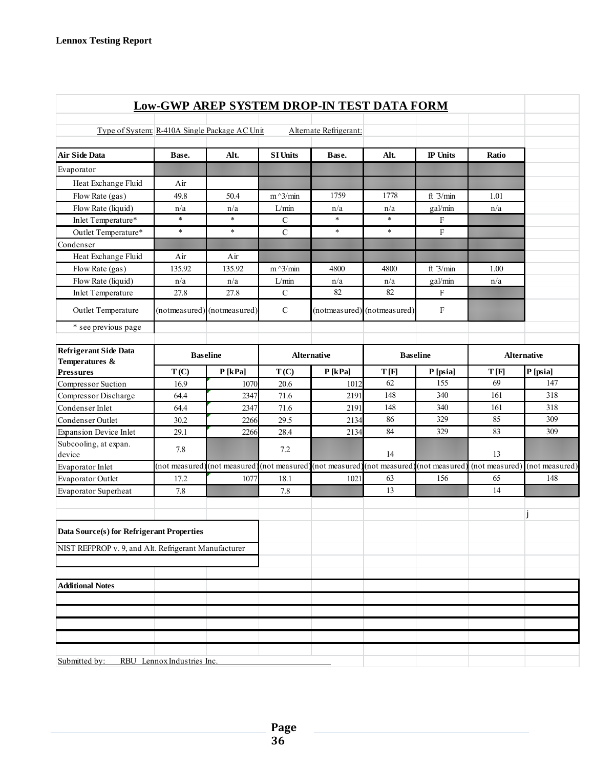|                                                      |                            | <b>Low-GWP AREP SYSTEM DROP-IN TEST DATA FORM</b> |                 |                        |                                              |                 |                    |                |
|------------------------------------------------------|----------------------------|---------------------------------------------------|-----------------|------------------------|----------------------------------------------|-----------------|--------------------|----------------|
| Type of System: R-410A Single Package AC Unit        |                            |                                                   |                 | Alternate Refrigerant: |                                              |                 |                    |                |
| <b>Air Side Data</b>                                 | Base.                      | Alt.                                              | <b>SI Units</b> | Base.                  | Alt.                                         | <b>IP</b> Units | Ratio              |                |
| Evaporator                                           |                            |                                                   |                 |                        |                                              |                 |                    |                |
| Heat Exchange Fluid                                  | Air                        |                                                   |                 |                        |                                              |                 |                    |                |
| Flow Rate (gas)                                      | 49.8                       | 50.4                                              | $m^2/$ min      | 1759                   | 1778                                         | ft $3/min$      | 1.01               |                |
| Flow Rate (liquid)                                   | n/a                        | n/a                                               | L/min           | n/a                    | n/a                                          | gal/min         | n/a                |                |
| Inlet Temperature*                                   | $\ast$                     | $\ast$                                            | $\mathcal{C}$   | $\ast$                 | $\ast$                                       | F               |                    |                |
| Outlet Temperature*                                  | $\ast$                     | $\ast$                                            | $\mathbf C$     | $\ast$                 | $\ast$                                       | $\rm F$         |                    |                |
| Condenser                                            |                            |                                                   |                 |                        |                                              |                 |                    |                |
| Heat Exchange Fluid                                  | Air                        | Air                                               |                 |                        |                                              |                 |                    |                |
| Flow Rate (gas)                                      | 135.92                     | 135.92                                            | $m^2/$ min      | 4800                   | 4800                                         | ft $3/min$      | 1.00               |                |
| Flow Rate (liquid)                                   | n/a                        | n/a                                               | L/min           | n/a                    | n/a                                          | gal/min         | n/a                |                |
| <b>Inlet Temperature</b>                             | 27.8                       | 27.8                                              | $\mathbf C$     | 82                     | 82                                           | $\mathbf{F}$    |                    |                |
| Outlet Temperature                                   |                            | (notmeasured) (notmeasured)                       | $\mathbf C$     |                        | (notmeasured) (notmeasured)                  | $\mathbf F$     |                    |                |
| * see previous page                                  |                            |                                                   |                 |                        |                                              |                 |                    |                |
| <b>Refrigerant Side Data</b><br>Temperatures &       | <b>Baseline</b>            |                                                   |                 | <b>Alternative</b>     | <b>Baseline</b>                              |                 | <b>Alternative</b> |                |
| <b>Pressures</b>                                     | T(C)                       | $P$ [kPa]                                         | T(C)            | $P$ [kPa]              | T[F]                                         | P [psia]        | T[F]               | P [psia]       |
| Compressor Suction                                   | 16.9                       | 1070                                              | 20.6            | 1012                   | 62                                           | 155             | 69                 | 147            |
| Compressor Discharge                                 | 64.4                       | 2347                                              | 71.6            | 2191                   | 148                                          | 340             | 161                | 318            |
| Condenser Inlet                                      | 64.4                       | 2347                                              | 71.6            | 2191                   | 148                                          | 340             | 161                | 318            |
| Condenser Outlet                                     | 30.2                       | 2266                                              | 29.5            | 2134                   | 86                                           | 329             | 85                 | 309            |
| <b>Expansion Device Inlet</b>                        | 29.1                       | 2266                                              | 28.4            | 2134                   | 84                                           | 329             | 83                 | 309            |
| Subcooling, at expan.<br>device                      | 7.8                        |                                                   | 7.2             |                        | 14                                           |                 | 13                 |                |
| Evaporator Inlet                                     | (not measured              | (not measured)                                    | (not measured   |                        | (not measured) (not measured) (not measured) |                 | (not measured)     | (not measured) |
| Evaporator Outlet                                    | 17.2                       | 1077                                              | 18.1            | 1021                   | 63                                           | 156             | 65                 | 148            |
| Evaporator Superheat                                 | 7.8                        |                                                   | 7.8             |                        | 13                                           |                 | 14                 |                |
| Data Source(s) for Refrigerant Properties            |                            |                                                   |                 |                        |                                              |                 |                    |                |
| NIST REFPROP v. 9, and Alt. Refrigerant Manufacturer |                            |                                                   |                 |                        |                                              |                 |                    |                |
|                                                      |                            |                                                   |                 |                        |                                              |                 |                    |                |
| <b>Additional Notes</b>                              |                            |                                                   |                 |                        |                                              |                 |                    |                |
|                                                      |                            |                                                   |                 |                        |                                              |                 |                    |                |
|                                                      |                            |                                                   |                 |                        |                                              |                 |                    |                |
|                                                      |                            |                                                   |                 |                        |                                              |                 |                    |                |
|                                                      |                            |                                                   |                 |                        |                                              |                 |                    |                |
| Submitted by:                                        | RBU Lennox Industries Inc. |                                                   |                 |                        |                                              |                 |                    |                |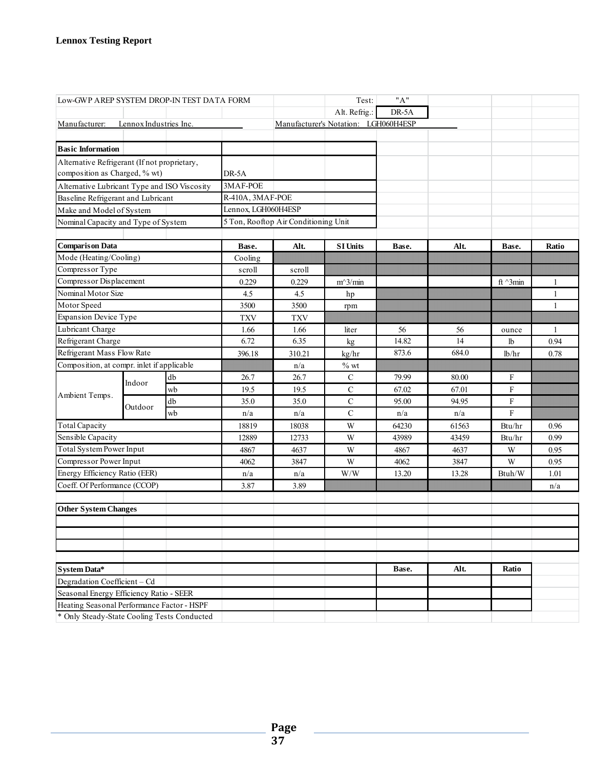| Alt. Refrig.:<br>DR-5A<br>Lennox Industries Inc.<br>Manufacturer's Notation: LGH060H4ESP<br>Alternative Refrigerant (If not proprietary,<br>composition as Charged, % wt)<br>DR-5A<br>3MAF-POE<br>Alternative Lubricant Type and ISO Viscosity<br>R-410A, 3MAF-POE<br>Baseline Refrigerant and Lubricant<br>Lennox, LGH060H4ESP<br>Make and Model of System<br>5 Ton, Rooftop Air Conditioning Unit<br>Nominal Capacity and Type of System<br>Alt.<br><b>SI Units</b><br>Base.<br>Base.<br>Alt.<br>Base.<br>Ratio<br>Mode (Heating/Cooling)<br>Cooling<br>Compressor Type<br>scroll<br>scroll<br>Compressor Displacement<br>0.229<br>0.229<br>$m^3/m$ in<br>ft $\land$ 3min<br>1<br>Nominal Motor Size<br>4.5<br>4.5<br>$\mathbf{1}$<br>hp<br>3500<br>3500<br>$\mathbf{1}$<br>rpm<br><b>Expansion Device Type</b><br><b>TXV</b><br><b>TXV</b><br>1.66<br>1.66<br>56<br>56<br>$\mathbf{1}$<br>liter<br>ounce<br>14<br>Refrigerant Charge<br>6.72<br>6.35<br>14.82<br>0.94<br>lb<br>kg<br>Refrigerant Mass Flow Rate<br>873.6<br>396.18<br>684.0<br>310.21<br>lb/hr<br>0.78<br>kg/hr<br>Composition, at compr. inlet if applicable<br>$%$ wt<br>n/a<br>db<br>$\mathbf C$<br>26.7<br>26.7<br>79.99<br>80.00<br>F<br>Indoor<br>$\mathbf F$<br>wb<br>19.5<br>$\mathbf C$<br>67.02<br>67.01<br>19.5<br>Ambient Temps.<br>db<br>$\mathbf C$<br>F<br>35.0<br>35.0<br>95.00<br>94.95<br>Outdoor<br>$\mathsf{C}$<br>F<br>wb<br>n/a<br>n/a<br>n/a<br>n/a<br><b>Total Capacity</b><br>18819<br>W<br>64230<br>61563<br>18038<br>Btu/hr<br>0.96<br>Sensible Capacity<br>12889<br>W<br>43989<br>43459<br>0.99<br>12733<br>Btu/hr<br>Total System Power Input<br>4867<br>4867<br>4637<br>0.95<br>4637<br>W<br>W<br>Compressor Power Input<br>4062<br>3847<br>W<br>4062<br>3847<br>W<br>0.95<br>Energy Efficiency Ratio (EER)<br>W/W<br>1.01<br>n/a<br>13.20<br>13.28<br>Btuh/W<br>n/a<br>Coeff. Of Performance (CCOP)<br>3.87<br>3.89<br>n/a<br><b>Other System Changes</b> | Low-GWP AREP SYSTEM DROP-IN TEST DATA FORM |  |  |  | Test: | "A" |  |  |
|-------------------------------------------------------------------------------------------------------------------------------------------------------------------------------------------------------------------------------------------------------------------------------------------------------------------------------------------------------------------------------------------------------------------------------------------------------------------------------------------------------------------------------------------------------------------------------------------------------------------------------------------------------------------------------------------------------------------------------------------------------------------------------------------------------------------------------------------------------------------------------------------------------------------------------------------------------------------------------------------------------------------------------------------------------------------------------------------------------------------------------------------------------------------------------------------------------------------------------------------------------------------------------------------------------------------------------------------------------------------------------------------------------------------------------------------------------------------------------------------------------------------------------------------------------------------------------------------------------------------------------------------------------------------------------------------------------------------------------------------------------------------------------------------------------------------------------------------------------------------------------------------------------------------------------------------------------------|--------------------------------------------|--|--|--|-------|-----|--|--|
|                                                                                                                                                                                                                                                                                                                                                                                                                                                                                                                                                                                                                                                                                                                                                                                                                                                                                                                                                                                                                                                                                                                                                                                                                                                                                                                                                                                                                                                                                                                                                                                                                                                                                                                                                                                                                                                                                                                                                             |                                            |  |  |  |       |     |  |  |
|                                                                                                                                                                                                                                                                                                                                                                                                                                                                                                                                                                                                                                                                                                                                                                                                                                                                                                                                                                                                                                                                                                                                                                                                                                                                                                                                                                                                                                                                                                                                                                                                                                                                                                                                                                                                                                                                                                                                                             | Manufacturer:                              |  |  |  |       |     |  |  |
|                                                                                                                                                                                                                                                                                                                                                                                                                                                                                                                                                                                                                                                                                                                                                                                                                                                                                                                                                                                                                                                                                                                                                                                                                                                                                                                                                                                                                                                                                                                                                                                                                                                                                                                                                                                                                                                                                                                                                             |                                            |  |  |  |       |     |  |  |
|                                                                                                                                                                                                                                                                                                                                                                                                                                                                                                                                                                                                                                                                                                                                                                                                                                                                                                                                                                                                                                                                                                                                                                                                                                                                                                                                                                                                                                                                                                                                                                                                                                                                                                                                                                                                                                                                                                                                                             | <b>Basic Information</b>                   |  |  |  |       |     |  |  |
|                                                                                                                                                                                                                                                                                                                                                                                                                                                                                                                                                                                                                                                                                                                                                                                                                                                                                                                                                                                                                                                                                                                                                                                                                                                                                                                                                                                                                                                                                                                                                                                                                                                                                                                                                                                                                                                                                                                                                             |                                            |  |  |  |       |     |  |  |
|                                                                                                                                                                                                                                                                                                                                                                                                                                                                                                                                                                                                                                                                                                                                                                                                                                                                                                                                                                                                                                                                                                                                                                                                                                                                                                                                                                                                                                                                                                                                                                                                                                                                                                                                                                                                                                                                                                                                                             |                                            |  |  |  |       |     |  |  |
|                                                                                                                                                                                                                                                                                                                                                                                                                                                                                                                                                                                                                                                                                                                                                                                                                                                                                                                                                                                                                                                                                                                                                                                                                                                                                                                                                                                                                                                                                                                                                                                                                                                                                                                                                                                                                                                                                                                                                             |                                            |  |  |  |       |     |  |  |
|                                                                                                                                                                                                                                                                                                                                                                                                                                                                                                                                                                                                                                                                                                                                                                                                                                                                                                                                                                                                                                                                                                                                                                                                                                                                                                                                                                                                                                                                                                                                                                                                                                                                                                                                                                                                                                                                                                                                                             |                                            |  |  |  |       |     |  |  |
|                                                                                                                                                                                                                                                                                                                                                                                                                                                                                                                                                                                                                                                                                                                                                                                                                                                                                                                                                                                                                                                                                                                                                                                                                                                                                                                                                                                                                                                                                                                                                                                                                                                                                                                                                                                                                                                                                                                                                             |                                            |  |  |  |       |     |  |  |
|                                                                                                                                                                                                                                                                                                                                                                                                                                                                                                                                                                                                                                                                                                                                                                                                                                                                                                                                                                                                                                                                                                                                                                                                                                                                                                                                                                                                                                                                                                                                                                                                                                                                                                                                                                                                                                                                                                                                                             |                                            |  |  |  |       |     |  |  |
|                                                                                                                                                                                                                                                                                                                                                                                                                                                                                                                                                                                                                                                                                                                                                                                                                                                                                                                                                                                                                                                                                                                                                                                                                                                                                                                                                                                                                                                                                                                                                                                                                                                                                                                                                                                                                                                                                                                                                             |                                            |  |  |  |       |     |  |  |
|                                                                                                                                                                                                                                                                                                                                                                                                                                                                                                                                                                                                                                                                                                                                                                                                                                                                                                                                                                                                                                                                                                                                                                                                                                                                                                                                                                                                                                                                                                                                                                                                                                                                                                                                                                                                                                                                                                                                                             | <b>Comparison Data</b>                     |  |  |  |       |     |  |  |
|                                                                                                                                                                                                                                                                                                                                                                                                                                                                                                                                                                                                                                                                                                                                                                                                                                                                                                                                                                                                                                                                                                                                                                                                                                                                                                                                                                                                                                                                                                                                                                                                                                                                                                                                                                                                                                                                                                                                                             |                                            |  |  |  |       |     |  |  |
|                                                                                                                                                                                                                                                                                                                                                                                                                                                                                                                                                                                                                                                                                                                                                                                                                                                                                                                                                                                                                                                                                                                                                                                                                                                                                                                                                                                                                                                                                                                                                                                                                                                                                                                                                                                                                                                                                                                                                             |                                            |  |  |  |       |     |  |  |
|                                                                                                                                                                                                                                                                                                                                                                                                                                                                                                                                                                                                                                                                                                                                                                                                                                                                                                                                                                                                                                                                                                                                                                                                                                                                                                                                                                                                                                                                                                                                                                                                                                                                                                                                                                                                                                                                                                                                                             |                                            |  |  |  |       |     |  |  |
|                                                                                                                                                                                                                                                                                                                                                                                                                                                                                                                                                                                                                                                                                                                                                                                                                                                                                                                                                                                                                                                                                                                                                                                                                                                                                                                                                                                                                                                                                                                                                                                                                                                                                                                                                                                                                                                                                                                                                             |                                            |  |  |  |       |     |  |  |
|                                                                                                                                                                                                                                                                                                                                                                                                                                                                                                                                                                                                                                                                                                                                                                                                                                                                                                                                                                                                                                                                                                                                                                                                                                                                                                                                                                                                                                                                                                                                                                                                                                                                                                                                                                                                                                                                                                                                                             | Motor Speed                                |  |  |  |       |     |  |  |
|                                                                                                                                                                                                                                                                                                                                                                                                                                                                                                                                                                                                                                                                                                                                                                                                                                                                                                                                                                                                                                                                                                                                                                                                                                                                                                                                                                                                                                                                                                                                                                                                                                                                                                                                                                                                                                                                                                                                                             |                                            |  |  |  |       |     |  |  |
|                                                                                                                                                                                                                                                                                                                                                                                                                                                                                                                                                                                                                                                                                                                                                                                                                                                                                                                                                                                                                                                                                                                                                                                                                                                                                                                                                                                                                                                                                                                                                                                                                                                                                                                                                                                                                                                                                                                                                             | Lubricant Charge                           |  |  |  |       |     |  |  |
|                                                                                                                                                                                                                                                                                                                                                                                                                                                                                                                                                                                                                                                                                                                                                                                                                                                                                                                                                                                                                                                                                                                                                                                                                                                                                                                                                                                                                                                                                                                                                                                                                                                                                                                                                                                                                                                                                                                                                             |                                            |  |  |  |       |     |  |  |
|                                                                                                                                                                                                                                                                                                                                                                                                                                                                                                                                                                                                                                                                                                                                                                                                                                                                                                                                                                                                                                                                                                                                                                                                                                                                                                                                                                                                                                                                                                                                                                                                                                                                                                                                                                                                                                                                                                                                                             |                                            |  |  |  |       |     |  |  |
|                                                                                                                                                                                                                                                                                                                                                                                                                                                                                                                                                                                                                                                                                                                                                                                                                                                                                                                                                                                                                                                                                                                                                                                                                                                                                                                                                                                                                                                                                                                                                                                                                                                                                                                                                                                                                                                                                                                                                             |                                            |  |  |  |       |     |  |  |
|                                                                                                                                                                                                                                                                                                                                                                                                                                                                                                                                                                                                                                                                                                                                                                                                                                                                                                                                                                                                                                                                                                                                                                                                                                                                                                                                                                                                                                                                                                                                                                                                                                                                                                                                                                                                                                                                                                                                                             |                                            |  |  |  |       |     |  |  |
|                                                                                                                                                                                                                                                                                                                                                                                                                                                                                                                                                                                                                                                                                                                                                                                                                                                                                                                                                                                                                                                                                                                                                                                                                                                                                                                                                                                                                                                                                                                                                                                                                                                                                                                                                                                                                                                                                                                                                             |                                            |  |  |  |       |     |  |  |
|                                                                                                                                                                                                                                                                                                                                                                                                                                                                                                                                                                                                                                                                                                                                                                                                                                                                                                                                                                                                                                                                                                                                                                                                                                                                                                                                                                                                                                                                                                                                                                                                                                                                                                                                                                                                                                                                                                                                                             |                                            |  |  |  |       |     |  |  |
|                                                                                                                                                                                                                                                                                                                                                                                                                                                                                                                                                                                                                                                                                                                                                                                                                                                                                                                                                                                                                                                                                                                                                                                                                                                                                                                                                                                                                                                                                                                                                                                                                                                                                                                                                                                                                                                                                                                                                             |                                            |  |  |  |       |     |  |  |
|                                                                                                                                                                                                                                                                                                                                                                                                                                                                                                                                                                                                                                                                                                                                                                                                                                                                                                                                                                                                                                                                                                                                                                                                                                                                                                                                                                                                                                                                                                                                                                                                                                                                                                                                                                                                                                                                                                                                                             |                                            |  |  |  |       |     |  |  |
|                                                                                                                                                                                                                                                                                                                                                                                                                                                                                                                                                                                                                                                                                                                                                                                                                                                                                                                                                                                                                                                                                                                                                                                                                                                                                                                                                                                                                                                                                                                                                                                                                                                                                                                                                                                                                                                                                                                                                             |                                            |  |  |  |       |     |  |  |
|                                                                                                                                                                                                                                                                                                                                                                                                                                                                                                                                                                                                                                                                                                                                                                                                                                                                                                                                                                                                                                                                                                                                                                                                                                                                                                                                                                                                                                                                                                                                                                                                                                                                                                                                                                                                                                                                                                                                                             |                                            |  |  |  |       |     |  |  |
|                                                                                                                                                                                                                                                                                                                                                                                                                                                                                                                                                                                                                                                                                                                                                                                                                                                                                                                                                                                                                                                                                                                                                                                                                                                                                                                                                                                                                                                                                                                                                                                                                                                                                                                                                                                                                                                                                                                                                             |                                            |  |  |  |       |     |  |  |
|                                                                                                                                                                                                                                                                                                                                                                                                                                                                                                                                                                                                                                                                                                                                                                                                                                                                                                                                                                                                                                                                                                                                                                                                                                                                                                                                                                                                                                                                                                                                                                                                                                                                                                                                                                                                                                                                                                                                                             |                                            |  |  |  |       |     |  |  |
|                                                                                                                                                                                                                                                                                                                                                                                                                                                                                                                                                                                                                                                                                                                                                                                                                                                                                                                                                                                                                                                                                                                                                                                                                                                                                                                                                                                                                                                                                                                                                                                                                                                                                                                                                                                                                                                                                                                                                             |                                            |  |  |  |       |     |  |  |
|                                                                                                                                                                                                                                                                                                                                                                                                                                                                                                                                                                                                                                                                                                                                                                                                                                                                                                                                                                                                                                                                                                                                                                                                                                                                                                                                                                                                                                                                                                                                                                                                                                                                                                                                                                                                                                                                                                                                                             |                                            |  |  |  |       |     |  |  |
|                                                                                                                                                                                                                                                                                                                                                                                                                                                                                                                                                                                                                                                                                                                                                                                                                                                                                                                                                                                                                                                                                                                                                                                                                                                                                                                                                                                                                                                                                                                                                                                                                                                                                                                                                                                                                                                                                                                                                             |                                            |  |  |  |       |     |  |  |
|                                                                                                                                                                                                                                                                                                                                                                                                                                                                                                                                                                                                                                                                                                                                                                                                                                                                                                                                                                                                                                                                                                                                                                                                                                                                                                                                                                                                                                                                                                                                                                                                                                                                                                                                                                                                                                                                                                                                                             |                                            |  |  |  |       |     |  |  |
|                                                                                                                                                                                                                                                                                                                                                                                                                                                                                                                                                                                                                                                                                                                                                                                                                                                                                                                                                                                                                                                                                                                                                                                                                                                                                                                                                                                                                                                                                                                                                                                                                                                                                                                                                                                                                                                                                                                                                             |                                            |  |  |  |       |     |  |  |
|                                                                                                                                                                                                                                                                                                                                                                                                                                                                                                                                                                                                                                                                                                                                                                                                                                                                                                                                                                                                                                                                                                                                                                                                                                                                                                                                                                                                                                                                                                                                                                                                                                                                                                                                                                                                                                                                                                                                                             |                                            |  |  |  |       |     |  |  |
| Base.<br>Alt.<br>Ratio                                                                                                                                                                                                                                                                                                                                                                                                                                                                                                                                                                                                                                                                                                                                                                                                                                                                                                                                                                                                                                                                                                                                                                                                                                                                                                                                                                                                                                                                                                                                                                                                                                                                                                                                                                                                                                                                                                                                      | <b>System Data*</b>                        |  |  |  |       |     |  |  |
| Degradation Coefficient - Cd                                                                                                                                                                                                                                                                                                                                                                                                                                                                                                                                                                                                                                                                                                                                                                                                                                                                                                                                                                                                                                                                                                                                                                                                                                                                                                                                                                                                                                                                                                                                                                                                                                                                                                                                                                                                                                                                                                                                |                                            |  |  |  |       |     |  |  |
| Seasonal Energy Efficiency Ratio - SEER                                                                                                                                                                                                                                                                                                                                                                                                                                                                                                                                                                                                                                                                                                                                                                                                                                                                                                                                                                                                                                                                                                                                                                                                                                                                                                                                                                                                                                                                                                                                                                                                                                                                                                                                                                                                                                                                                                                     |                                            |  |  |  |       |     |  |  |
| Heating Seasonal Performance Factor - HSPF                                                                                                                                                                                                                                                                                                                                                                                                                                                                                                                                                                                                                                                                                                                                                                                                                                                                                                                                                                                                                                                                                                                                                                                                                                                                                                                                                                                                                                                                                                                                                                                                                                                                                                                                                                                                                                                                                                                  |                                            |  |  |  |       |     |  |  |
| * Only Steady-State Cooling Tests Conducted                                                                                                                                                                                                                                                                                                                                                                                                                                                                                                                                                                                                                                                                                                                                                                                                                                                                                                                                                                                                                                                                                                                                                                                                                                                                                                                                                                                                                                                                                                                                                                                                                                                                                                                                                                                                                                                                                                                 |                                            |  |  |  |       |     |  |  |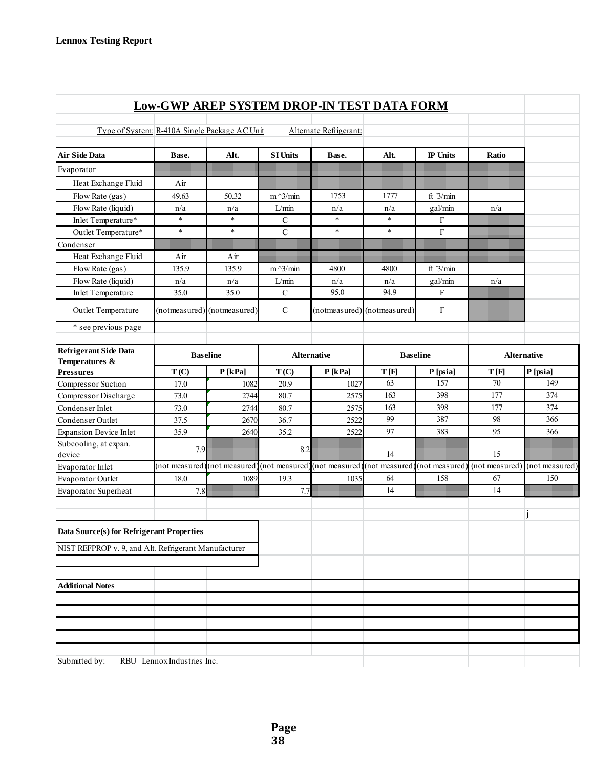|                                                      |                            | <b>Low-GWP AREP SYSTEM DROP-IN TEST DATA FORM</b> |                 |                                                             |                             |                 |                |                    |
|------------------------------------------------------|----------------------------|---------------------------------------------------|-----------------|-------------------------------------------------------------|-----------------------------|-----------------|----------------|--------------------|
|                                                      |                            |                                                   |                 |                                                             |                             |                 |                |                    |
| Type of System: R-410A Single Package AC Unit        |                            |                                                   |                 | Alternate Refrigerant:                                      |                             |                 |                |                    |
| <b>Air Side Data</b>                                 | Base.                      | Alt.                                              | <b>SI Units</b> | Base.                                                       | Alt.                        | <b>IP</b> Units | Ratio          |                    |
| Evaporator                                           |                            |                                                   |                 |                                                             |                             |                 |                |                    |
| Heat Exchange Fluid                                  | Air                        |                                                   |                 |                                                             |                             |                 |                |                    |
| Flow Rate (gas)                                      | 49.63                      | 50.32                                             | $m^2/$ min      | 1753                                                        | 1777                        | ft $3/min$      |                |                    |
| Flow Rate (liquid)                                   | n/a                        | n/a                                               | L/min           | n/a                                                         | n/a                         | gal/min         | n/a            |                    |
| Inlet Temperature*                                   | $\ast$                     | $\ast$                                            | $\mathcal{C}$   | $\ast$                                                      | $\ast$                      | F               |                |                    |
| Outlet Temperature*                                  | $\ast$                     | $\ast$                                            | $\mathbf C$     | $\ast$                                                      | $\ast$                      | $\mathbf F$     |                |                    |
| Condenser                                            |                            |                                                   |                 |                                                             |                             |                 |                |                    |
| Heat Exchange Fluid                                  | Air                        | Air                                               |                 |                                                             |                             |                 |                |                    |
| Flow Rate (gas)                                      | 135.9                      | 135.9                                             | $m^2/$ min      | 4800                                                        | 4800                        | ft $3/min$      |                |                    |
| Flow Rate (liquid)                                   | n/a                        | n/a                                               | L/min           | n/a                                                         | n/a                         | gal/min         | n/a            |                    |
| <b>Inlet Temperature</b>                             | 35.0                       | 35.0                                              | $\mathbf C$     | 95.0                                                        | 94.9                        | F               |                |                    |
| Outlet Temperature                                   |                            | (notmeasured) (notmeasured)                       | $\mathbf C$     |                                                             | (notmeasured) (notmeasured) | F               |                |                    |
| * see previous page                                  |                            |                                                   |                 |                                                             |                             |                 |                |                    |
| Refrigerant Side Data                                |                            |                                                   |                 | <b>Alternative</b>                                          |                             | <b>Baseline</b> |                | <b>Alternative</b> |
| Temperatures &                                       | <b>Baseline</b>            |                                                   |                 |                                                             |                             |                 |                |                    |
| <b>Pressures</b>                                     | T(C)                       | P[kPa]                                            | T(C)            | P[kPa]                                                      | T[F]                        | P [psia]        | T[F]           | P [psia]           |
| Compressor Suction                                   | 17.0                       | 1082                                              | 20.9            | 1027                                                        | 63                          | 157             | 70             | 149                |
| Compressor Discharge                                 | 73.0                       | 2744                                              | 80.7            | 2575                                                        | 163                         | 398             | 177            | 374                |
| Condenser Inlet                                      | 73.0                       | 2744                                              | 80.7            | 2575                                                        | 163                         | 398             | 177            | 374                |
| Condenser Outlet                                     | 37.5                       | 2670                                              | 36.7            | 2522                                                        | 99                          | 387             | 98             | 366                |
| <b>Expansion Device Inlet</b>                        | 35.9                       | 2640                                              | 35.2            | 2522                                                        | 97                          | 383             | 95             | 366                |
| Subcooling, at expan.<br>device                      | 7.9                        |                                                   | 8.2             |                                                             | 14                          |                 | 15             |                    |
| Evaporator Inlet                                     | (not measured)             |                                                   |                 | (not measured) (not measured) (not measured) (not measured) |                             | (not measured)  | (not measured) | (not measured)     |
| Evaporator Outlet                                    | 18.0                       | 1089                                              | 19.3            | 1035                                                        | 64                          | 158             | 67             | 150                |
| Evaporator Superheat                                 | 7.8                        |                                                   | 7.7             |                                                             | 14                          |                 | 14             |                    |
| Data Source(s) for Refrigerant Properties            |                            |                                                   |                 |                                                             |                             |                 |                |                    |
| NIST REFPROP v. 9, and Alt. Refrigerant Manufacturer |                            |                                                   |                 |                                                             |                             |                 |                |                    |
|                                                      |                            |                                                   |                 |                                                             |                             |                 |                |                    |
| <b>Additional Notes</b>                              |                            |                                                   |                 |                                                             |                             |                 |                |                    |
|                                                      |                            |                                                   |                 |                                                             |                             |                 |                |                    |
|                                                      |                            |                                                   |                 |                                                             |                             |                 |                |                    |
|                                                      |                            |                                                   |                 |                                                             |                             |                 |                |                    |
|                                                      |                            |                                                   |                 |                                                             |                             |                 |                |                    |
|                                                      |                            |                                                   |                 |                                                             |                             |                 |                |                    |
| Submitted by:                                        | RBU Lennox Industries Inc. |                                                   |                 |                                                             |                             |                 |                |                    |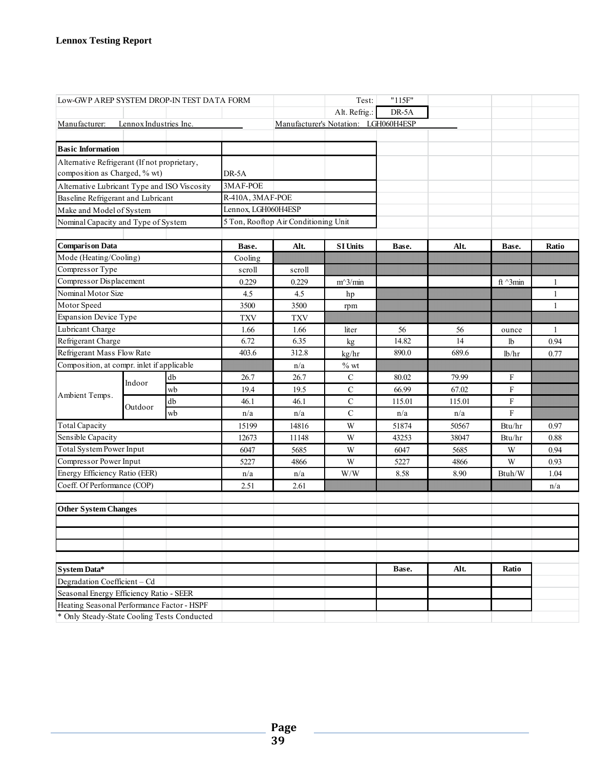| Low-GWP AREP SYSTEM DROP-IN TEST DATA FORM                                            |                        |    |                     |                                      | Test:                                | "115F" |        |                  |              |
|---------------------------------------------------------------------------------------|------------------------|----|---------------------|--------------------------------------|--------------------------------------|--------|--------|------------------|--------------|
|                                                                                       |                        |    |                     |                                      | Alt. Refrig.:                        | DR-5A  |        |                  |              |
| Manufacturer:                                                                         | Lennox Industries Inc. |    |                     |                                      | Manufacturer's Notation: LGH060H4ESP |        |        |                  |              |
|                                                                                       |                        |    |                     |                                      |                                      |        |        |                  |              |
| <b>Basic Information</b>                                                              |                        |    |                     |                                      |                                      |        |        |                  |              |
| Alternative Refrigerant (If not proprietary,                                          |                        |    |                     |                                      |                                      |        |        |                  |              |
| composition as Charged, % wt)                                                         |                        |    | DR-5A               |                                      |                                      |        |        |                  |              |
| Alternative Lubricant Type and ISO Viscosity                                          |                        |    | 3MAF-POE            |                                      |                                      |        |        |                  |              |
| Baseline Refrigerant and Lubricant                                                    |                        |    | R-410A, 3MAF-POE    |                                      |                                      |        |        |                  |              |
| Make and Model of System                                                              |                        |    | Lennox, LGH060H4ESP |                                      |                                      |        |        |                  |              |
| Nominal Capacity and Type of System                                                   |                        |    |                     | 5 Ton, Rooftop Air Conditioning Unit |                                      |        |        |                  |              |
|                                                                                       |                        |    |                     |                                      |                                      |        |        |                  |              |
| <b>Comparison Data</b>                                                                |                        |    | Base.               | Alt.                                 | <b>SI Units</b>                      | Base.  | Alt.   | Base.            | Ratio        |
| Mode (Heating/Cooling)                                                                |                        |    | Cooling             |                                      |                                      |        |        |                  |              |
| Compressor Type                                                                       |                        |    | scroll              | scroll                               |                                      |        |        |                  |              |
| Compressor Displacement                                                               |                        |    | 0.229               | 0.229                                | $m^3/m$ in                           |        |        | ft $\gamma$ 3min | 1            |
| Nominal Motor Size                                                                    |                        |    | 4.5                 | 4.5                                  | hp                                   |        |        |                  | $\mathbf{1}$ |
| Motor Speed                                                                           |                        |    | 3500                | 3500                                 | rpm                                  |        |        |                  | $\mathbf{1}$ |
| <b>Expansion Device Type</b>                                                          |                        |    | <b>TXV</b>          | <b>TXV</b>                           |                                      |        |        |                  |              |
| Lubricant Charge                                                                      |                        |    | 1.66                | 1.66                                 | liter                                | 56     | 56     | ounce            | $\mathbf{1}$ |
| Refrigerant Charge                                                                    |                        |    | 6.72                | 6.35                                 | kg                                   | 14.82  | 14     | 1b               | 0.94         |
| Refrigerant Mass Flow Rate                                                            |                        |    | 403.6               | 312.8                                | kg/hr                                | 890.0  | 689.6  | lb/hr            | 0.77         |
| Composition, at compr. inlet if applicable                                            |                        |    |                     | n/a                                  | $\%$ wt                              |        |        |                  |              |
|                                                                                       | Indoor                 | db | 26.7                | 26.7                                 | C                                    | 80.02  | 79.99  | F                |              |
| Ambient Temps.                                                                        |                        | wb | 19.4                | 19.5                                 | $\mathsf{C}$                         | 66.99  | 67.02  | F                |              |
|                                                                                       | Outdoor                | db | 46.1                | 46.1                                 | $\mathbf C$                          | 115.01 | 115.01 | $\mathbf F$      |              |
|                                                                                       |                        | wb | n/a                 | n/a                                  | $\mathbf C$                          | n/a    | n/a    | F                |              |
| <b>Total Capacity</b>                                                                 |                        |    | 15199               | 14816                                | W                                    | 51874  | 50567  | Btu/hr           | 0.97         |
| Sensible Capacity                                                                     |                        |    | 12673               | 11148                                | W                                    | 43253  | 38047  | Btu/hr           | 0.88         |
| Total System Power Input                                                              |                        |    | 6047                | 5685                                 | W                                    | 6047   | 5685   | W                | 0.94         |
| Compressor Power Input                                                                |                        |    | 5227                | 4866                                 | W                                    | 5227   | 4866   | W                | 0.93         |
| Energy Efficiency Ratio (EER)                                                         |                        |    | n/a                 | n/a                                  | W/W                                  | 8.58   | 8.90   | Btuh/W           | 1.04         |
| Coeff. Of Performance (COP)                                                           |                        |    | 2.51                | 2.61                                 |                                      |        |        |                  | n/a          |
|                                                                                       |                        |    |                     |                                      |                                      |        |        |                  |              |
| <b>Other System Changes</b>                                                           |                        |    |                     |                                      |                                      |        |        |                  |              |
|                                                                                       |                        |    |                     |                                      |                                      |        |        |                  |              |
|                                                                                       |                        |    |                     |                                      |                                      |        |        |                  |              |
|                                                                                       |                        |    |                     |                                      |                                      |        |        |                  |              |
|                                                                                       |                        |    |                     |                                      |                                      |        |        |                  |              |
| System Data*                                                                          |                        |    |                     |                                      |                                      | Base.  | Alt.   | Ratio            |              |
| Degradation Coefficient - Cd                                                          |                        |    |                     |                                      |                                      |        |        |                  |              |
| Seasonal Energy Efficiency Ratio - SEER<br>Heating Seasonal Performance Factor - HSPF |                        |    |                     |                                      |                                      |        |        |                  |              |
| * Only Steady-State Cooling Tests Conducted                                           |                        |    |                     |                                      |                                      |        |        |                  |              |
|                                                                                       |                        |    |                     |                                      |                                      |        |        |                  |              |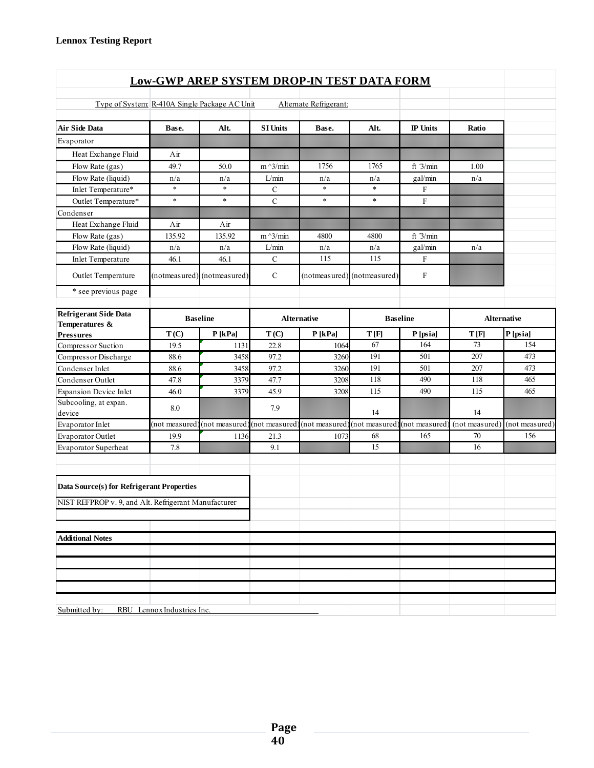|                                                                                                   |                            | <b>Low-GWP AREP SYSTEM DROP-IN TEST DATA FORM</b>                         |                   |                        |                 |                           |                |                |
|---------------------------------------------------------------------------------------------------|----------------------------|---------------------------------------------------------------------------|-------------------|------------------------|-----------------|---------------------------|----------------|----------------|
|                                                                                                   |                            |                                                                           |                   |                        |                 |                           |                |                |
| Type of System: R-410A Single Package AC Unit                                                     |                            |                                                                           |                   | Alternate Refrigerant: |                 |                           |                |                |
| <b>Air Side Data</b>                                                                              | Base.                      | Alt.                                                                      | <b>SI Units</b>   | Base.                  | Alt.            | <b>IP</b> Units           | Ratio          |                |
| Evaporator                                                                                        |                            |                                                                           |                   |                        |                 |                           |                |                |
| Heat Exchange Fluid                                                                               | Air                        |                                                                           |                   |                        |                 |                           |                |                |
| Flow Rate (gas)                                                                                   | 49.7                       | 50.0                                                                      | $m^{\wedge}3/min$ | 1756                   | 1765            | ft $3/min$                | 1.00           |                |
| Flow Rate (liquid)                                                                                | n/a                        | n/a                                                                       | L/min             | n/a                    | n/a             | gal/min                   | n/a            |                |
| Inlet Temperature*                                                                                | $\ast$                     | $\ast$                                                                    | $\mathbf C$       | $\ast$                 | $\ast$          | F                         |                |                |
| Outlet Temperature*                                                                               | $\ast$                     | $\ast$                                                                    | $\mathbf C$       | $\ast$                 | $\ast$          | $\rm F$                   |                |                |
| Condenser                                                                                         |                            |                                                                           |                   |                        |                 |                           |                |                |
| Heat Exchange Fluid                                                                               | Air                        | Air                                                                       |                   |                        |                 |                           |                |                |
| Flow Rate (gas)                                                                                   | 135.92                     | 135.92                                                                    | $m^2/$ min        | 4800                   | 4800            | ft $3/min$                |                |                |
| Flow Rate (liquid)                                                                                | n/a                        | n/a                                                                       | L/min             | n/a                    | n/a             | gal/min                   | n/a            |                |
| Inlet Temperature                                                                                 | 46.1                       | 46.1                                                                      | $\mathbf C$       | 115                    | 115             | $\boldsymbol{\mathrm{F}}$ |                |                |
| Outlet Temperature                                                                                |                            | (notmeasured) (notmeasured)                                               | $\mathcal{C}$     | (notmeasured)          | (notmeasured)   | F                         |                |                |
| * see previous page                                                                               |                            |                                                                           |                   |                        |                 |                           |                |                |
| <b>Refrigerant Side Data</b><br><b>Baseline</b>                                                   |                            |                                                                           |                   | Alternative            | <b>Baseline</b> |                           |                | Alternative    |
| Temperatures &<br><b>Pressures</b>                                                                | T(C)                       | $P$ [kPa]                                                                 | T(C)              | P[kPa]                 | T[F]            | P [psia]                  | T[F]           | P [psia]       |
| Compressor Suction                                                                                | 19.5                       | 1131                                                                      | 22.8              | 1064                   | 67              | 164                       | 73             | 154            |
| Compressor Discharge                                                                              | 88.6                       | 3458                                                                      | 97.2              | 3260                   | 191             | 501                       | 207            | 473            |
| Condenser Inlet                                                                                   | 88.6                       | 3458                                                                      | 97.2              | 3260                   | 191             | 501                       | 207            | 473            |
| Condenser Outlet                                                                                  | 47.8                       | 3379                                                                      | 47.7              | 3208                   | 118             | 490                       | 118            | 465            |
| <b>Expansion Device Inlet</b>                                                                     | 46.0                       | 3379                                                                      | 45.9              | 3208                   | 115             | 490                       | 115            | 465            |
| Subcooling, at expan.<br>device                                                                   | 8.0                        |                                                                           | 7.9               |                        | 14              |                           | 14             |                |
| Evaporator Inlet                                                                                  |                            | (not measured) (not measured) (not measured) (not measured) (not measured |                   |                        |                 | (not measured)            | (not measured) | (not measured) |
| <b>Evaporator Outlet</b>                                                                          | 19.9                       | 1136                                                                      | 21.3              | 1073                   | 68              | 165                       | 70             | 156            |
| <b>Evaporator Superheat</b>                                                                       | 7.8                        |                                                                           | 9.1               |                        | 15              |                           | 16             |                |
|                                                                                                   |                            |                                                                           |                   |                        |                 |                           |                |                |
| Data Source(s) for Refrigerant Properties<br>NIST REFPROP v. 9, and Alt. Refrigerant Manufacturer |                            |                                                                           |                   |                        |                 |                           |                |                |
|                                                                                                   |                            |                                                                           |                   |                        |                 |                           |                |                |
| <b>Additional Notes</b>                                                                           |                            |                                                                           |                   |                        |                 |                           |                |                |
|                                                                                                   |                            |                                                                           |                   |                        |                 |                           |                |                |
|                                                                                                   |                            |                                                                           |                   |                        |                 |                           |                |                |
|                                                                                                   |                            |                                                                           |                   |                        |                 |                           |                |                |
|                                                                                                   |                            |                                                                           |                   |                        |                 |                           |                |                |
|                                                                                                   |                            |                                                                           |                   |                        |                 |                           |                |                |
| Submitted by:                                                                                     | RBU Lennox Industries Inc. |                                                                           |                   |                        |                 |                           |                |                |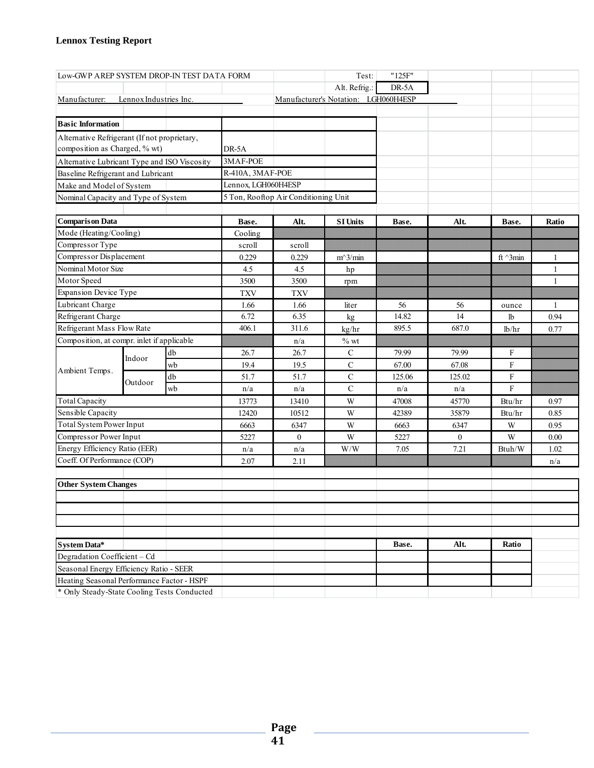| Low-GWP AREP SYSTEM DROP-IN TEST DATA FORM   |                                              |    |                     |                                      | Test:                                                       | "125F" |                |                 |              |
|----------------------------------------------|----------------------------------------------|----|---------------------|--------------------------------------|-------------------------------------------------------------|--------|----------------|-----------------|--------------|
|                                              |                                              |    |                     |                                      | Alt. Refrig.:                                               | DR-5A  |                |                 |              |
| Manufacturer:                                | Lennox Industries Inc.                       |    |                     |                                      | Manufacturer's Notation: LGH060H4ESP                        |        |                |                 |              |
|                                              |                                              |    |                     |                                      |                                                             |        |                |                 |              |
| <b>Basic Information</b>                     |                                              |    |                     |                                      |                                                             |        |                |                 |              |
| Alternative Refrigerant (If not proprietary, |                                              |    |                     |                                      |                                                             |        |                |                 |              |
| composition as Charged, % wt)                |                                              |    | DR-5A               |                                      |                                                             |        |                |                 |              |
|                                              | Alternative Lubricant Type and ISO Viscosity |    | 3MAF-POE            |                                      |                                                             |        |                |                 |              |
|                                              | Baseline Refrigerant and Lubricant           |    |                     | R-410A, 3MAF-POE                     |                                                             |        |                |                 |              |
| Make and Model of System                     |                                              |    | Lennox, LGH060H4ESP |                                      |                                                             |        |                |                 |              |
| Nominal Capacity and Type of System          |                                              |    |                     | 5 Ton, Rooftop Air Conditioning Unit |                                                             |        |                |                 |              |
|                                              |                                              |    |                     |                                      |                                                             |        |                |                 |              |
| <b>Comparison Data</b>                       |                                              |    | Base.               | Alt.                                 | <b>SI Units</b>                                             | Base.  | Alt.           | Base.           | Ratio        |
| Mode (Heating/Cooling)                       |                                              |    | Cooling             |                                      |                                                             |        |                |                 |              |
| Compressor Type                              |                                              |    | scroll              | scroll                               |                                                             |        |                |                 |              |
| Compressor Displacement                      |                                              |    | 0.229               | 0.229                                | $m^3/m$ in                                                  |        |                | ft $\land$ 3min | 1            |
| Nominal Motor Size                           |                                              |    | 4.5                 | 4.5                                  | hp                                                          |        |                |                 | $\mathbf{1}$ |
| Motor Speed                                  |                                              |    | 3500                | 3500                                 | rpm                                                         |        |                |                 | $\mathbf{1}$ |
| Expansion Device Type                        |                                              |    | <b>TXV</b>          | <b>TXV</b>                           |                                                             |        |                |                 |              |
| Lubricant Charge                             |                                              |    | 1.66                | 1.66                                 | liter                                                       | 56     | 56             | ounce           | 1            |
| Refrigerant Charge                           |                                              |    | 6.72                | 6.35                                 | kg                                                          | 14.82  | 14             | lb              | 0.94         |
| Refrigerant Mass Flow Rate                   |                                              |    | 406.1               | 311.6                                | kg/hr                                                       | 895.5  | 687.0          | lb/hr           | 0.77         |
| Composition, at compr. inlet if applicable   |                                              |    |                     | n/a                                  | $\%$ wt                                                     |        |                |                 |              |
|                                              | Indoor                                       | db | 26.7                | 26.7                                 | $\mathcal{C}$                                               | 79.99  | 79.99          | F               |              |
| Ambient Temps.                               |                                              | wb | 19.4                | 19.5                                 | $\mathbf C$                                                 | 67.00  | 67.08          | F               |              |
|                                              | Outdoor                                      | db | 51.7                | 51.7                                 | $\mathsf{C}$                                                | 125.06 | 125.02         | ${\rm F}$       |              |
|                                              |                                              | wb | n/a                 | n/a                                  | $\mathbf C$                                                 | n/a    | n/a            | $\mathbf F$     |              |
| <b>Total Capacity</b>                        |                                              |    | 13773               | 13410                                | W                                                           | 47008  | 45770          | Btu/hr          | 0.97         |
| Sensible Capacity                            |                                              |    | 12420               | 10512                                | W                                                           | 42389  | 35879          | Btu/hr          | 0.85         |
| <b>Total System Power Input</b>              |                                              |    | 6663                | 6347                                 | W                                                           | 6663   | 6347           | W               | 0.95         |
| Compressor Power Input                       |                                              |    | 5227                | $\mathbf{0}$                         | W                                                           | 5227   | $\overline{0}$ | W               | 0.00         |
| Energy Efficiency Ratio (EER)                |                                              |    | n/a                 | n/a                                  | $\ensuremath{\text{W}}\xspace/\ensuremath{\text{W}}\xspace$ | 7.05   | 7.21           | Btuh/W          | 1.02         |
| Coeff. Of Performance (COP)                  |                                              |    | 2.07                | 2.11                                 |                                                             |        |                |                 | n/a          |
| <b>Other System Changes</b>                  |                                              |    |                     |                                      |                                                             |        |                |                 |              |
|                                              |                                              |    |                     |                                      |                                                             |        |                |                 |              |
|                                              |                                              |    |                     |                                      |                                                             |        |                |                 |              |
|                                              |                                              |    |                     |                                      |                                                             |        |                |                 |              |
|                                              |                                              |    |                     |                                      |                                                             |        |                |                 |              |
| System Data*                                 |                                              |    |                     |                                      |                                                             | Base.  | Alt.           | Ratio           |              |
| Degradation Coefficient - Cd                 |                                              |    |                     |                                      |                                                             |        |                |                 |              |
| Seasonal Energy Efficiency Ratio - SEER      |                                              |    |                     |                                      |                                                             |        |                |                 |              |
| Heating Seasonal Performance Factor - HSPF   |                                              |    |                     |                                      |                                                             |        |                |                 |              |
| * Only Steady-State Cooling Tests Conducted  |                                              |    |                     |                                      |                                                             |        |                |                 |              |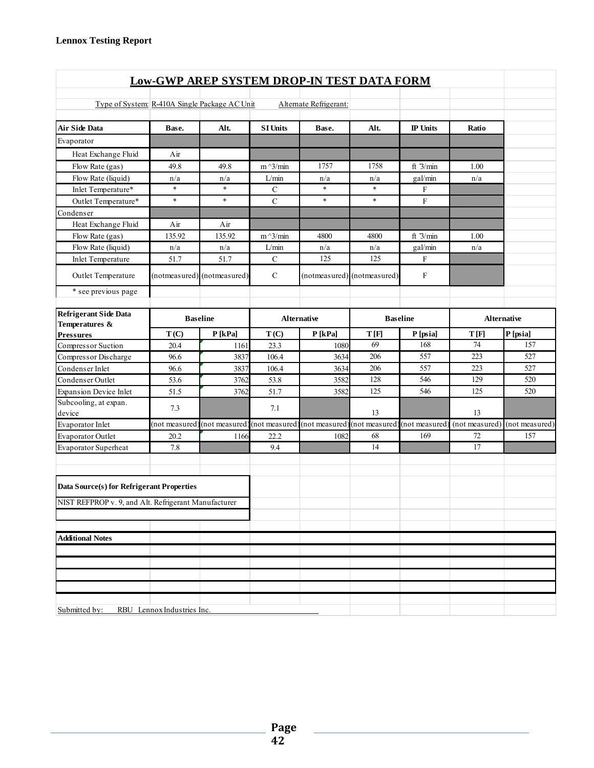|                                                      |                            | <b>Low-GWP AREP SYSTEM DROP-IN TEST DATA FORM</b>                         |                 |                        |                  |                           |                 |                |
|------------------------------------------------------|----------------------------|---------------------------------------------------------------------------|-----------------|------------------------|------------------|---------------------------|-----------------|----------------|
|                                                      |                            |                                                                           |                 |                        |                  |                           |                 |                |
| Type of System: R-410A Single Package AC Unit        |                            |                                                                           |                 | Alternate Refrigerant: |                  |                           |                 |                |
| <b>Air Side Data</b>                                 | Base.                      | Alt.                                                                      | <b>SI Units</b> | Base.                  | Alt.             | <b>IP</b> Units           | Ratio           |                |
| Evaporator                                           |                            |                                                                           |                 |                        |                  |                           |                 |                |
| Heat Exchange Fluid                                  | Air                        |                                                                           |                 |                        |                  |                           |                 |                |
| Flow Rate (gas)                                      | 49.8                       | 49.8                                                                      | $m^2/$ min      | 1757                   | 1758             | ft $3/min$                | 1.00            |                |
| Flow Rate (liquid)                                   | n/a                        | n/a                                                                       | L/min           | n/a                    | n/a              | gal/min                   | n/a             |                |
| Inlet Temperature*                                   | $\ast$                     | $\ast$                                                                    | $\mathbf C$     | $\ast$                 | $\ast$           | F                         |                 |                |
| Outlet Temperature*                                  | $\ast$                     | $\ast$                                                                    | $\mathbf C$     | $\ast$                 | $\ast$           | $\rm F$                   |                 |                |
| Condenser                                            |                            |                                                                           |                 |                        |                  |                           |                 |                |
| Heat Exchange Fluid                                  | Air                        | Air                                                                       |                 |                        |                  |                           |                 |                |
| Flow Rate (gas)                                      | 135.92                     | 135.92                                                                    | $m^2/$ min      | 4800                   | 4800             | ft $3/min$                | 1.00            |                |
| Flow Rate (liquid)                                   | n/a                        | n/a                                                                       | L/min           | n/a                    | n/a              | gal/min                   | n/a             |                |
| Inlet Temperature                                    | 51.7                       | 51.7                                                                      | $\mathbf C$     | 125                    | 125              | $\boldsymbol{\mathrm{F}}$ |                 |                |
| Outlet Temperature                                   |                            | (notmeasured) (notmeasured)                                               | $\mathcal{C}$   | (notmeasured)          | (notmeasured)    | F                         |                 |                |
| * see previous page                                  |                            |                                                                           |                 |                        |                  |                           |                 |                |
| <b>Refrigerant Side Data</b><br><b>Baseline</b>      |                            |                                                                           |                 | Alternative            | <b>Baseline</b>  |                           |                 | Alternative    |
| Temperatures &<br><b>Pressures</b>                   | T(C)                       | $P$ [kPa]                                                                 | T(C)            | P[kPa]                 | T[F]<br>P [psia] |                           | T[F]            | P [psia]       |
| Compressor Suction                                   | 20.4                       | 1161                                                                      | 23.3            | 1080                   | 69               | 168                       | 74              | 157            |
| Compressor Discharge                                 | 96.6                       | 3837                                                                      | 106.4           | 3634                   | 206              | 557                       | 223             | 527            |
| Condenser Inlet                                      | 96.6                       | 3837                                                                      | 106.4           | 3634                   | 206              | 557                       | 223             | 527            |
| Condenser Outlet                                     | 53.6                       | 3762                                                                      | 53.8            | 3582                   | 128              | 546                       | 129             | 520            |
| <b>Expansion Device Inlet</b>                        | 51.5                       | 3762                                                                      | 51.7            | 3582                   | 125              | 546                       | 125             | 520            |
| Subcooling, at expan.<br>device                      | 7.3                        |                                                                           | 7.1             |                        | 13               |                           | 13              |                |
| Evaporator Inlet                                     |                            | (not measured) (not measured) (not measured) (not measured) (not measured |                 |                        |                  | (not measured)            | (not measured)  | (not measured) |
| <b>Evaporator Outlet</b>                             | 20.2                       | 1166                                                                      | 22.2            | 1082                   | 68               | 169                       | 72              | 157            |
| <b>Evaporator Superheat</b>                          | 7.8                        |                                                                           | 9.4             |                        | 14               |                           | $\overline{17}$ |                |
| Data Source(s) for Refrigerant Properties            |                            |                                                                           |                 |                        |                  |                           |                 |                |
| NIST REFPROP v. 9, and Alt. Refrigerant Manufacturer |                            |                                                                           |                 |                        |                  |                           |                 |                |
|                                                      |                            |                                                                           |                 |                        |                  |                           |                 |                |
| <b>Additional Notes</b>                              |                            |                                                                           |                 |                        |                  |                           |                 |                |
|                                                      |                            |                                                                           |                 |                        |                  |                           |                 |                |
|                                                      |                            |                                                                           |                 |                        |                  |                           |                 |                |
|                                                      |                            |                                                                           |                 |                        |                  |                           |                 |                |
|                                                      |                            |                                                                           |                 |                        |                  |                           |                 |                |
|                                                      |                            |                                                                           |                 |                        |                  |                           |                 |                |
| Submitted by:                                        | RBU Lennox Industries Inc. |                                                                           |                 |                        |                  |                           |                 |                |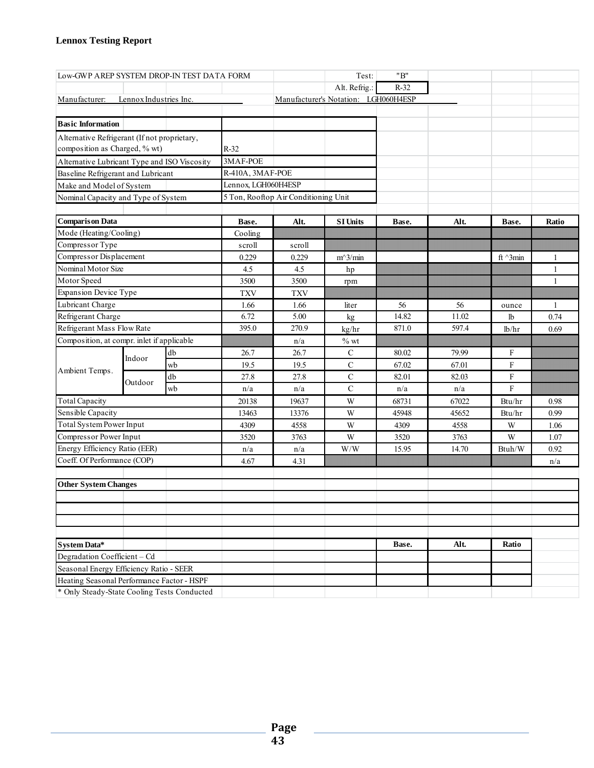| Low-GWP AREP SYSTEM DROP-IN TEST DATA FORM   |                                     |    |                  |                                      | Test:                                                       | "B"    |       |                 |              |
|----------------------------------------------|-------------------------------------|----|------------------|--------------------------------------|-------------------------------------------------------------|--------|-------|-----------------|--------------|
|                                              |                                     |    |                  |                                      | Alt. Refrig.:                                               | $R-32$ |       |                 |              |
| Manufacturer:                                | Lennox Industries Inc.              |    |                  |                                      | Manufacturer's Notation: LGH060H4ESP                        |        |       |                 |              |
|                                              |                                     |    |                  |                                      |                                                             |        |       |                 |              |
| <b>Basic Information</b>                     |                                     |    |                  |                                      |                                                             |        |       |                 |              |
| Alternative Refrigerant (If not proprietary, |                                     |    |                  |                                      |                                                             |        |       |                 |              |
| composition as Charged, % wt)                |                                     |    | $R-32$           |                                      |                                                             |        |       |                 |              |
| Alternative Lubricant Type and ISO Viscosity |                                     |    | 3MAF-POE         |                                      |                                                             |        |       |                 |              |
| Baseline Refrigerant and Lubricant           |                                     |    | R-410A, 3MAF-POE |                                      |                                                             |        |       |                 |              |
|                                              | Make and Model of System            |    |                  | Lennox, LGH060H4ESP                  |                                                             |        |       |                 |              |
|                                              | Nominal Capacity and Type of System |    |                  | 5 Ton, Rooftop Air Conditioning Unit |                                                             |        |       |                 |              |
|                                              |                                     |    |                  |                                      |                                                             |        |       |                 |              |
| <b>Comparison Data</b>                       |                                     |    | Base.            | Alt.                                 | <b>SI Units</b>                                             | Base.  | Alt.  | Base.           | Ratio        |
| Mode (Heating/Cooling)                       |                                     |    | Cooling          |                                      |                                                             |        |       |                 |              |
| Compressor Type                              |                                     |    | scroll           | scroll                               |                                                             |        |       |                 |              |
| Compressor Displacement                      |                                     |    | 0.229            | 0.229                                | $m^3/min$                                                   |        |       | ft $\land$ 3min | 1            |
| Nominal Motor Size                           |                                     |    | 4.5              | 4.5                                  | hp                                                          |        |       |                 | 1            |
| Motor Speed                                  |                                     |    | 3500             | 3500                                 | rpm                                                         |        |       |                 | $\mathbf{1}$ |
| <b>Expansion Device Type</b>                 |                                     |    | <b>TXV</b>       | <b>TXV</b>                           |                                                             |        |       |                 |              |
| Lubricant Charge                             |                                     |    | 1.66             | 1.66                                 | liter                                                       | 56     | 56    | ounce           | 1            |
| Refrigerant Charge                           |                                     |    | 6.72             | 5.00                                 | kg                                                          | 14.82  | 11.02 | <b>lb</b>       | 0.74         |
| Refrigerant Mass Flow Rate                   |                                     |    | 395.0            | 270.9                                | kg/hr                                                       | 871.0  | 597.4 | lb/hr           | 0.69         |
| Composition, at compr. inlet if applicable   |                                     |    |                  | n/a                                  | $%$ wt                                                      |        |       |                 |              |
|                                              | Indoor                              | db | 26.7             | 26.7                                 | C                                                           | 80.02  | 79.99 | F               |              |
|                                              |                                     | wb | 19.5             | 19.5                                 | $\mathbf C$                                                 | 67.02  | 67.01 | $\mathbf F$     |              |
| Ambient Temps.                               | Outdoor                             | db | 27.8             | 27.8                                 | $\mathcal{C}$                                               | 82.01  | 82.03 | F               |              |
|                                              |                                     | wb | n/a              | n/a                                  | $\mathsf{C}$                                                | n/a    | n/a   | $\mathbf F$     |              |
| <b>Total Capacity</b>                        |                                     |    | 20138            | 19637                                | W                                                           | 68731  | 67022 | Btu/hr          | 0.98         |
| Sensible Capacity                            |                                     |    | 13463            | 13376                                | W                                                           | 45948  | 45652 | Btu/hr          | 0.99         |
| <b>Total System Power Input</b>              |                                     |    | 4309             | 4558                                 | W                                                           | 4309   | 4558  | W               | 1.06         |
| Compressor Power Input                       |                                     |    | 3520             | 3763                                 | W                                                           | 3520   | 3763  | W               | 1.07         |
| Energy Efficiency Ratio (EER)                |                                     |    | n/a              | n/a                                  | $\ensuremath{\text{W}}\xspace/\ensuremath{\text{W}}\xspace$ | 15.95  | 14.70 | Btuh/W          | 0.92         |
| Coeff. Of Performance (COP)                  |                                     |    | 4.67             | 4.31                                 |                                                             |        |       |                 | n/a          |
| <b>Other System Changes</b>                  |                                     |    |                  |                                      |                                                             |        |       |                 |              |
|                                              |                                     |    |                  |                                      |                                                             |        |       |                 |              |
|                                              |                                     |    |                  |                                      |                                                             |        |       |                 |              |
|                                              |                                     |    |                  |                                      |                                                             |        |       |                 |              |
|                                              |                                     |    |                  |                                      |                                                             |        |       |                 |              |
| System Data*                                 |                                     |    |                  |                                      |                                                             | Base.  | Alt.  | Ratio           |              |
| Degradation Coefficient - Cd                 |                                     |    |                  |                                      |                                                             |        |       |                 |              |
| Seasonal Energy Efficiency Ratio - SEER      |                                     |    |                  |                                      |                                                             |        |       |                 |              |
| Heating Seasonal Performance Factor - HSPF   |                                     |    |                  |                                      |                                                             |        |       |                 |              |
| * Only Steady-State Cooling Tests Conducted  |                                     |    |                  |                                      |                                                             |        |       |                 |              |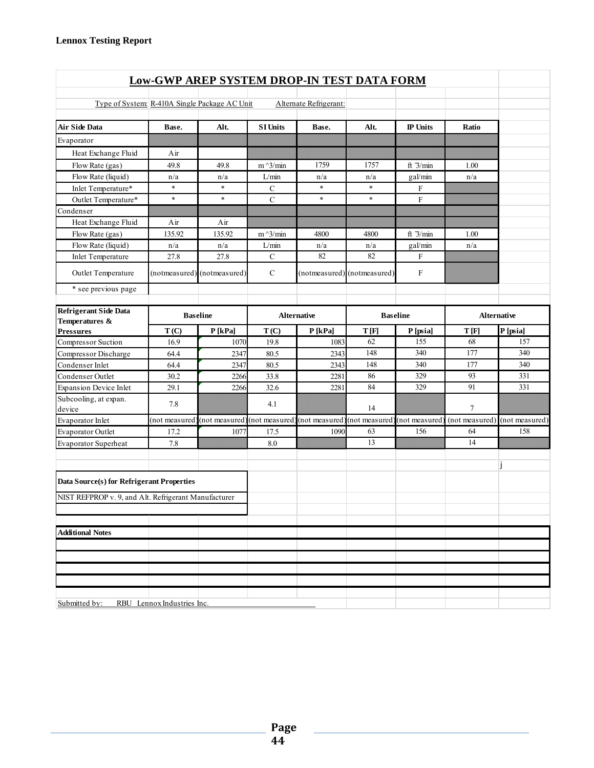| <b>Low-GWP AREP SYSTEM DROP-IN TEST DATA FORM</b>          |                            |                             |                    |                              |                             |                 |       |                               |  |  |  |  |
|------------------------------------------------------------|----------------------------|-----------------------------|--------------------|------------------------------|-----------------------------|-----------------|-------|-------------------------------|--|--|--|--|
|                                                            |                            |                             |                    |                              |                             |                 |       |                               |  |  |  |  |
| Type of System R-410A Single Package AC Unit               |                            |                             |                    | Alternate Refrigerant:       |                             |                 |       |                               |  |  |  |  |
| <b>Air Side Data</b>                                       | Base.                      | Alt.                        | <b>SI Units</b>    | Base.                        | Alt.                        | <b>IP</b> Units | Ratio |                               |  |  |  |  |
| Evaporator                                                 |                            |                             |                    |                              |                             |                 |       |                               |  |  |  |  |
| Heat Exchange Fluid                                        | Air                        |                             |                    |                              |                             |                 |       |                               |  |  |  |  |
| Flow Rate (gas)                                            | 49.8                       | 49.8                        | $m^2/$ min         | 1759                         | 1757                        | ft $3/min$      | 1.00  |                               |  |  |  |  |
| Flow Rate (liquid)                                         | n/a                        | n/a                         | L/min              | n/a                          | n/a                         | gal/min         | n/a   |                               |  |  |  |  |
| Inlet Temperature*                                         | $\ast$                     | $\star$                     | $\mathbf C$        | $\ast$                       | $\ast$                      | F               |       |                               |  |  |  |  |
| Outlet Temperature*                                        | $\ast$                     | $\ast$                      | $\mathbf C$        | $\ast$                       | $\ast$                      | $\mathbf{F}$    |       |                               |  |  |  |  |
| Condenser                                                  |                            |                             |                    |                              |                             |                 |       |                               |  |  |  |  |
| Heat Exchange Fluid                                        | Air                        | Air                         |                    |                              |                             |                 |       |                               |  |  |  |  |
| Flow Rate (gas)                                            | 135.92                     | 135.92                      | $m^2/$ min         | 4800                         | 4800                        | ft $3/min$      | 1.00  |                               |  |  |  |  |
| Flow Rate (liquid)                                         | n/a                        | n/a                         | L/min              | n/a                          | n/a                         | gal/min         | n/a   |                               |  |  |  |  |
| <b>Inlet Temperature</b>                                   | 27.8                       | 27.8                        | $\mathcal{C}$      | 82                           | 82                          | F               |       |                               |  |  |  |  |
| Outlet Temperature                                         |                            | (notmeasured) (notmeasured) | $\mathcal{C}$      |                              | (notmeasured) (notmeasured) | $\mathbf F$     |       |                               |  |  |  |  |
| * see previous page                                        |                            |                             |                    |                              |                             |                 |       |                               |  |  |  |  |
| Refrigerant Side Data<br><b>Baseline</b><br>Temperatures & |                            |                             | <b>Alternative</b> | <b>Baseline</b>              |                             | Alternative     |       |                               |  |  |  |  |
| <b>Pressures</b>                                           | T(C)                       | P[kPa]                      | T(C)               | P[kPa]                       | T[F]                        | P [psia]        | T[F]  | P [psia]                      |  |  |  |  |
| Compressor Suction                                         | 16.9                       | 1070                        | 19.8               | 1083                         | 62                          | 155             | 68    | 157                           |  |  |  |  |
| Compressor Discharge                                       | 64.4                       | 2347                        | 80.5               | 2343                         | 148                         | 340             | 177   | 340                           |  |  |  |  |
| Condenser Inlet                                            | 64.4                       | 2347                        | 80.5               | 2343                         | 148                         | 340             | 177   | 340                           |  |  |  |  |
| Condenser Outlet                                           | 30.2                       | 2266                        | 33.8               | 2281                         | 86                          | 329             | 93    | 331                           |  |  |  |  |
| <b>Expansion Device Inlet</b>                              | 29.1                       | 2266                        | 32.6               | 2281                         | 84                          | 329             | 91    | 331                           |  |  |  |  |
| Subcooling, at expan.<br>device                            | 7.8                        |                             | 4.1                |                              | 14                          |                 | 7     |                               |  |  |  |  |
| Evaporator Inlet                                           | (not measured              | (not measured)              | (not measured)     | (not measured) (not measured |                             | (not measured   |       | (not measured) (not measured) |  |  |  |  |
| Evaporator Outlet                                          | 17.2                       | 1077                        | 17.5               | 1090                         | 63                          | 156             | 64    | 158                           |  |  |  |  |
| Evaporator Superheat                                       | 7.8                        |                             | 8.0                |                              | 13                          |                 | 14    |                               |  |  |  |  |
| Data Source(s) for Refrigerant Properties                  |                            |                             |                    |                              |                             |                 |       |                               |  |  |  |  |
| NIST REFPROP v. 9, and Alt. Refrigerant Manufacturer       |                            |                             |                    |                              |                             |                 |       |                               |  |  |  |  |
|                                                            |                            |                             |                    |                              |                             |                 |       |                               |  |  |  |  |
| <b>Additional Notes</b>                                    |                            |                             |                    |                              |                             |                 |       |                               |  |  |  |  |
|                                                            |                            |                             |                    |                              |                             |                 |       |                               |  |  |  |  |
|                                                            |                            |                             |                    |                              |                             |                 |       |                               |  |  |  |  |
|                                                            |                            |                             |                    |                              |                             |                 |       |                               |  |  |  |  |
|                                                            |                            |                             |                    |                              |                             |                 |       |                               |  |  |  |  |
| Submitted by:                                              | RBU Lennox Industries Inc. |                             |                    |                              |                             |                 |       |                               |  |  |  |  |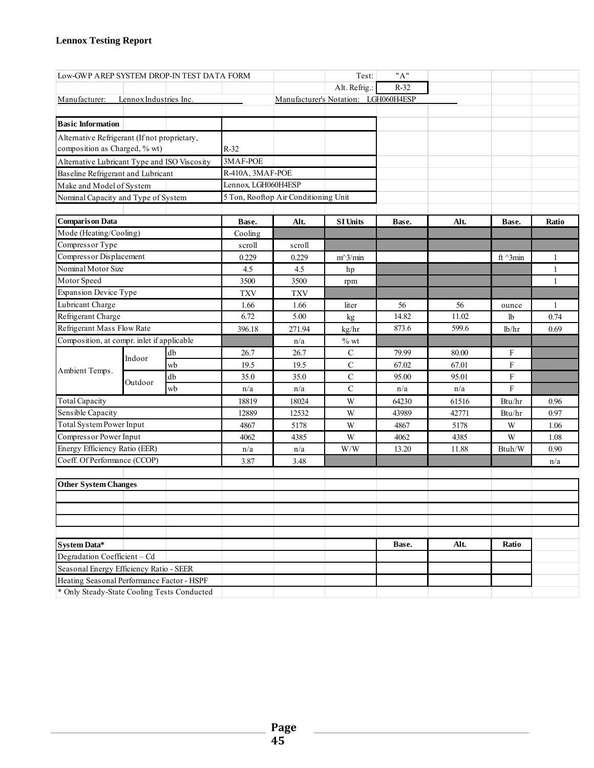| Low-GWP AREP SYSTEM DROP-IN TEST DATA FORM   |                        |    |                     |                                      | Test:                                | "A"    |       |                 |       |
|----------------------------------------------|------------------------|----|---------------------|--------------------------------------|--------------------------------------|--------|-------|-----------------|-------|
|                                              |                        |    |                     |                                      | Alt. Refrig.:                        | $R-32$ |       |                 |       |
| Manufacturer:                                | Lennox Industries Inc. |    |                     |                                      | Manufacturer's Notation: LGH060H4ESP |        |       |                 |       |
|                                              |                        |    |                     |                                      |                                      |        |       |                 |       |
| <b>Basic Information</b>                     |                        |    |                     |                                      |                                      |        |       |                 |       |
| Alternative Refrigerant (If not proprietary, |                        |    |                     |                                      |                                      |        |       |                 |       |
| composition as Charged, % wt)                |                        |    | $R-32$              |                                      |                                      |        |       |                 |       |
| Alternative Lubricant Type and ISO Viscosity |                        |    | 3MAF-POE            |                                      |                                      |        |       |                 |       |
| Baseline Refrigerant and Lubricant           |                        |    | R-410A, 3MAF-POE    |                                      |                                      |        |       |                 |       |
| Make and Model of System                     |                        |    | Lennox, LGH060H4ESP |                                      |                                      |        |       |                 |       |
| Nominal Capacity and Type of System          |                        |    |                     | 5 Ton, Rooftop Air Conditioning Unit |                                      |        |       |                 |       |
|                                              |                        |    |                     |                                      |                                      |        |       |                 |       |
| <b>Comparison Data</b>                       |                        |    | Base.               | Alt.                                 | <b>SI Units</b>                      | Base.  | Alt.  | Base.           | Ratio |
| Mode (Heating/Cooling)                       |                        |    | Cooling             |                                      |                                      |        |       |                 |       |
| Compressor Type                              |                        |    | scroll              | scroll                               |                                      |        |       |                 |       |
| Compressor Displacement                      |                        |    | 0.229               | 0.229                                | $m^3/m$ in                           |        |       | ft $\land$ 3min | 1     |
| Nominal Motor Size                           |                        |    | 4.5                 | 4.5                                  | hp                                   |        |       |                 | 1     |
| Motor Speed                                  |                        |    | 3500                | 3500                                 | rpm                                  |        |       |                 | 1     |
| <b>Expansion Device Type</b>                 |                        |    | <b>TXV</b>          | <b>TXV</b>                           |                                      |        |       |                 |       |
| Lubricant Charge                             |                        |    | 1.66                | 1.66                                 | liter                                | 56     | 56    | ounce           | 1     |
| Refrigerant Charge                           |                        |    | 6.72                | 5.00                                 | kg                                   | 14.82  | 11.02 | lb              | 0.74  |
| Refrigerant Mass Flow Rate                   |                        |    | 396.18              | 271.94                               | kg/hr                                | 873.6  | 599.6 | lb/hr           | 0.69  |
| Composition, at compr. inlet if applicable   |                        |    |                     | n/a                                  | $%$ wt                               |        |       |                 |       |
| Ambient Temps.                               | Indoor<br>Outdoor      | db | 26.7                | 26.7                                 | $\mathcal{C}$                        | 79.99  | 80.00 | F               |       |
|                                              |                        | wb | 19.5                | 19.5                                 | $\mathcal{C}$                        | 67.02  | 67.01 | F               |       |
|                                              |                        | db | 35.0                | 35.0                                 | $\mathbf C$                          | 95.00  | 95.01 | ${\rm F}$       |       |
|                                              |                        | wb | n/a                 | n/a                                  | $\mathbf C$                          | n/a    | n/a   | $\mathbf F$     |       |
| <b>Total Capacity</b>                        |                        |    | 18819               | 18024                                | W                                    | 64230  | 61516 | Btu/hr          | 0.96  |
| Sensible Capacity                            |                        |    | 12889               | 12532                                | W                                    | 43989  | 42771 | Btu/hr          | 0.97  |
| <b>Total System Power Input</b>              |                        |    | 4867                | 5178                                 | W                                    | 4867   | 5178  | W               | 1.06  |
| Compressor Power Input                       |                        |    | 4062                | 4385                                 | W                                    | 4062   | 4385  | W               | 1.08  |
| Energy Efficiency Ratio (EER)                |                        |    | n/a                 | n/a                                  | W/W                                  | 13.20  | 11.88 | Btuh/W          | 0.90  |
| Coeff. Of Performance (CCOP)                 |                        |    | 3.87                | 3.48                                 |                                      |        |       |                 | n/a   |
| <b>Other System Changes</b>                  |                        |    |                     |                                      |                                      |        |       |                 |       |
|                                              |                        |    |                     |                                      |                                      |        |       |                 |       |
|                                              |                        |    |                     |                                      |                                      |        |       |                 |       |
|                                              |                        |    |                     |                                      |                                      |        |       |                 |       |
|                                              |                        |    |                     |                                      |                                      |        |       |                 |       |
| System Data*                                 |                        |    |                     |                                      |                                      | Base.  | Alt.  | Ratio           |       |
| Degradation Coefficient - Cd                 |                        |    |                     |                                      |                                      |        |       |                 |       |
| Seasonal Energy Efficiency Ratio - SEER      |                        |    |                     |                                      |                                      |        |       |                 |       |
| Heating Seasonal Performance Factor - HSPF   |                        |    |                     |                                      |                                      |        |       |                 |       |
| * Only Steady-State Cooling Tests Conducted  |                        |    |                     |                                      |                                      |        |       |                 |       |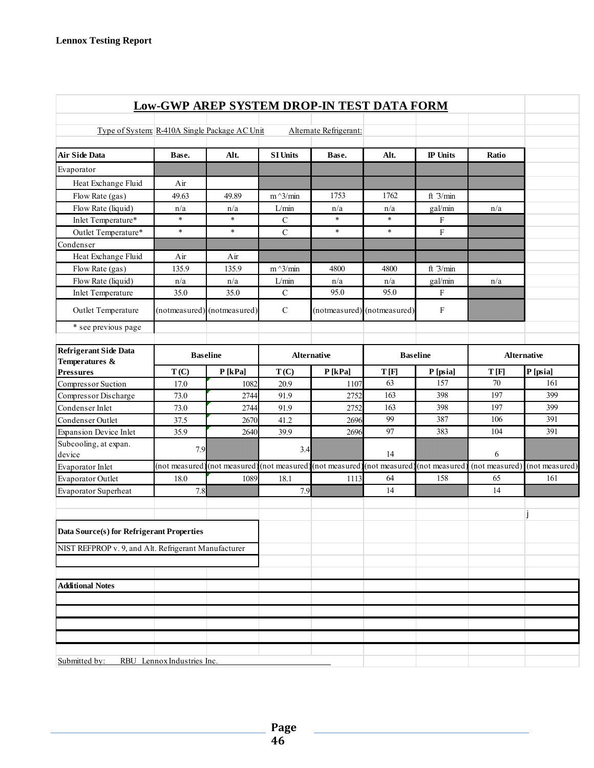|                                                      |                            | <b>Low-GWP AREP SYSTEM DROP-IN TEST DATA FORM</b> |                    |                        |                                                             |                 |                |                    |  |
|------------------------------------------------------|----------------------------|---------------------------------------------------|--------------------|------------------------|-------------------------------------------------------------|-----------------|----------------|--------------------|--|
| Type of System: R-410A Single Package AC Unit        |                            |                                                   |                    | Alternate Refrigerant: |                                                             |                 |                |                    |  |
| <b>Air Side Data</b>                                 | Base.                      | Alt.                                              | <b>SI Units</b>    | Base.                  | Alt.                                                        | <b>IP</b> Units | Ratio          |                    |  |
| Evaporator                                           |                            |                                                   |                    |                        |                                                             |                 |                |                    |  |
| Heat Exchange Fluid                                  | Air                        |                                                   |                    |                        |                                                             |                 |                |                    |  |
| Flow Rate (gas)                                      | 49.63                      | 49.89                                             | $m^2/$ min         | 1753                   | 1762                                                        | ft $3/min$      |                |                    |  |
| Flow Rate (liquid)                                   | n/a                        | n/a                                               | L/min              | n/a                    | n/a                                                         | gal/min         | n/a            |                    |  |
| Inlet Temperature*                                   | $\ast$                     | $\ast$                                            | $\mathcal{C}$      | $\ast$                 | $\ast$                                                      | F               |                |                    |  |
| Outlet Temperature*                                  | $\ast$                     | $\ast$                                            | $\mathbf C$        | $\ast$                 | $\ast$                                                      | $\rm F$         |                |                    |  |
| Condenser                                            |                            |                                                   |                    |                        |                                                             |                 |                |                    |  |
| Heat Exchange Fluid                                  | Air                        | Air                                               |                    |                        |                                                             |                 |                |                    |  |
| Flow Rate (gas)                                      | 135.9                      | 135.9                                             | $m^3/m$ in         | 4800                   | 4800                                                        | ft $3/min$      |                |                    |  |
| Flow Rate (liquid)                                   | n/a                        | n/a                                               | L/min              | n/a                    | n/a                                                         | gal/min         | n/a            |                    |  |
| <b>Inlet Temperature</b>                             | 35.0                       | 35.0                                              | $\mathbf C$        | 95.0                   | 95.0                                                        | $\mathbf{F}$    |                |                    |  |
| Outlet Temperature                                   |                            | (notmeasured) (notmeasured)                       | $\mathbf C$        |                        | (notmeasured) (notmeasured)                                 | $\rm F$         |                |                    |  |
| * see previous page                                  |                            |                                                   |                    |                        |                                                             |                 |                |                    |  |
| <b>Refrigerant Side Data</b><br>Temperatures &       | <b>Baseline</b>            |                                                   | <b>Alternative</b> |                        |                                                             | <b>Baseline</b> |                | <b>Alternative</b> |  |
| <b>Pressures</b>                                     | T(C)                       | $P$ [kPa]                                         | T(C)               | $P$ [kPa]              | T[F]                                                        | P [psia]        | T[F]           | P [psia]           |  |
| Compressor Suction                                   | 17.0                       | 1082                                              | 20.9               | 1107                   | 63                                                          | 157             | 70             | 161                |  |
| Compressor Discharge                                 | 73.0                       | 2744                                              | 91.9               | 2752                   | 163                                                         | 398             | 197            | 399                |  |
| Condenser Inlet                                      | 73.0                       | 2744                                              | 91.9               | 2752                   | 163                                                         | 398             | 197            | 399                |  |
| Condenser Outlet                                     | 37.5                       | 2670                                              | 41.2               | 2696                   | 99                                                          | 387             | 106            | 391                |  |
| <b>Expansion Device Inlet</b>                        | 35.9                       | 2640                                              | 39.9               | 2696                   | 97                                                          | 383             | 104            | 391                |  |
| Subcooling, at expan.<br>device                      | 7.9                        |                                                   | 3.4                |                        | 14                                                          |                 | 6              |                    |  |
| Evaporator Inlet                                     | (not measured              | (not measured)                                    |                    |                        | (not measured) (not measured) (not measured) (not measured) |                 | (not measured) | (not measured)     |  |
| Evaporator Outlet                                    | 18.0                       | 1089                                              | 18.1               | 1113                   | 64                                                          | 158             | 65             | 161                |  |
| Evaporator Superheat                                 | 7.8                        |                                                   | 7.9                |                        | 14                                                          |                 | 14             |                    |  |
| Data Source(s) for Refrigerant Properties            |                            |                                                   |                    |                        |                                                             |                 |                |                    |  |
| NIST REFPROP v. 9, and Alt. Refrigerant Manufacturer |                            |                                                   |                    |                        |                                                             |                 |                |                    |  |
|                                                      |                            |                                                   |                    |                        |                                                             |                 |                |                    |  |
| <b>Additional Notes</b>                              |                            |                                                   |                    |                        |                                                             |                 |                |                    |  |
|                                                      |                            |                                                   |                    |                        |                                                             |                 |                |                    |  |
|                                                      |                            |                                                   |                    |                        |                                                             |                 |                |                    |  |
|                                                      |                            |                                                   |                    |                        |                                                             |                 |                |                    |  |
|                                                      |                            |                                                   |                    |                        |                                                             |                 |                |                    |  |
| Submitted by:                                        | RBU Lennox Industries Inc. |                                                   |                    |                        |                                                             |                 |                |                    |  |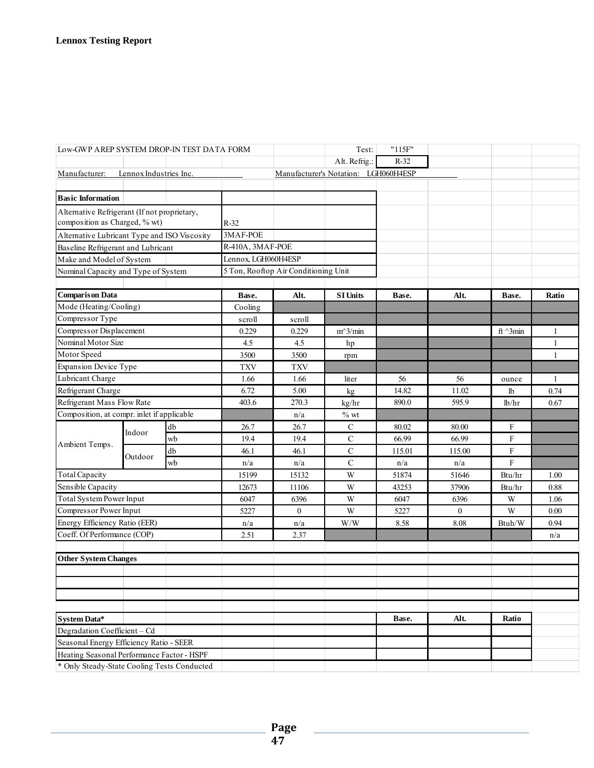| Low-GWP AREP SYSTEM DROP-IN TEST DATA FORM                                                |                        |                  |                     |                                      | Test:                                | "115F" |              |                 |              |
|-------------------------------------------------------------------------------------------|------------------------|------------------|---------------------|--------------------------------------|--------------------------------------|--------|--------------|-----------------|--------------|
|                                                                                           |                        |                  |                     |                                      | Alt. Refrig.:                        | $R-32$ |              |                 |              |
| Manufacturer:                                                                             | Lennox Industries Inc. |                  |                     |                                      | Manufacturer's Notation: LGH060H4ESP |        |              |                 |              |
|                                                                                           |                        |                  |                     |                                      |                                      |        |              |                 |              |
| <b>Basic Information</b>                                                                  |                        |                  |                     |                                      |                                      |        |              |                 |              |
| Alternative Refrigerant (If not proprietary,                                              |                        |                  |                     |                                      |                                      |        |              |                 |              |
| composition as Charged, % wt)                                                             |                        |                  | $R-32$              |                                      |                                      |        |              |                 |              |
| Alternative Lubricant Type and ISO Viscosity                                              |                        |                  | 3MAF-POE            |                                      |                                      |        |              |                 |              |
| Baseline Refrigerant and Lubricant                                                        |                        |                  | R-410A, 3MAF-POE    |                                      |                                      |        |              |                 |              |
| Make and Model of System                                                                  |                        |                  | Lennox, LGH060H4ESP |                                      |                                      |        |              |                 |              |
| Nominal Capacity and Type of System                                                       |                        |                  |                     | 5 Ton, Rooftop Air Conditioning Unit |                                      |        |              |                 |              |
|                                                                                           |                        |                  |                     |                                      |                                      |        |              |                 |              |
| <b>Comparison Data</b>                                                                    |                        |                  | Base.               | Alt.                                 | <b>SI Units</b>                      | Base.  | Alt.         | Base.           | Ratio        |
| Mode (Heating/Cooling)                                                                    |                        |                  | Cooling             |                                      |                                      |        |              |                 |              |
| Compressor Type                                                                           |                        |                  | scroll              | scroll                               |                                      |        |              |                 |              |
| Compressor Displacement                                                                   |                        |                  | 0.229               | 0.229                                | $m^3/m$ in                           |        |              | ft $\land$ 3min | $\mathbf{1}$ |
| Nominal Motor Size                                                                        |                        |                  | 4.5                 | 4.5                                  | hp                                   |        |              |                 | $\mathbf{1}$ |
| Motor Speed                                                                               |                        |                  | 3500                | 3500                                 | rpm                                  |        |              |                 | $\mathbf{1}$ |
| <b>Expansion Device Type</b>                                                              |                        |                  | <b>TXV</b>          | <b>TXV</b>                           |                                      |        |              |                 |              |
| Lubricant Charge                                                                          |                        |                  | 1.66                | 1.66                                 | liter                                | 56     | 56           | ounce           | $\mathbf{1}$ |
| Refrigerant Charge                                                                        |                        |                  | 6.72                | 5.00                                 | kg                                   | 14.82  | 11.02        | lb              | 0.74         |
| Refrigerant Mass Flow Rate                                                                |                        |                  | 403.6               | 270.3                                | kg/hr                                | 890.0  | 595.9        | lb/hr           | 0.67         |
| Composition, at compr. inlet if applicable                                                |                        |                  | n/a                 | $\%$ wt                              |                                      |        |              |                 |              |
|                                                                                           | Indoor                 | ${\rm d}{\rm b}$ | 26.7                | 26.7                                 | $\mathbf C$                          | 80.02  | 80.00        | F               |              |
| Ambient Temps.                                                                            |                        | wb               | 19.4                | 19.4                                 | $\mathbf C$                          | 66.99  | 66.99        | F               |              |
|                                                                                           | Outdoor                | db               | 46.1                | 46.1                                 | $\mathbf C$                          | 115.01 | 115.00       | F               |              |
|                                                                                           |                        | wb               | n/a                 | n/a                                  | $\mathbf C$                          | n/a    | n/a          | F               |              |
| <b>Total Capacity</b>                                                                     |                        |                  | 15199               | 15132                                | W                                    | 51874  | 51646        | Btu/hr          | 1.00         |
| Sensible Capacity                                                                         |                        |                  | 12673               | 11106                                | W                                    | 43253  | 37906        | Btu/hr          | 0.88         |
| Total System Power Input                                                                  |                        |                  | 6047                | 6396                                 | W                                    | 6047   | 6396         | W               | 1.06         |
| Compressor Power Input                                                                    |                        |                  | 5227                | $\mathbf{0}$                         | W                                    | 5227   | $\mathbf{0}$ | W               | 0.00         |
| Energy Efficiency Ratio (EER)                                                             |                        |                  | n/a                 | n/a                                  | W/W                                  | 8.58   | 8.08         | Btuh/W          | 0.94         |
| Coeff. Of Performance (COP)                                                               |                        |                  | 2.51                | 2.37                                 |                                      |        |              |                 | n/a          |
|                                                                                           |                        |                  |                     |                                      |                                      |        |              |                 |              |
| <b>Other System Changes</b>                                                               |                        |                  |                     |                                      |                                      |        |              |                 |              |
|                                                                                           |                        |                  |                     |                                      |                                      |        |              |                 |              |
|                                                                                           |                        |                  |                     |                                      |                                      |        |              |                 |              |
|                                                                                           |                        |                  |                     |                                      |                                      |        |              |                 |              |
|                                                                                           |                        |                  |                     |                                      |                                      |        |              |                 |              |
| <b>System Data*</b>                                                                       |                        |                  |                     |                                      |                                      | Base.  | Alt.         | Ratio           |              |
| Degradation Coefficient - Cd                                                              |                        |                  |                     |                                      |                                      |        |              |                 |              |
| Seasonal Energy Efficiency Ratio - SEER                                                   |                        |                  |                     |                                      |                                      |        |              |                 |              |
| Heating Seasonal Performance Factor - HSPF<br>* Only Steady-State Cooling Tests Conducted |                        |                  |                     |                                      |                                      |        |              |                 |              |
|                                                                                           |                        |                  |                     |                                      |                                      |        |              |                 |              |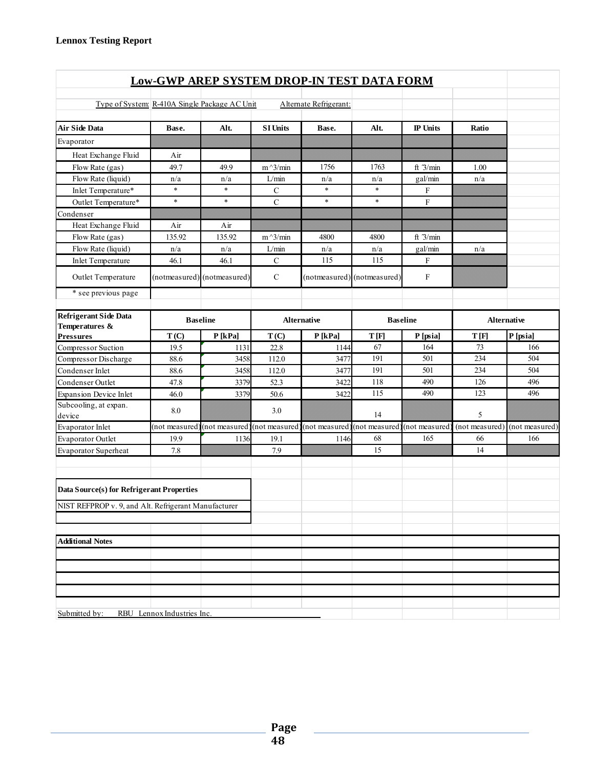| <b>Low-GWP AREP SYSTEM DROP-IN TEST DATA FORM</b>    |                            |                             |                    |                              |                             |                           |                |                |  |  |
|------------------------------------------------------|----------------------------|-----------------------------|--------------------|------------------------------|-----------------------------|---------------------------|----------------|----------------|--|--|
|                                                      |                            |                             |                    |                              |                             |                           |                |                |  |  |
| Type of System: R-410A Single Package AC Unit        |                            |                             |                    | Alternate Refrigerant:       |                             |                           |                |                |  |  |
| <b>Air Side Data</b>                                 | Base.                      | Alt.                        | <b>SI Units</b>    | Base.                        | Alt.                        | <b>IP</b> Units           | Ratio          |                |  |  |
| Evaporator                                           |                            |                             |                    |                              |                             |                           |                |                |  |  |
| Heat Exchange Fluid                                  | Air                        |                             |                    |                              |                             |                           |                |                |  |  |
| Flow Rate (gas)                                      | 49.7                       | 49.9                        | $m^2/$ min         | 1756                         | 1763                        | ft $3/min$                | 1.00           |                |  |  |
| Flow Rate (liquid)                                   | n/a                        | n/a                         | L/min              | n/a                          | n/a                         | gal/min                   | n/a            |                |  |  |
| Inlet Temperature*                                   | $\ast$                     | $\ast$                      | $\mathcal{C}$      | $\ast$                       | $\ast$                      | $\boldsymbol{\mathrm{F}}$ |                |                |  |  |
| Outlet Temperature*                                  | $\ast$                     | $\ast$                      | $\mathbf C$        | $\ast$                       | $\ast$                      | ${\bf F}$                 |                |                |  |  |
| Condenser                                            |                            |                             |                    |                              |                             |                           |                |                |  |  |
| Heat Exchange Fluid                                  | Air                        | Air                         |                    |                              |                             |                           |                |                |  |  |
| Flow Rate (gas)                                      | 135.92                     | 135.92                      | $m^2/$ min         | 4800                         | 4800                        | ft $3/min$                |                |                |  |  |
| Flow Rate (liquid)                                   | n/a                        | n/a                         | L/min              | n/a                          | n/a                         | gal/min                   | n/a            |                |  |  |
| Inlet Temperature                                    | 46.1                       | 46.1                        | $\mathcal{C}$      | 115                          | 115                         | F                         |                |                |  |  |
| Outlet Temperature                                   |                            | (notmeasured) (notmeasured) | $\mathcal{C}$      |                              | (notmeasured) (notmeasured) | $\mathbf F$               |                |                |  |  |
| * see previous page                                  |                            |                             |                    |                              |                             |                           |                |                |  |  |
| <b>Refrigerant Side Data</b><br><b>Baseline</b>      |                            |                             | <b>Alternative</b> | <b>Baseline</b>              |                             |                           | Alternative    |                |  |  |
| Temperatures &<br><b>Pressures</b>                   | T(C)                       | P[kPa]                      | T(C)               | P[kPa]                       | T[F]                        | P [psia]                  | T[F]           | P [psia]       |  |  |
| Compressor Suction                                   | 19.5                       | 1131                        | 22.8               | 1144                         | 67                          | 164                       | 73             | 166            |  |  |
| Compressor Discharge                                 | 88.6                       | 3458                        | 112.0              | 3477                         | 191                         | 501                       | 234            | 504            |  |  |
| Condenser Inlet                                      | 88.6                       | 3458                        | 112.0              | 3477                         | 191                         | 501                       | 234            | 504            |  |  |
| Condenser Outlet                                     | 47.8                       | 3379                        | 52.3               | 3422                         | 118                         | 490                       | 126            | 496            |  |  |
| <b>Expansion Device Inlet</b>                        | 46.0                       | 3379                        | 50.6               | 3422                         | 115                         | 490                       | 123            | 496            |  |  |
| Subcooling, at expan.                                |                            |                             |                    |                              |                             |                           |                |                |  |  |
| device                                               | 8.0                        |                             | 3.0                |                              | 14                          |                           | 5              |                |  |  |
| Evaporator Inlet                                     | (not measured              | (not measured)              | (not measured      | (not measured) (not measured |                             | (not measured             | (not measured) | (not measured) |  |  |
| Evaporator Outlet                                    | 19.9                       | 1136                        | 19.1               | 1146                         | 68                          | 165                       | 66             | 166            |  |  |
| Evaporator Superheat                                 | 7.8                        |                             | 7.9                |                              | 15                          |                           | 14             |                |  |  |
| Data Source(s) for Refrigerant Properties            |                            |                             |                    |                              |                             |                           |                |                |  |  |
| NIST REFPROP v. 9, and Alt. Refrigerant Manufacturer |                            |                             |                    |                              |                             |                           |                |                |  |  |
|                                                      |                            |                             |                    |                              |                             |                           |                |                |  |  |
| <b>Additional Notes</b>                              |                            |                             |                    |                              |                             |                           |                |                |  |  |
|                                                      |                            |                             |                    |                              |                             |                           |                |                |  |  |
|                                                      |                            |                             |                    |                              |                             |                           |                |                |  |  |
|                                                      |                            |                             |                    |                              |                             |                           |                |                |  |  |
|                                                      |                            |                             |                    |                              |                             |                           |                |                |  |  |
| Submitted by:                                        | RBU Lennox Industries Inc. |                             |                    |                              |                             |                           |                |                |  |  |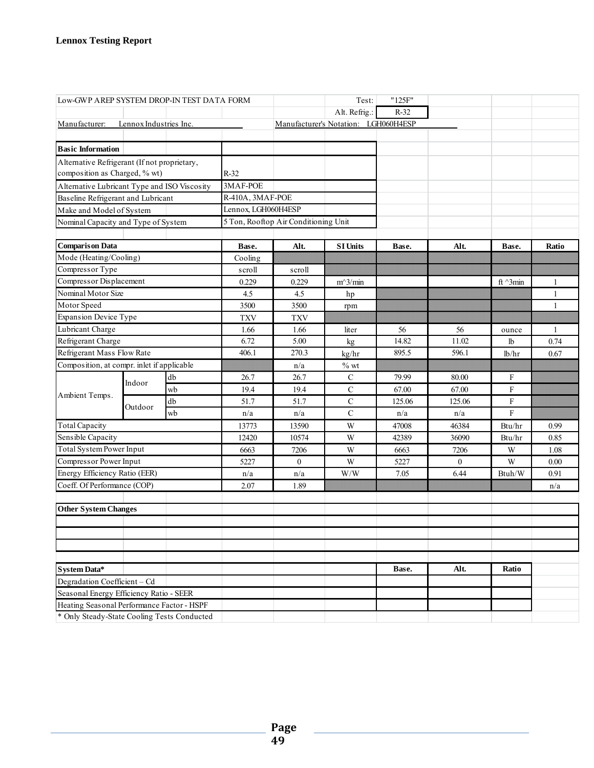| Low-GWP AREP SYSTEM DROP-IN TEST DATA FORM   |                        |    |                     | Test:                                | "125F"                               |        |              |                  |              |
|----------------------------------------------|------------------------|----|---------------------|--------------------------------------|--------------------------------------|--------|--------------|------------------|--------------|
|                                              |                        |    |                     |                                      | Alt. Refrig.:                        | $R-32$ |              |                  |              |
| Manufacturer:                                | Lennox Industries Inc. |    |                     |                                      | Manufacturer's Notation: LGH060H4ESP |        |              |                  |              |
|                                              |                        |    |                     |                                      |                                      |        |              |                  |              |
| <b>Basic Information</b>                     |                        |    |                     |                                      |                                      |        |              |                  |              |
| Alternative Refrigerant (If not proprietary, |                        |    |                     |                                      |                                      |        |              |                  |              |
| composition as Charged, % wt)                |                        |    | $R-32$              |                                      |                                      |        |              |                  |              |
| Alternative Lubricant Type and ISO Viscosity |                        |    | 3MAF-POE            |                                      |                                      |        |              |                  |              |
| Baseline Refrigerant and Lubricant           |                        |    | R-410A, 3MAF-POE    |                                      |                                      |        |              |                  |              |
| Make and Model of System                     |                        |    | Lennox, LGH060H4ESP |                                      |                                      |        |              |                  |              |
| Nominal Capacity and Type of System          |                        |    |                     | 5 Ton, Rooftop Air Conditioning Unit |                                      |        |              |                  |              |
|                                              |                        |    |                     |                                      |                                      |        |              |                  |              |
| <b>Comparison Data</b>                       |                        |    | Base.               | Alt.                                 | <b>SI Units</b>                      | Base.  | Alt.         | Base.            | Ratio        |
| Mode (Heating/Cooling)                       |                        |    | Cooling             |                                      |                                      |        |              |                  |              |
| Compressor Type                              |                        |    | scroll              | scroll                               |                                      |        |              |                  |              |
| Compressor Displacement                      |                        |    | 0.229               | 0.229                                | $m^3/m$ in                           |        |              | ft $\gamma$ 3min | 1            |
| Nominal Motor Size                           |                        |    | 4.5                 | 4.5                                  | hp                                   |        |              |                  | $\mathbf{1}$ |
| Motor Speed                                  |                        |    | 3500                | 3500                                 | rpm                                  |        |              |                  | $\mathbf{1}$ |
| <b>Expansion Device Type</b>                 |                        |    | <b>TXV</b>          | <b>TXV</b>                           |                                      |        |              |                  |              |
| Lubricant Charge                             |                        |    | 1.66                | 1.66                                 | liter                                | 56     | 56           | ounce            | $\mathbf{1}$ |
| Refrigerant Charge                           |                        |    | 6.72                | 5.00                                 | kg                                   | 14.82  | 11.02        | 1b               | 0.74         |
| Refrigerant Mass Flow Rate                   |                        |    | 406.1               | 270.3                                | kg/hr                                | 895.5  | 596.1        | lb/hr            | 0.67         |
| Composition, at compr. inlet if applicable   |                        |    | n/a                 | $\%$ wt                              |                                      |        |              |                  |              |
| Ambient Temps.                               | Indoor<br>Outdoor      | db | 26.7                | 26.7                                 | C                                    | 79.99  | 80.00        | F                |              |
|                                              |                        | wb | 19.4                | 19.4                                 | $\mathsf{C}$                         | 67.00  | 67.00        | F                |              |
|                                              |                        | db | 51.7                | 51.7                                 | $\mathbf C$                          | 125.06 | 125.06       | $\mathbf F$      |              |
|                                              |                        | wb | n/a                 | n/a                                  | $\mathbf C$                          | n/a    | n/a          | F                |              |
| <b>Total Capacity</b>                        |                        |    | 13773               | 13590                                | W                                    | 47008  | 46384        | Btu/hr           | 0.99         |
| Sensible Capacity                            |                        |    | 12420               | 10574                                | W                                    | 42389  | 36090        | Btu/hr           | 0.85         |
| Total System Power Input                     |                        |    | 6663                | 7206                                 | W                                    | 6663   | 7206         | W                | 1.08         |
| Compressor Power Input                       |                        |    | 5227                | $\mathbf{0}$                         | W                                    | 5227   | $\mathbf{0}$ | W                | $0.00\,$     |
| Energy Efficiency Ratio (EER)                |                        |    | n/a                 | n/a                                  | W/W                                  | 7.05   | 6.44         | Btuh/W           | 0.91         |
| Coeff. Of Performance (COP)                  |                        |    | 2.07                | 1.89                                 |                                      |        |              |                  | n/a          |
|                                              |                        |    |                     |                                      |                                      |        |              |                  |              |
| <b>Other System Changes</b>                  |                        |    |                     |                                      |                                      |        |              |                  |              |
|                                              |                        |    |                     |                                      |                                      |        |              |                  |              |
|                                              |                        |    |                     |                                      |                                      |        |              |                  |              |
|                                              |                        |    |                     |                                      |                                      |        |              |                  |              |
|                                              |                        |    |                     |                                      |                                      |        |              |                  |              |
| System Data*                                 |                        |    |                     |                                      |                                      | Base.  | Alt.         | Ratio            |              |
| Degradation Coefficient - Cd                 |                        |    |                     |                                      |                                      |        |              |                  |              |
| Seasonal Energy Efficiency Ratio - SEER      |                        |    |                     |                                      |                                      |        |              |                  |              |
| Heating Seasonal Performance Factor - HSPF   |                        |    |                     |                                      |                                      |        |              |                  |              |
| * Only Steady-State Cooling Tests Conducted  |                        |    |                     |                                      |                                      |        |              |                  |              |